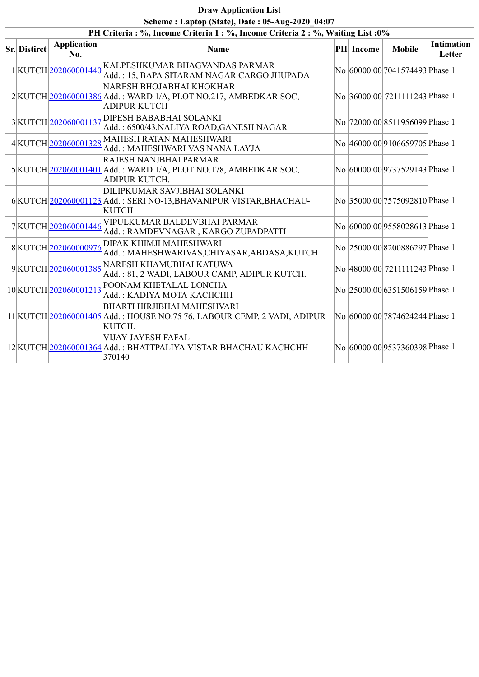| <b>Draw Application List</b>                                                                                                    |                           |                                                                                                                    |  |           |                                 |                             |  |  |  |  |  |
|---------------------------------------------------------------------------------------------------------------------------------|---------------------------|--------------------------------------------------------------------------------------------------------------------|--|-----------|---------------------------------|-----------------------------|--|--|--|--|--|
| Scheme: Laptop (State), Date: 05-Aug-2020 04:07<br>PH Criteria: %, Income Criteria 1: %, Income Criteria 2: %, Waiting List: 0% |                           |                                                                                                                    |  |           |                                 |                             |  |  |  |  |  |
| <b>Sr. Distirct</b>                                                                                                             | <b>Application</b><br>No. | Name                                                                                                               |  | PH Income | <b>Mobile</b>                   | <b>Intimation</b><br>Letter |  |  |  |  |  |
|                                                                                                                                 | 1KUTCH202060001440        | KALPESHKUMAR BHAGVANDAS PARMAR<br>Add.: 15, BAPA SITARAM NAGAR CARGO JHUPADA                                       |  |           | No 60000.00 7041574493 Phase 1  |                             |  |  |  |  |  |
|                                                                                                                                 |                           | NARESH BHOJABHAI KHOKHAR<br>2 KUTCH 202060001386 Add.: WARD 1/A, PLOT NO.217, AMBEDKAR SOC,<br><b>ADIPUR KUTCH</b> |  |           | No 36000.00 7211111243 Phase 1  |                             |  |  |  |  |  |
|                                                                                                                                 | 3KUTCH 202060001137       | <b>DIPESH BABABHAI SOLANKI</b><br>Add.: 6500/43, NALIYA ROAD, GANESH NAGAR                                         |  |           | No  72000.00 8511956099 Phase 1 |                             |  |  |  |  |  |
|                                                                                                                                 |                           | 4KUTCH 202060001328 MAHESH RATAN MAHESHWARI<br>Add.: MAHESHWARI VAS NANA LAYJA                                     |  |           | No 46000.00 9106659705 Phase 1  |                             |  |  |  |  |  |
|                                                                                                                                 |                           | RAJESH NANJBHAI PARMAR<br>5 KUTCH 202060001401 Add.: WARD 1/A, PLOT NO.178, AMBEDKAR SOC,<br>ADIPUR KUTCH.         |  |           | No 60000.00 9737529143 Phase 1  |                             |  |  |  |  |  |
|                                                                                                                                 |                           | DILIPKUMAR SAVJIBHAI SOLANKI<br>6 KUTCH 202060001123 Add.: SERI NO-13, BHAVANIPUR VISTAR, BHACHAU-<br><b>KUTCH</b> |  |           | No 35000.00 7575092810 Phase 1  |                             |  |  |  |  |  |
|                                                                                                                                 | 7KUTCH 202060001446       | VIPULKUMAR BALDEVBHAI PARMAR<br>Add.: RAMDEVNAGAR, KARGO ZUPADPATTI                                                |  |           | No 60000.00 9558028613 Phase 1  |                             |  |  |  |  |  |
|                                                                                                                                 | 8KUTCH202060000976        | DIPAK KHIMJI MAHESHWARI<br>Add.: MAHESHWARIVAS, CHIYASAR, ABDASA, KUTCH                                            |  |           | No 25000.00 8200886297 Phase 1  |                             |  |  |  |  |  |
|                                                                                                                                 |                           | 9KUTCH 202060001385 NARESH KHAMUBHAI KATUWA<br>Add.: 81, 2 WADI, LABOUR CAMP, ADIPUR KUTCH.                        |  |           | No 48000.00 7211111243 Phase 1  |                             |  |  |  |  |  |
|                                                                                                                                 | 10KUTCH202060001213       | POONAM KHETALAL LONCHA<br>Add.: KADIYA MOTA KACHCHH                                                                |  |           | No 25000.00 6351506159 Phase 1  |                             |  |  |  |  |  |
|                                                                                                                                 |                           | BHARTI HIRJIBHAI MAHESHVARI<br>11 KUTCH 202060001405 Add.: HOUSE NO.75 76, LABOUR CEMP, 2 VADI, ADIPUR<br>KUTCH.   |  |           | No 60000.00 7874624244 Phase 1  |                             |  |  |  |  |  |
|                                                                                                                                 |                           | <b>VIJAY JAYESH FAFAL</b><br>12 KUTCH 202060001364 Add.: BHATTPALIYA VISTAR BHACHAU KACHCHH<br>370140              |  |           | No 60000.00 9537360398 Phase 1  |                             |  |  |  |  |  |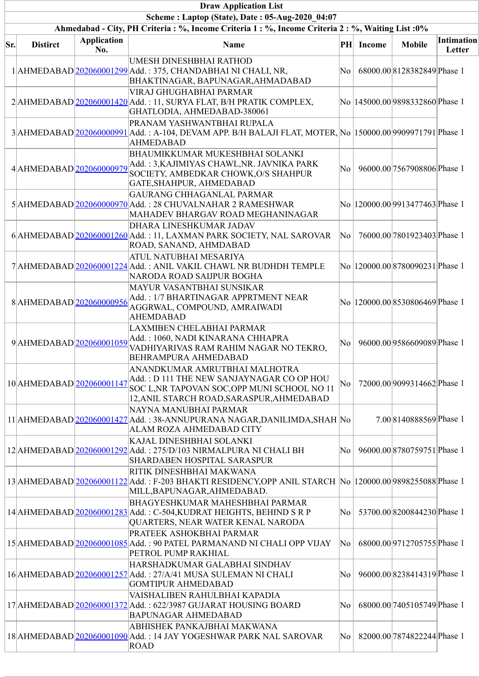|     |                           |                           | <b>Draw Application List</b>                                                                                                                                             |     |               |                                       |                             |
|-----|---------------------------|---------------------------|--------------------------------------------------------------------------------------------------------------------------------------------------------------------------|-----|---------------|---------------------------------------|-----------------------------|
|     |                           |                           | Scheme: Laptop (State), Date: 05-Aug-2020 04:07                                                                                                                          |     |               |                                       |                             |
|     |                           |                           | Ahmedabad - City, PH Criteria : %, Income Criteria 1 : %, Income Criteria 2 : %, Waiting List : 0%                                                                       |     |               |                                       |                             |
| Sr. | <b>Distirct</b>           | <b>Application</b><br>No. | <b>Name</b>                                                                                                                                                              | PH  | <b>Income</b> | <b>Mobile</b>                         | <b>Intimation</b><br>Letter |
|     |                           |                           | UMESH DINESHBHAI RATHOD<br>1 AHMEDABAD 202060001299 Add.: 375, CHANDABHAI NI CHALI, NR,<br>BHAKTINAGAR, BAPUNAGAR, AHMADABAD                                             | No  |               | 68000.008128382849 Phase 1            |                             |
|     |                           |                           | VIRAJ GHUGHABHAI PARMAR<br>$2$  AHMEDABAD $ 202060001420 $ Add.: 11, SURYA FLAT, B/H PRATIK COMPLEX,<br>GHATLODIA, AHMEDABAD-380061                                      |     |               | No  145000.00 9898332860 Phase 1      |                             |
|     |                           |                           | PRANAM YASHWANTBHAI RUPALA<br>3 AHMEDABAD 202060000991 Add.: A-104, DEVAM APP. B/H BALAJI FLAT, MOTER, No  150000.00 9909971791 Phase 1<br><b>AHMEDABAD</b>              |     |               |                                       |                             |
|     | 4 AHMEDABAD 202060000979  |                           | <b>BHAUMIKKUMAR MUKESHBHAI SOLANKI</b><br>Add.: 3,KAJIMIYAS CHAWL,NR. JAVNIKA PARK<br>SOCIETY, AMBEDKAR CHOWK, O/S SHAHPUR<br>GATE, SHAHPUR, AHMEDABAD                   | No  |               | 96000.00 7567908806 Phase 1           |                             |
|     |                           |                           | <b>GAURANG CHHAGANLAL PARMAR</b><br>5 AHMEDABAD 202060000970 Add.: 28 CHUVALNAHAR 2 RAMESHWAR<br>MAHADEV BHARGAV ROAD MEGHANINAGAR                                       |     |               | No   120000.00   9913477463   Phase 1 |                             |
|     |                           |                           | DHARA LINESHKUMAR JADAV<br>6 AHMEDABAD 202060001260 Add.: 11, LAXMAN PARK SOCIETY, NAL SAROVAR<br>ROAD, SANAND, AHMDABAD                                                 | No  |               | 76000.00 7801923403 Phase 1           |                             |
|     |                           |                           | ATUL NATUBHAI MESARIYA<br>7 AHMEDABAD 202060001224 Add.: ANIL VAKIL CHAWL NR BUDHDH TEMPLE<br>NARODA ROAD SAIJPUR BOGHA                                                  |     |               | No  120000.00 8780090231 Phase 1      |                             |
|     | 8AHMEDABAD 202060000956   |                           | MAYUR VASANTBHAI SUNSIKAR<br>Add.: 1/7 BHARTINAGAR APPRTMENT NEAR<br>AGGRWAL, COMPOUND, AMRAIWADI<br><b>AHEMDABAD</b>                                                    |     |               | No  120000.00 8530806469 Phase 1      |                             |
|     | 9AHMEDABAD 202060001059   |                           | LAXMIBEN CHELABHAI PARMAR<br>Add.: 1060, NADI KINARANA CHHAPRA<br>VADHIYARIVAS RAM RAHIM NAGAR NO TEKRO,<br><b>BEHRAMPURA AHMEDABAD</b>                                  | No  |               | 96000.00 9586609089 Phase 1           |                             |
|     | 10 AHMEDABAD 202060001147 |                           | ANANDKUMAR AMRUTBHAI MALHOTRA<br>Add. : D 111 THE NEW SANJAYNAGAR CO OP HOU<br>SOC L, NR TAPOVAN SOC, OPP MUNI SCHOOL NO 11<br>12, ANIL STARCH ROAD, SARASPUR, AHMEDABAD | No  |               | 72000.00 9099314662 Phase 1           |                             |
|     |                           |                           | NAYNA MANUBHAI PARMAR<br>11 AHMEDABAD 202060001427 Add.: 38-ANNUPURANA NAGAR, DANILIMDA, SHAH No<br>ALAM ROZA AHMEDABAD CITY                                             |     |               | 7.00 8140888569 Phase 1               |                             |
|     |                           |                           | KAJAL DINESHBHAI SOLANKI<br>12 AHMEDABAD 202060001292 Add.: 275/D/103 NIRMALPURA NI CHALI BH<br><b>SHARDABEN HOSPITAL SARASPUR</b>                                       | No  |               | 96000.00 8780759751 Phase 1           |                             |
|     |                           |                           | RITIK DINESHBHAI MAKWANA<br>13 AHMEDABAD 202060001122 Add.: F-203 BHAKTI RESIDENCY, OPP ANIL STARCH No  120000.00 9898255088 Phase 1<br>MILL, BAPUNAGAR, AHMEDABAD.      |     |               |                                       |                             |
|     |                           |                           | <b>BHAGYESHKUMAR MAHESHBHAI PARMAR</b><br>14 AHMEDABAD 202060001283 Add.: C-504, KUDRAT HEIGHTS, BEHIND S R P<br>QUARTERS, NEAR WATER KENAL NARODA                       | No  |               | 53700.00 8200844230 Phase 1           |                             |
|     |                           |                           | PRATEEK ASHOKBHAI PARMAR<br>15 AHMEDABAD 202060001085 Add.: 90 PATEL PARMANAND NI CHALI OPP VIJAY<br>PETROL PUMP RAKHIAL                                                 | No  |               | 68000.00 9712705755 Phase 1           |                             |
|     |                           |                           | HARSHADKUMAR GALABHAI SINDHAV<br>16 AHMEDABAD 202060001257 Add.: 27/A/41 MUSA SULEMAN NI CHALI<br><b>GOMTIPUR AHMEDABAD</b>                                              | No  |               | 96000.00 8238414319 Phase 1           |                             |
|     |                           |                           | VAISHALIBEN RAHULBHAI KAPADIA<br>17 AHMEDABAD 202060001372 Add.: 622/3987 GUJARAT HOUSING BOARD<br><b>BAPUNAGAR AHMEDABAD</b>                                            | No. |               | 68000.00 7405105749 Phase 1           |                             |
|     |                           |                           | ABHISHEK PANKAJBHAI MAKWANA<br>18 AHMEDABAD 202060001090 Add.: 14 JAY YOGESHWAR PARK NAL SAROVAR<br>ROAD                                                                 | No  |               | 82000.00 7874822244 Phase 1           |                             |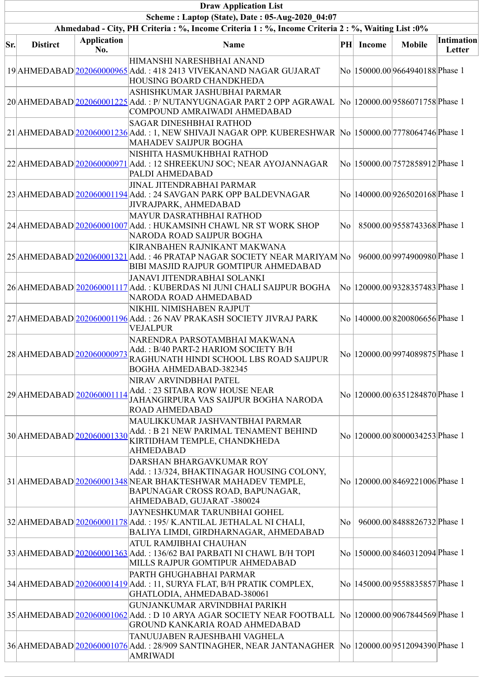|     |                           |                           | <b>Draw Application List</b>                                                                                                                                                                          |    |               |                                  |                             |
|-----|---------------------------|---------------------------|-------------------------------------------------------------------------------------------------------------------------------------------------------------------------------------------------------|----|---------------|----------------------------------|-----------------------------|
|     |                           |                           | Scheme: Laptop (State), Date: 05-Aug-2020 04:07                                                                                                                                                       |    |               |                                  |                             |
|     |                           |                           | Ahmedabad - City, PH Criteria : %, Income Criteria 1 : %, Income Criteria 2 : %, Waiting List : 0%                                                                                                    |    |               |                                  |                             |
| Sr. | <b>Distirct</b>           | <b>Application</b><br>No. | <b>Name</b>                                                                                                                                                                                           | PH | <b>Income</b> | <b>Mobile</b>                    | <b>Intimation</b><br>Letter |
|     |                           |                           | HIMANSHI NARESHBHAI ANAND<br>19 AHMEDABAD 202060000965 Add.: 418 2413 VIVEKANAND NAGAR GUJARAT<br>HOUSING BOARD CHANDKHEDA                                                                            |    |               | No  150000.00 9664940188 Phase 1 |                             |
|     |                           |                           | ASHISHKUMAR JASHUBHAI PARMAR<br>20 AHMEDABAD 202060001225 Add.: P/ NUTANYUGNAGAR PART 2 OPP AGRAWAL<br>COMPOUND AMRAIWADI AHMEDABAD                                                                   |    |               | No  120000.00 9586071758 Phase 1 |                             |
|     |                           |                           | <b>SAGAR DINESHBHAI RATHOD</b><br>21 AHMEDABAD 202060001236 Add.: 1, NEW SHIVAJI NAGAR OPP. KUBERESHWAR  No  150000.00 7778064746 Phase 1<br><b>MAHADEV SAIJPUR BOGHA</b>                             |    |               |                                  |                             |
|     |                           |                           | NISHITA HASMUKHBHAI RATHOD<br>22 AHMEDABAD 202060000971 Add.: 12 SHREEKUNJ SOC; NEAR AYOJANNAGAR<br>PALDI AHMEDABAD                                                                                   |    |               | No  150000.00 7572858912 Phase 1 |                             |
|     |                           |                           | <b>JINAL JITENDRABHAI PARMAR</b><br>23 AHMEDABAD 202060001194 Add.: 24 SAVGAN PARK OPP BALDEVNAGAR<br>JIVRAJPARK, AHMEDABAD                                                                           |    |               | No  140000.00 9265020168 Phase 1 |                             |
|     |                           |                           | <b>MAYUR DASRATHBHAI RATHOD</b><br>24 AHMEDABAD 202060001007 Add.: HUKAMSINH CHAWL NR ST WORK SHOP<br>NARODA ROAD SAIJPUR BOGHA                                                                       | No |               | 85000.00 9558743368 Phase 1      |                             |
|     |                           |                           | KIRANBAHEN RAJNIKANT MAKWANA<br>25 AHMEDABAD 202060001321 Add.: 46 PRATAP NAGAR SOCIETY NEAR MARIYAM No<br><b>BIBI MASJID RAJPUR GOMTIPUR AHMEDABAD</b>                                               |    |               | 96000.00 9974900980 Phase 1      |                             |
|     |                           |                           | JANAVI JITENDRABHAI SOLANKI<br>26 AHMEDABAD 202060001117 Add.: KUBERDAS NI JUNI CHALI SAIJPUR BOGHA<br>NARODA ROAD AHMEDABAD                                                                          |    |               | No  120000.00 9328357483 Phase 1 |                             |
|     |                           |                           | NIKHIL NIMISHABEN RAJPUT<br>27 AHMEDABAD 202060001196 Add.: 26 NAV PRAKASH SOCIETY JIVRAJ PARK<br><b>VEJALPUR</b>                                                                                     |    |               | No  140000.00 8200806656 Phase 1 |                             |
|     | 28 AHMEDABAD 202060000973 |                           | NARENDRA PARSOTAMBHAI MAKWANA<br>Add.: B/40 PART-2 HARIOM SOCIETY B/H<br>RAGHUNATH HINDI SCHOOL LBS ROAD SAIJPUR<br><b>BOGHA AHMEDABAD-382345</b>                                                     |    |               | No  120000.00 9974089875 Phase 1 |                             |
|     | 29 AHMEDABAD 202060001114 |                           | NIRAV ARVINDBHAI PATEL<br>Add.: 23 SITABA ROW HOUSE NEAR<br>JAHANGIRPURA VAS SAIJPUR BOGHA NARODA<br><b>ROAD AHMEDABAD</b>                                                                            |    |               | No  120000.00 6351284870 Phase 1 |                             |
|     | 30 AHMEDABAD 202060001330 |                           | MAULIKKUMAR JASHVANTBHAI PARMAR<br>Add.: B 21 NEW PARIMAL TENAMENT BEHIND<br>KIRTIDHAM TEMPLE, CHANDKHEDA<br><b>AHMEDABAD</b>                                                                         |    |               | No  120000.00 8000034253 Phase 1 |                             |
|     |                           |                           | DARSHAN BHARGAVKUMAR ROY<br>Add.: 13/324, BHAKTINAGAR HOUSING COLONY,<br>31 AHMEDABAD 202060001348 NEAR BHAKTESHWAR MAHADEV TEMPLE,<br>BAPUNAGAR CROSS ROAD, BAPUNAGAR,<br>AHMEDABAD, GUJARAT -380024 |    |               | No  120000.00 8469221006 Phase 1 |                             |
|     |                           |                           | JAYNESHKUMAR TARUNBHAI GOHEL<br>32 AHMEDABAD 202060001178 Add.: 195/ K.ANTILAL JETHALAL NI CHALI,<br>BALIYA LIMDI, GIRDHARNAGAR, AHMEDABAD                                                            | No |               | 96000.00 8488826732 Phase 1      |                             |
|     |                           |                           | ATUL RAMJIBHAI CHAUHAN<br>33 AHMEDABAD 202060001363 Add.: 136/62 BAI PARBATI NI CHAWL B/H TOPI<br>MILLS RAJPUR GOMTIPUR AHMEDABAD                                                                     |    |               | No  150000.00 8460312094 Phase 1 |                             |
|     |                           |                           | PARTH GHUGHABHAI PARMAR<br>34 AHMEDABAD 202060001419 Add.: 11, SURYA FLAT, B/H PRATIK COMPLEX,<br>GHATLODIA, AHMEDABAD-380061                                                                         |    |               | No  145000.00 9558835857 Phase 1 |                             |
|     |                           |                           | GUNJANKUMAR ARVINDBHAI PARIKH<br>35 AHMEDABAD 202060001062 Add.: D 10 ARYA AGAR SOCIETY NEAR FOOTBALL<br>GROUND KANKARIA ROAD AHMEDABAD                                                               |    |               | No  120000.00 9067844569 Phase 1 |                             |
|     |                           |                           | TANUUJABEN RAJESHBAHI VAGHELA<br>36 AHMEDABAD 202060001076 Add.: 28/909 SANTINAGHER, NEAR JANTANAGHER   No   120000.00 9512094390 Phase 1<br><b>AMRIWADI</b>                                          |    |               |                                  |                             |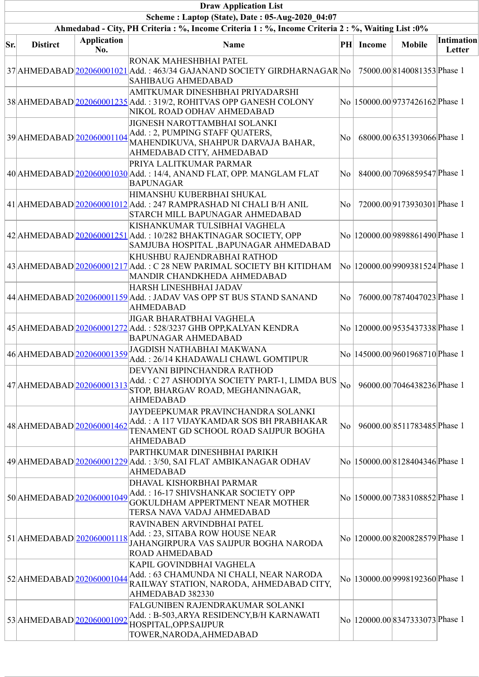|     | <b>Draw Application List</b> |                    |                                                                                                                                                       |    |               |                                  |                   |  |  |  |  |
|-----|------------------------------|--------------------|-------------------------------------------------------------------------------------------------------------------------------------------------------|----|---------------|----------------------------------|-------------------|--|--|--|--|
|     |                              |                    | Scheme: Laptop (State), Date: 05-Aug-2020 04:07<br>Ahmedabad - City, PH Criteria : %, Income Criteria 1 : %, Income Criteria 2 : %, Waiting List : 0% |    |               |                                  |                   |  |  |  |  |
|     |                              | <b>Application</b> |                                                                                                                                                       |    |               |                                  | <b>Intimation</b> |  |  |  |  |
| Sr. | <b>Distirct</b>              | No.                | Name                                                                                                                                                  | PH | <b>Income</b> | <b>Mobile</b>                    | Letter            |  |  |  |  |
|     |                              |                    | RONAK MAHESHBHAI PATEL<br>37 AHMEDABAD 202060001021 Add.: 463/34 GAJANAND SOCIETY GIRDHARNAGAR No<br><b>SAHIBAUG AHMEDABAD</b>                        |    |               | 75000.00 8140081353 Phase 1      |                   |  |  |  |  |
|     |                              |                    | AMITKUMAR DINESHBHAI PRIYADARSHI<br>38 AHMEDABAD 202060001235 Add.: 319/2, ROHITVAS OPP GANESH COLONY<br>NIKOL ROAD ODHAV AHMEDABAD                   |    |               | No  150000.00 9737426162 Phase 1 |                   |  |  |  |  |
|     | 39 AHMEDABAD 202060001104    |                    | JIGNESH NAROTTAMBHAI SOLANKI<br>Add.: 2, PUMPING STAFF QUATERS,<br>MAHENDIKUVA, SHAHPUR DARVAJA BAHAR,<br>AHMEDABAD CITY, AHMEDABAD                   | No |               | 68000.00 6351393066 Phase 1      |                   |  |  |  |  |
|     |                              |                    | PRIYA LALITKUMAR PARMAR<br>40 AHMEDABAD 202060001030 Add.: 14/4, ANAND FLAT, OPP. MANGLAM FLAT<br><b>BAPUNAGAR</b>                                    | No |               | 84000.00 7096859547 Phase 1      |                   |  |  |  |  |
|     |                              |                    | HIMANSHU KUBERBHAI SHUKAL<br>41 AHMEDABAD 202060001012 Add.: 247 RAMPRASHAD NI CHALI B/H ANIL<br>STARCH MILL BAPUNAGAR AHMEDABAD                      | No |               | 72000.00 9173930301 Phase 1      |                   |  |  |  |  |
|     |                              |                    | KISHANKUMAR TULSIBHAI VAGHELA<br>$42$  AHMEDABAD  $202060001251$  Add.: 10/282 BHAKTINAGAR SOCIETY, OPP<br>SAMJUBA HOSPITAL , BAPUNAGAR AHMEDABAD     |    |               | No  120000.00 9898861490 Phase 1 |                   |  |  |  |  |
|     |                              |                    | KHUSHBU RAJENDRABHAI RATHOD<br>43 AHMEDABAD 202060001217 Add.: C 28 NEW PARIMAL SOCIETY BH KITIDHAM<br>MANDIR CHANDKHEDA AHMEDABAD                    |    |               | No  120000.00 9909381524 Phase 1 |                   |  |  |  |  |
|     |                              |                    | HARSH LINESHBHAI JADAV<br>44 AHMEDABAD 202060001159 Add.: JADAV VAS OPP ST BUS STAND SANAND<br><b>AHMEDABAD</b>                                       | No |               | 76000.00 7874047023 Phase 1      |                   |  |  |  |  |
|     |                              |                    | <b>JIGAR BHARATBHAI VAGHELA</b><br>45 AHMEDABAD 202060001272 Add.: 528/3237 GHB OPP, KALYAN KENDRA<br><b>BAPUNAGAR AHMEDABAD</b>                      |    |               | No  120000.00 9535437338 Phase 1 |                   |  |  |  |  |
|     | 46 AHMEDABAD 202060001359    |                    | JAGDISH NATHABHAI MAKWANA<br>Add.: 26/14 KHADAWALI CHAWL GOMTIPUR                                                                                     |    |               | No  145000.00 9601968710 Phase 1 |                   |  |  |  |  |
|     | 47 AHMEDABAD 202060001313    |                    | DEVYANI BIPINCHANDRA RATHOD<br>Add.: C 27 ASHODIYA SOCIETY PART-1, LIMDA BUS<br>STOP, BHARGAV ROAD, MEGHANINAGAR,<br><b>AHMEDABAD</b>                 | No |               | 96000.00 7046438236 Phase 1      |                   |  |  |  |  |
|     | 48 AHMEDABAD 202060001462    |                    | JAYDEEPKUMAR PRAVINCHANDRA SOLANKI<br>Add.: A 117 VIJAYKAMDAR SOS BH PRABHAKAR<br>TENAMENT GD SCHOOL ROAD SAIJPUR BOGHA<br><b>AHMEDABAD</b>           | No |               | 96000.00 8511783485 Phase 1      |                   |  |  |  |  |
|     |                              |                    | PARTHKUMAR DINESHBHAI PARIKH<br>49 AHMEDABAD 202060001229 Add.: 3/50, SAI FLAT AMBIKANAGAR ODHAV<br><b>AHMEDABAD</b>                                  |    |               | No  150000.00 8128404346 Phase 1 |                   |  |  |  |  |
|     | 50 AHMEDABAD 202060001049    |                    | DHAVAL KISHORBHAI PARMAR<br>Add.: 16-17 SHIVSHANKAR SOCIETY OPP<br>GOKULDHAM APPERTMENT NEAR MOTHER<br>TERSA NAVA VADAJ AHMEDABAD                     |    |               | No  150000.00 7383108852 Phase 1 |                   |  |  |  |  |
|     | 51 AHMEDABAD 202060001118    |                    | RAVINABEN ARVINDBHAI PATEL<br>Add.: 23, SITABA ROW HOUSE NEAR<br>JAHANGIRPURA VAS SAIJPUR BOGHA NARODA<br><b>ROAD AHMEDABAD</b>                       |    |               | No  120000.00 8200828579 Phase 1 |                   |  |  |  |  |
|     | 52 AHMEDABAD 202060001044    |                    | KAPIL GOVINDBHAI VAGHELA<br>Add.: 63 CHAMUNDA NI CHALI, NEAR NARODA<br>RAILWAY STATION, NARODA, AHMEDABAD CITY,<br>AHMEDABAD 382330                   |    |               | No  130000.00 9998192360 Phase 1 |                   |  |  |  |  |
|     | 53 AHMEDABAD 202060001092    |                    | FALGUNIBEN RAJENDRAKUMAR SOLANKI<br>Add.: B-503, ARYA RESIDENCY, B/H KARNAWATI<br>HOSPITAL, OPP. SAIJPUR<br>TOWER, NARODA, AHMEDABAD                  |    |               | No  120000.00 8347333073 Phase 1 |                   |  |  |  |  |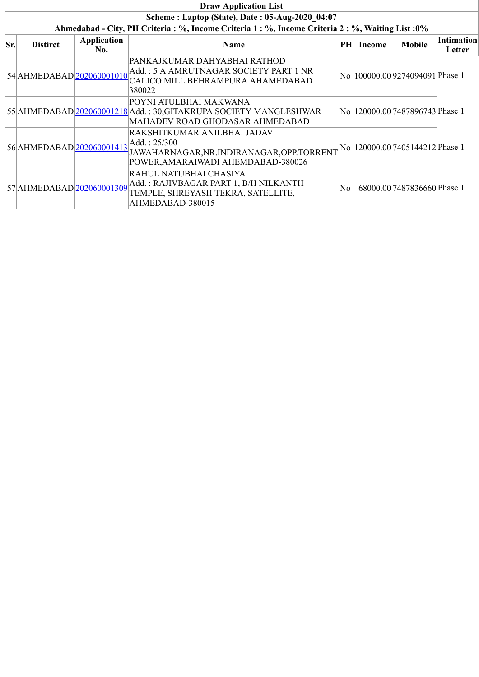|     | <b>Draw Application List</b>                                                                       |                           |                                                                                                                                   |    |               |                                  |                             |  |  |  |  |  |
|-----|----------------------------------------------------------------------------------------------------|---------------------------|-----------------------------------------------------------------------------------------------------------------------------------|----|---------------|----------------------------------|-----------------------------|--|--|--|--|--|
|     | Scheme: Laptop (State), Date: 05-Aug-2020 04:07                                                    |                           |                                                                                                                                   |    |               |                                  |                             |  |  |  |  |  |
|     | Ahmedabad - City, PH Criteria : %, Income Criteria 1 : %, Income Criteria 2 : %, Waiting List : 0% |                           |                                                                                                                                   |    |               |                                  |                             |  |  |  |  |  |
| Sr. | <b>Distirct</b>                                                                                    | <b>Application</b><br>No. | <b>Name</b>                                                                                                                       | PH | <b>Income</b> | <b>Mobile</b>                    | <b>Intimation</b><br>Letter |  |  |  |  |  |
|     | 54 AHMEDABAD 202060001010                                                                          |                           | PANKAJKUMAR DAHYABHAI RATHOD<br>Add.: 5 A AMRUTNAGAR SOCIETY PART 1 NR<br>CALICO MILL BEHRAMPURA AHAMEDABAD<br>380022             |    |               | No  100000.00 9274094091 Phase 1 |                             |  |  |  |  |  |
|     |                                                                                                    |                           | POYNI ATULBHAI MAKWANA<br>55 AHMEDABAD 202060001218 Add.: 30, GITAKRUPA SOCIETY MANGLESHWAR<br>MAHADEV ROAD GHODASAR AHMEDABAD    |    |               | No  120000.00 7487896743 Phase 1 |                             |  |  |  |  |  |
|     | 56 AHMEDABAD 202060001413                                                                          |                           | RAKSHITKUMAR ANILBHAI JADAV<br>Add. : 25/300<br>JAWAHARNAGAR, NR. INDIRANAGAR, OPP. TORRENT<br>POWER, AMARAIWADI AHEMDABAD-380026 |    |               | No  120000.00 7405144212 Phase 1 |                             |  |  |  |  |  |
|     | 57 AHMEDABAD 202060001309                                                                          |                           | RAHUL NATUBHAI CHASIYA<br>Add.: RAJIVBAGAR PART 1, B/H NILKANTH<br>TEMPLE, SHREYASH TEKRA, SATELLITE,<br>AHMEDABAD-380015         | No |               | 68000.00 7487836660 Phase 1      |                             |  |  |  |  |  |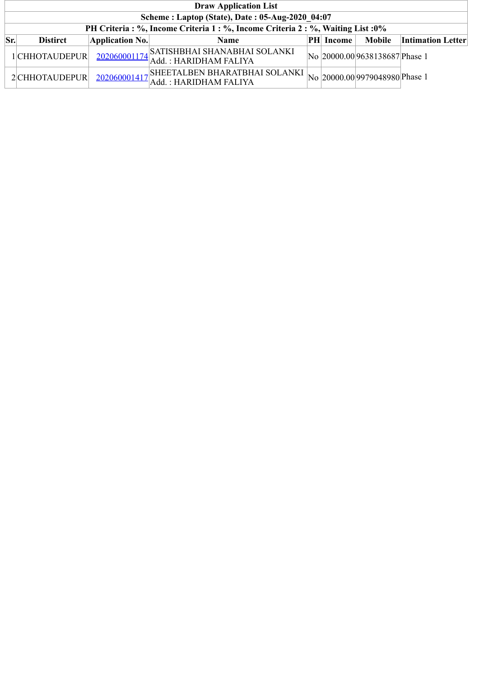|     | <b>Draw Application List</b>                                                 |                 |                                                                       |  |                  |                                |                          |  |  |  |  |
|-----|------------------------------------------------------------------------------|-----------------|-----------------------------------------------------------------------|--|------------------|--------------------------------|--------------------------|--|--|--|--|
|     | Scheme: Laptop (State), Date: 05-Aug-2020 04:07                              |                 |                                                                       |  |                  |                                |                          |  |  |  |  |
|     | PH Criteria: %, Income Criteria 1: %, Income Criteria 2: %, Waiting List: 0% |                 |                                                                       |  |                  |                                |                          |  |  |  |  |
| Sr. | <b>Distirct</b>                                                              | Application No. | <b>Name</b>                                                           |  | <b>PH</b> Income | Mobile                         | <b>Intimation Letter</b> |  |  |  |  |
|     | 1 CHHOTAUDEPUR                                                               |                 | 202060001174<br>Add.: HARIDHAM FALIYA                                 |  |                  | No 20000.00 9638138687 Phase 1 |                          |  |  |  |  |
|     | 2CHHOTAUDEPUR                                                                |                 | $202060001417$ SHEETALBEN BHARATBHAI SOLANKI<br>Add.: HARIDHAM FALIYA |  |                  | No 20000.00 9979048980 Phase 1 |                          |  |  |  |  |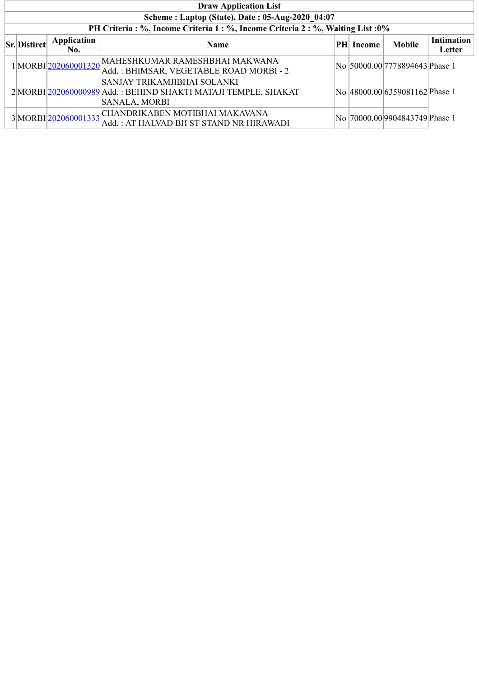| <b>Draw Application List</b>                    |                           |                                                                                                                                                  |  |           |                                 |                             |  |  |  |  |
|-------------------------------------------------|---------------------------|--------------------------------------------------------------------------------------------------------------------------------------------------|--|-----------|---------------------------------|-----------------------------|--|--|--|--|
| Scheme: Laptop (State), Date: 05-Aug-2020 04:07 |                           |                                                                                                                                                  |  |           |                                 |                             |  |  |  |  |
|                                                 |                           | PH Criteria : %, Income Criteria 1 : %, Income Criteria 2 : %, Waiting List : 0%                                                                 |  |           |                                 |                             |  |  |  |  |
| $\vert$ Sr. Distirct $\vert$                    | <b>Application</b><br>No. | <b>Name</b>                                                                                                                                      |  | PH Income | <b>Mobile</b>                   | <b>Intimation</b><br>Letter |  |  |  |  |
|                                                 |                           | $1\Big \text{MORBI}\Big \underline{\text{202060001320}}\Big \text{MAHESHKUMAR RAMESHBHAI MAKWANA}\Big $<br>Add.: BHIMSAR, VEGETABLE ROAD MORBI-2 |  |           | No  50000.00 7778894643 Phase 1 |                             |  |  |  |  |
|                                                 |                           | SANJAY TRIKAMJIBHAI SOLANKI<br>2 MORBI 202060000989 Add.: BEHIND SHAKTI MATAJI TEMPLE, SHAKAT<br><b>SANALA, MORBI</b>                            |  |           | No 48000.00 6359081162 Phase 1  |                             |  |  |  |  |
|                                                 |                           | 3MORBI 202060001333 CHANDRIKABEN MOTIBHAI MAKAVANA<br>Add.: AT HALVAD BH ST STAND NR HIRAWADI                                                    |  |           | No 70000.00 9904843749 Phase 1  |                             |  |  |  |  |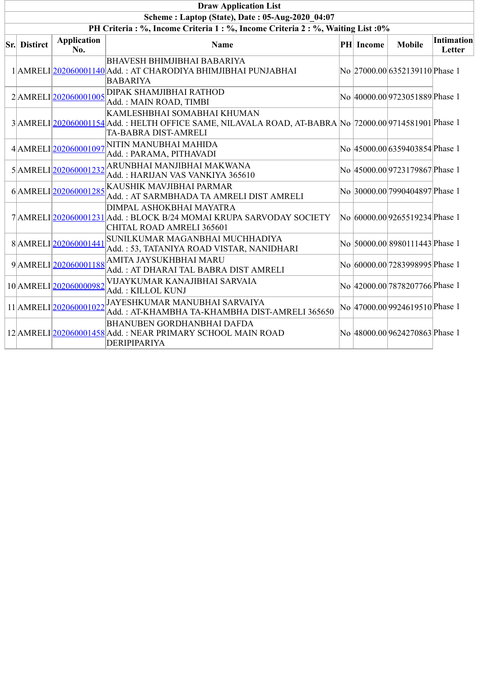| <b>Draw Application List</b>                                                     |                           |                                                                                                                                                              |  |           |                                 |                             |  |  |  |  |  |
|----------------------------------------------------------------------------------|---------------------------|--------------------------------------------------------------------------------------------------------------------------------------------------------------|--|-----------|---------------------------------|-----------------------------|--|--|--|--|--|
| Scheme: Laptop (State), Date: 05-Aug-2020 04:07                                  |                           |                                                                                                                                                              |  |           |                                 |                             |  |  |  |  |  |
| PH Criteria : %, Income Criteria 1 : %, Income Criteria 2 : %, Waiting List : 0% |                           |                                                                                                                                                              |  |           |                                 |                             |  |  |  |  |  |
| Sr. Distirct                                                                     | <b>Application</b><br>No. | Name                                                                                                                                                         |  | PH Income | <b>Mobile</b>                   | <b>Intimation</b><br>Letter |  |  |  |  |  |
|                                                                                  |                           | <b>BHAVESH BHIMJIBHAI BABARIYA</b><br>1 AMRELI 202060001140 Add.: AT CHARODIYA BHIMJIBHAI PUNJABHAI<br><b>BABARIYA</b>                                       |  |           | No 27000.00 6352139110 Phase 1  |                             |  |  |  |  |  |
|                                                                                  | 2 AMRELI 202060001005     | DIPAK SHAMJIBHAI RATHOD<br>Add.: MAIN ROAD, TIMBI                                                                                                            |  |           | No 40000.00 9723051889 Phase 1  |                             |  |  |  |  |  |
|                                                                                  |                           | KAMLESHBHAI SOMABHAI KHUMAN<br>3 AMRELI 202060001154 Add.: HELTH OFFICE SAME, NILAVALA ROAD, AT-BABRA No 72000.00 9714581901 Phase 1<br>TA-BABRA DIST-AMRELI |  |           |                                 |                             |  |  |  |  |  |
|                                                                                  | 4AMRELI202060001097       | NITIN MANUBHAI MAHIDA<br>Add.: PARAMA, PITHAVADI                                                                                                             |  |           | No  45000.00 6359403854 Phase 1 |                             |  |  |  |  |  |
|                                                                                  |                           | $5\mbox{$\mid$AMRELI\mbox{$\mid$}202060001232\mbox{$\mid$}ARUNBHAI MANJIBHAI MAKWANA}$<br>Add.: HARIJAN VAS VANKIYA 365610                                   |  |           | No 45000.00 9723179867 Phase 1  |                             |  |  |  |  |  |
|                                                                                  |                           | 6 AMRELI 202060001285 KAUSHIK MAVJIBHAI PARMAR<br>Add.: AT SARMBHADA TA AMRELI DIST AMRELI                                                                   |  |           | No 30000.00 7990404897 Phase 1  |                             |  |  |  |  |  |
|                                                                                  |                           | DIMPAL ASHOKBHAI MAYATRA<br>7 AMRELI 202060001231 Add.: BLOCK B/24 MOMAI KRUPA SARVODAY SOCIETY<br>CHITAL ROAD AMRELI 365601                                 |  |           | No 60000.00 9265519234 Phase 1  |                             |  |  |  |  |  |
|                                                                                  | 8AMRELI 202060001441      | SUNILKUMAR MAGANBHAI MUCHHADIYA<br>Add.: 53, TATANIYA ROAD VISTAR, NANIDHARI                                                                                 |  |           | No 50000.00 8980111443 Phase 1  |                             |  |  |  |  |  |
|                                                                                  | 9 AMRELI 202060001188     | AMITA JAYSUKHBHAI MARU<br>Add.: AT DHARAI TAL BABRA DIST AMRELI                                                                                              |  |           | No 60000.00 7283998995 Phase 1  |                             |  |  |  |  |  |
|                                                                                  | 10 AMRELI 202060000982    | VIJAYKUMAR KANAJIBHAI SARVAIA<br>Add.: KILLOL KUNJ                                                                                                           |  |           | No 42000.00 7878207766 Phase 1  |                             |  |  |  |  |  |
|                                                                                  | 11 AMRELI 202060001022    | JAYESHKUMAR MANUBHAI SARVAIYA<br>Add.: AT-KHAMBHA TA-KHAMBHA DIST-AMRELI 365650                                                                              |  |           | No 47000.00 9924619510 Phase 1  |                             |  |  |  |  |  |
|                                                                                  |                           | <b>BHANUBEN GORDHANBHAI DAFDA</b><br>12 AMRELI 202060001458 Add.: NEAR PRIMARY SCHOOL MAIN ROAD<br>DERIPIPARIYA                                              |  |           | No 48000.00 9624270863 Phase 1  |                             |  |  |  |  |  |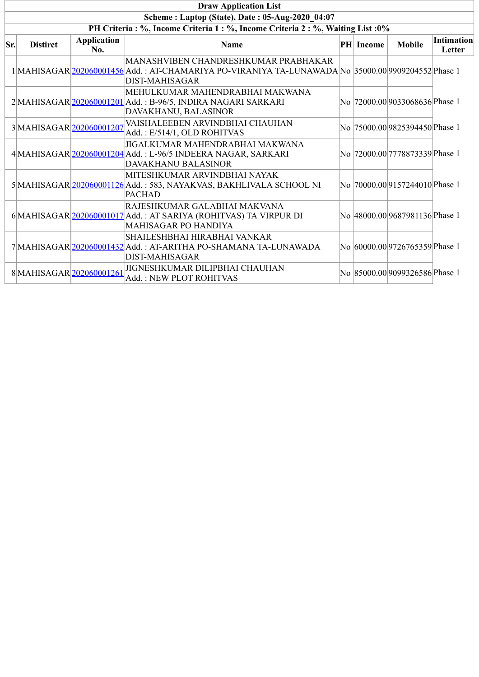|     | <b>Draw Application List</b>                                                     |                           |                                                                                                                                                                     |  |                  |                                    |                             |  |  |  |  |  |
|-----|----------------------------------------------------------------------------------|---------------------------|---------------------------------------------------------------------------------------------------------------------------------------------------------------------|--|------------------|------------------------------------|-----------------------------|--|--|--|--|--|
|     |                                                                                  |                           | Scheme: Laptop (State), Date: 05-Aug-2020 04:07                                                                                                                     |  |                  |                                    |                             |  |  |  |  |  |
|     | PH Criteria : %, Income Criteria 1 : %, Income Criteria 2 : %, Waiting List : 0% |                           |                                                                                                                                                                     |  |                  |                                    |                             |  |  |  |  |  |
| Sr. | <b>Distirct</b>                                                                  | <b>Application</b><br>No. | <b>Name</b>                                                                                                                                                         |  | <b>PH</b> Income | <b>Mobile</b>                      | <b>Intimation</b><br>Letter |  |  |  |  |  |
|     |                                                                                  |                           | MANASHVIBEN CHANDRESHKUMAR PRABHAKAR<br>1 MAHISAGAR 202060001456 Add.: AT-CHAMARIYA PO-VIRANIYA TA-LUNAWADA No 35000.00 9909204552 Phase 1<br><b>DIST-MAHISAGAR</b> |  |                  |                                    |                             |  |  |  |  |  |
|     |                                                                                  |                           | MEHULKUMAR MAHENDRABHAI MAKWANA<br>2 MAHISAGAR 202060001201 Add.: B-96/5, INDIRA NAGARI SARKARI<br>DAVAKHANU, BALASINOR                                             |  |                  | No  72000.00 9033068636 Phase 1    |                             |  |  |  |  |  |
|     | 3MAHISAGAR 202060001207                                                          |                           | VAISHALEEBEN ARVINDBHAI CHAUHAN<br>Add.: E/514/1, OLD ROHITVAS                                                                                                      |  |                  | No  75000.00 9825394450 Phase 1    |                             |  |  |  |  |  |
|     |                                                                                  |                           | JIGALKUMAR MAHENDRABHAI MAKWANA<br>4 MAHISAGAR 202060001204 Add.: L-96/5 INDEERA NAGAR, SARKARI<br>DAVAKHANU BALASINOR                                              |  |                  | No 72000.00 7778873339 Phase 1     |                             |  |  |  |  |  |
|     |                                                                                  |                           | MITESHKUMAR ARVINDBHAI NAYAK<br>5 MAHISAGAR 202060001126 Add.: 583, NAYAKVAS, BAKHLIVALA SCHOOL NI<br><b>PACHAD</b>                                                 |  |                  | No  70000.00 9157244010 Phase 1    |                             |  |  |  |  |  |
|     |                                                                                  |                           | RAJESHKUMAR GALABHAI MAKVANA<br>$6$ MAHISAGAR $ 202060001017 $ Add.: AT SARIYA (ROHITVAS) TA VIRPUR DI<br>MAHISAGAR PO HANDIYA                                      |  |                  | No 48000.00 9687981136 Phase 1     |                             |  |  |  |  |  |
|     |                                                                                  |                           | SHAILESHBHAI HIRABHAI VANKAR<br>7 MAHISAGAR 202060001432 Add. : AT-ARITHA PO-SHAMANA TA-LUNAWADA<br><b>DIST-MAHISAGAR</b>                                           |  |                  | No 60000.00 9726765359 Phase 1     |                             |  |  |  |  |  |
|     | 8MAHISAGAR 202060001261                                                          |                           | JIGNESHKUMAR DILIPBHAI CHAUHAN<br>Add.: NEW PLOT ROHITVAS                                                                                                           |  |                  | No   85000.00  9099326586  Phase 1 |                             |  |  |  |  |  |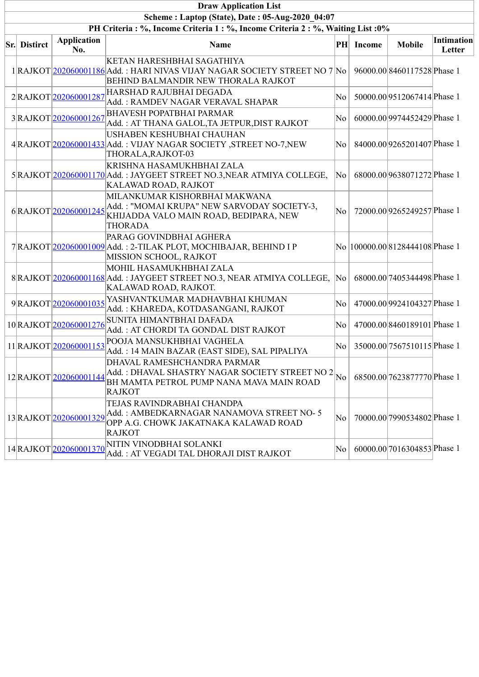| <b>Draw Application List</b>                    |                           |                                                                                                                                                                                         |                        |           |                                  |                      |  |  |  |  |  |
|-------------------------------------------------|---------------------------|-----------------------------------------------------------------------------------------------------------------------------------------------------------------------------------------|------------------------|-----------|----------------------------------|----------------------|--|--|--|--|--|
| Scheme: Laptop (State), Date: 05-Aug-2020 04:07 |                           |                                                                                                                                                                                         |                        |           |                                  |                      |  |  |  |  |  |
|                                                 |                           | PH Criteria : %, Income Criteria 1 : %, Income Criteria 2 : %, Waiting List : 0%                                                                                                        |                        |           |                                  |                      |  |  |  |  |  |
| <b>Sr.</b> Distirct                             | <b>Application</b><br>No. | <b>Name</b>                                                                                                                                                                             |                        | PH Income | <b>Mobile</b>                    | Intimation<br>Letter |  |  |  |  |  |
|                                                 |                           | KETAN HARESHBHAI SAGATHIYA<br>1 RAJKOT 202060001186 Add.: HARI NIVAS VIJAY NAGAR SOCIETY STREET NO 7 No<br>BEHIND BALMANDIR NEW THORALA RAJKOT                                          |                        |           | 96000.00 8460117528 Phase 1      |                      |  |  |  |  |  |
|                                                 | 2RAJKOT202060001287       | HARSHAD RAJUBHAI DEGADA<br>Add.: RAMDEV NAGAR VERAVAL SHAPAR                                                                                                                            | No                     |           | 50000.00 9512067414 Phase 1      |                      |  |  |  |  |  |
|                                                 | 3RAJKOT202060001267       | <b>BHAVESH POPATBHAI PARMAR</b><br>Add.: AT THANA GALOL, TA JETPUR, DIST RAJKOT                                                                                                         | No                     |           | 60000.00 9974452429 Phase 1      |                      |  |  |  |  |  |
|                                                 |                           | USHABEN KESHUBHAI CHAUHAN<br>4 RAJKOT 202060001433 Add.: VIJAY NAGAR SOCIETY, STREET NO-7, NEW<br>THORALA, RAJKOT-03                                                                    | No                     |           | 84000.00 9265201407 Phase 1      |                      |  |  |  |  |  |
|                                                 |                           | KRISHNA HASAMUKHBHAI ZALA<br>5 RAJKOT 202060001170 Add.: JAYGEET STREET NO.3, NEAR ATMIYA COLLEGE,<br>KALAWAD ROAD, RAJKOT                                                              | No                     |           | 68000.00 9638071272 Phase 1      |                      |  |  |  |  |  |
|                                                 |                           | MILANKUMAR KISHORBHAI MAKWANA<br>$6$ RAJKOT $\frac{202060001245}{202060001245}$ Add.: "MOMAI KRUPA" NEW SARVODAY SOCIETY-3,<br>KHIJADDA VALO MAIN ROAD, BEDIPARA, NEW<br><b>THORADA</b> | No                     |           | 72000.00 9265249257 Phase 1      |                      |  |  |  |  |  |
|                                                 |                           | PARAG GOVINDBHAI AGHERA<br>7 RAJKOT 202060001009 Add.: 2-TILAK PLOT, MOCHIBAJAR, BEHIND I P<br>MISSION SCHOOL, RAJKOT                                                                   |                        |           | No  100000.00 8128444108 Phase 1 |                      |  |  |  |  |  |
|                                                 |                           | MOHIL HASAMUKHBHAI ZALA<br>8 RAJKOT 202060001168 Add.: JAYGEET STREET NO.3, NEAR ATMIYA COLLEGE,<br>KALAWAD ROAD, RAJKOT.                                                               | $\overline{\rm No}$    |           | 68000.00 7405344498 Phase 1      |                      |  |  |  |  |  |
|                                                 | 9RAJKOT202060001035       | YASHVANTKUMAR MADHAVBHAI KHUMAN<br>Add.: KHAREDA, KOTDASANGANI, RAJKOT                                                                                                                  | No                     |           | 47000.00 9924104327 Phase 1      |                      |  |  |  |  |  |
|                                                 | 10RAJKOT202060001276      | SUNITA HIMANTBHAI DAFADA<br>Add.: AT CHORDI TA GONDAL DIST RAJKOT                                                                                                                       | No                     |           | 47000.00 8460189101 Phase 1      |                      |  |  |  |  |  |
|                                                 | 11 RAJKOT 202060001153    | POOJA MANSUKHBHAI VAGHELA<br>Add.: 14 MAIN BAZAR (EAST SIDE), SAL PIPALIYA                                                                                                              | No                     |           | 35000.00 7567510115 Phase 1      |                      |  |  |  |  |  |
|                                                 | 12RAJKOT202060001144      | DHAVAL RAMESHCHANDRA PARMAR<br>Add.: DHAVAL SHASTRY NAGAR SOCIETY STREET NO 2<br>BH MAMTA PETROL PUMP NANA MAVA MAIN ROAD<br><b>RAJKOT</b>                                              | $\overline{\text{No}}$ |           | 68500.00 7623877770 Phase 1      |                      |  |  |  |  |  |
|                                                 | 13RAJKOT202060001329      | TEJAS RAVINDRABHAI CHANDPA<br>Add.: AMBEDKARNAGAR NANAMOVA STREET NO-5<br>OPP A.G. CHOWK JAKATNAKA KALAWAD ROAD<br><b>RAJKOT</b>                                                        | No                     |           | 70000.00 7990534802 Phase 1      |                      |  |  |  |  |  |
|                                                 | 14RAJKOT202060001370      | NITIN VINODBHAI SOLANKI<br>Add.: AT VEGADI TAL DHORAJI DIST RAJKOT                                                                                                                      | No                     |           | 60000.00 7016304853 Phase 1      |                      |  |  |  |  |  |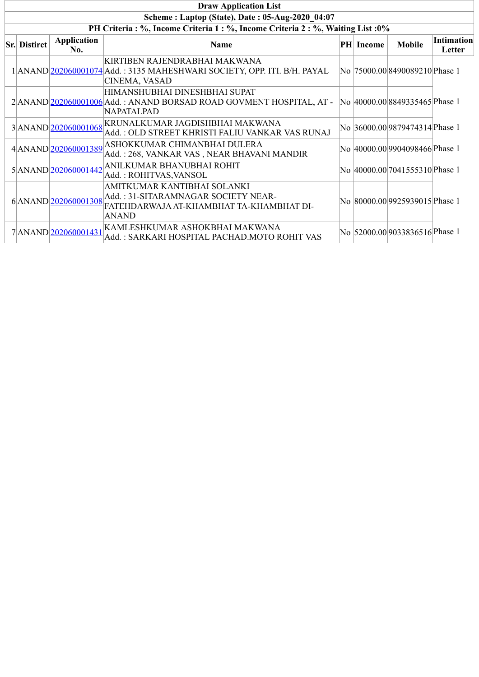| <b>Draw Application List</b>                    |                     |                                                                                                                                                                               |  |                  |                                    |                             |  |  |  |  |
|-------------------------------------------------|---------------------|-------------------------------------------------------------------------------------------------------------------------------------------------------------------------------|--|------------------|------------------------------------|-----------------------------|--|--|--|--|
| Scheme: Laptop (State), Date: 05-Aug-2020 04:07 |                     |                                                                                                                                                                               |  |                  |                                    |                             |  |  |  |  |
|                                                 |                     | PH Criteria : %, Income Criteria 1 : %, Income Criteria 2 : %, Waiting List : 0%                                                                                              |  |                  |                                    |                             |  |  |  |  |
| <b>Sr. Distirct</b>                             | Application<br>No.  | <b>Name</b>                                                                                                                                                                   |  | <b>PH</b> Income | <b>Mobile</b>                      | <b>Intimation</b><br>Letter |  |  |  |  |
|                                                 |                     | KIRTIBEN RAJENDRABHAI MAKWANA<br>1 ANAND 202060001074 Add.: 3135 MAHESHWARI SOCIETY, OPP. ITI. B/H. PAYAL<br>CINEMA, VASAD                                                    |  |                  | No  75000.00 8490089210 Phase 1    |                             |  |  |  |  |
|                                                 |                     | HIMANSHUBHAI DINESHBHAI SUPAT<br>2 ANAND 202060001006 Add.: ANAND BORSAD ROAD GOVMENT HOSPITAL, AT -<br>NAPATALPAD                                                            |  |                  | No 40000.00 8849335465 Phase 1     |                             |  |  |  |  |
|                                                 | 3ANAND 202060001068 | KRUNALKUMAR JAGDISHBHAI MAKWANA<br>Add.: OLD STREET KHRISTI FALIU VANKAR VAS RUNAJ                                                                                            |  |                  | No 36000.00 9879474314 Phase 1     |                             |  |  |  |  |
|                                                 |                     | $4\bigl \mathrm{ANAND}\bigl \underline{202060001389}\bigr \mathrm{ASHOKKUMAR}\ \overline{\mathrm{CHIMANBHAI}\ \mathrm{DULERA}}$<br>Add.: 268, VANKAR VAS, NEAR BHAVANI MANDIR |  |                  | No 40000.00 9904098466 Phase 1     |                             |  |  |  |  |
|                                                 |                     | $5\left \mathrm{ANAND}\right \underline{202060001442}\right \mathrm{ANILKUMAR BHANUBHAI ROHIT}$<br>Add.: ROHITVAS, VANSOL                                                     |  |                  | No 40000.00 7041555310 Phase 1     |                             |  |  |  |  |
|                                                 | 6ANAND 202060001308 | AMITKUMAR KANTIBHAI SOLANKI<br>Add.: 31-SITARAMNAGAR SOCIETY NEAR-<br>FATEHDARWAJA AT-KHAMBHAT TA-KHAMBHAT DI-<br><b>ANAND</b>                                                |  |                  | No   80000.00  9925939015  Phase 1 |                             |  |  |  |  |
|                                                 | 7ANAND 202060001431 | KAMLESHKUMAR ASHOKBHAI MAKWANA<br>Add.: SARKARI HOSPITAL PACHAD.MOTO ROHIT VAS                                                                                                |  |                  | No 52000.00 9033836516 Phase 1     |                             |  |  |  |  |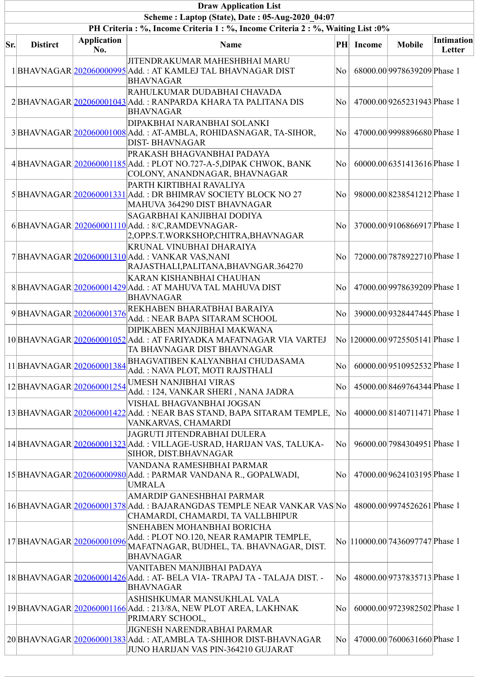|     | <b>Draw Application List</b>                    |                           |                                                                                                                                          |                  |               |                                  |                      |  |  |  |  |  |
|-----|-------------------------------------------------|---------------------------|------------------------------------------------------------------------------------------------------------------------------------------|------------------|---------------|----------------------------------|----------------------|--|--|--|--|--|
|     | Scheme: Laptop (State), Date: 05-Aug-2020 04:07 |                           |                                                                                                                                          |                  |               |                                  |                      |  |  |  |  |  |
|     |                                                 |                           | PH Criteria: %, Income Criteria 1: %, Income Criteria 2: %, Waiting List: 0%                                                             |                  |               |                                  |                      |  |  |  |  |  |
| Sr. | <b>Distirct</b>                                 | <b>Application</b><br>No. | <b>Name</b>                                                                                                                              | $\bf{PH}$        | <b>Income</b> | <b>Mobile</b>                    | Intimation<br>Letter |  |  |  |  |  |
|     |                                                 |                           | JITENDRAKUMAR MAHESHBHAI MARU<br>1 BHAVNAGAR 202060000995 Add.: AT KAMLEJ TAL BHAVNAGAR DIST<br><b>BHAVNAGAR</b>                         | No               |               | 68000.00 9978639209 Phase 1      |                      |  |  |  |  |  |
|     |                                                 |                           | RAHULKUMAR DUDABHAI CHAVADA<br>2 BHAVNAGAR 202060001043 Add.: RANPARDA KHARA TA PALITANA DIS<br><b>BHAVNAGAR</b>                         | $\rm{No}$        |               | 47000.00 9265231943 Phase 1      |                      |  |  |  |  |  |
|     |                                                 |                           | DIPAKBHAI NARANBHAI SOLANKI<br>3 BHAVNAGAR 202060001008 Add. : AT-AMBLA, ROHIDASNAGAR, TA-SIHOR,<br><b>DIST-BHAVNAGAR</b>                | $\rm{No}$ $\mid$ |               | 47000.00 9998896680 Phase 1      |                      |  |  |  |  |  |
|     |                                                 |                           | PRAKASH BHAGVANBHAI PADAYA<br>4 BHAVNAGAR 202060001185 Add.: PLOT NO.727-A-5, DIPAK CHWOK, BANK<br>COLONY, ANANDNAGAR, BHAVNAGAR         | No               |               | 60000.00 6351413616 Phase 1      |                      |  |  |  |  |  |
|     |                                                 |                           | PARTH KIRTIBHAI RAVALIYA<br>5 BHAVNAGAR 202060001331 Add.: DR BHIMRAV SOCIETY BLOCK NO 27<br>MAHUVA 364290 DIST BHAVNAGAR                | $\rm{No}$        |               | 98000.00 8238541212 Phase 1      |                      |  |  |  |  |  |
|     |                                                 |                           | SAGARBHAI KANJIBHAI DODIYA<br>6BHAVNAGAR 202060001110 Add.: 8/C,RAMDEVNAGAR-<br>2, OPP.S.T. WORKSHOP, CHITRA, BHAVNAGAR                  | No               |               | 37000.00 9106866917 Phase 1      |                      |  |  |  |  |  |
|     |                                                 |                           | KRUNAL VINUBHAI DHARAIYA<br>7 BHAVNAGAR 202060001310 Add.: VANKAR VAS,NANI<br>RAJASTHALI, PALITANA, BHAVNGAR. 364270                     | No               |               | 72000.00 7878922710 Phase 1      |                      |  |  |  |  |  |
|     |                                                 |                           | KARAN KISHANBHAI CHAUHAN<br>8BHAVNAGAR 202060001429 Add.: AT MAHUVA TAL MAHUVA DIST<br><b>BHAVNAGAR</b>                                  | No               |               | 47000.00 9978639209 Phase 1      |                      |  |  |  |  |  |
|     | 9BHAVNAGAR 202060001376                         |                           | REKHABEN BHARATBHAI BARAIYA<br>Add.: NEAR BAPA SITARAM SCHOOL                                                                            | No               |               | 39000.00 9328447445 Phase 1      |                      |  |  |  |  |  |
|     |                                                 |                           | DIPIKABEN MANJIBHAI MAKWANA<br>10 BHAVNAGAR 202060001052 Add. : AT FARIYADKA MAFATNAGAR VIA VARTEJ<br>TA BHAVNAGAR DIST BHAVNAGAR        |                  |               | No 120000.00 9725505141 Phase 1  |                      |  |  |  |  |  |
|     | 11 BHAVNAGAR 202060001384                       |                           | BHAGVATIBEN KALYANBHAI CHUDASAMA<br>Add.: NAVA PLOT, MOTI RAJSTHALI                                                                      | $\rm{No}$ $\mid$ |               | 60000.00 9510952532 Phase 1      |                      |  |  |  |  |  |
|     | 12BHAVNAGAR 202060001254                        |                           | <b>UMESH NANJIBHAI VIRAS</b><br>Add.: 124, VANKAR SHERI, NANA JADRA                                                                      | No               |               | 45000.00 8469764344 Phase 1      |                      |  |  |  |  |  |
|     |                                                 |                           | VISHAL BHAGVANBHAI JOGSAN<br>13 BHAVNAGAR 202060001422 Add.: NEAR BAS STAND, BAPA SITARAM TEMPLE,<br>VANKARVAS, CHAMARDI                 | No               |               | 40000.00 8140711471 Phase 1      |                      |  |  |  |  |  |
|     |                                                 |                           | JAGRUTI JITENDRABHAI DULERA<br>14 BHAVNAGAR 202060001323 Add.: VILLAGE-USRAD, HARIJAN VAS, TALUKA-<br>SIHOR, DIST.BHAVNAGAR              | No               |               | 96000.00 7984304951 Phase 1      |                      |  |  |  |  |  |
|     |                                                 |                           | VANDANA RAMESHBHAI PARMAR<br>15 BHAVNAGAR 202060000980 Add. : PARMAR VANDANA R., GOPALWADI,<br><b>UMRALA</b>                             | No               |               | 47000.00 9624103195 Phase 1      |                      |  |  |  |  |  |
|     |                                                 |                           | AMARDIP GANESHBHAI PARMAR<br>16 BHAVNAGAR 202060001378 Add.: BAJARANGDAS TEMPLE NEAR VANKAR VAS No<br>CHAMARDI, CHAMARDI, TA VALLBHIPUR  |                  |               | 48000.00 9974526261 Phase 1      |                      |  |  |  |  |  |
|     | 17BHAVNAGAR 202060001096                        |                           | SNEHABEN MOHANBHAI BORICHA<br>Add.: PLOT NO.120, NEAR RAMAPIR TEMPLE,<br>MAFATNAGAR, BUDHEL, TA. BHAVNAGAR, DIST.<br><b>BHAVNAGAR</b>    |                  |               | No  110000.00 7436097747 Phase 1 |                      |  |  |  |  |  |
|     |                                                 |                           | VANITABEN MANJIBHAI PADAYA<br>18 BHAVNAGAR 202060001426 Add.: AT-BELA VIA-TRAPAJ TA - TALAJA DIST. -<br><b>BHAVNAGAR</b>                 | $\rm{No}$ $\mid$ |               | 48000.00 9737835713 Phase 1      |                      |  |  |  |  |  |
|     |                                                 |                           | ASHISHKUMAR MANSUKHLAL VALA<br>19 BHAVNAGAR 202060001166 Add.: 213/8A, NEW PLOT AREA, LAKHNAK<br>PRIMARY SCHOOL,                         | No               |               | 60000.00 9723982502 Phase 1      |                      |  |  |  |  |  |
|     |                                                 |                           | JIGNESH NARENDRABHAI PARMAR<br>20 BHAVNAGAR 202060001383 Add.: AT, AMBLA TA-SHIHOR DIST-BHAVNAGAR<br>JUNO HARIJAN VAS PIN-364210 GUJARAT | $\rm{No}$        |               | 47000.00 7600631660 Phase 1      |                      |  |  |  |  |  |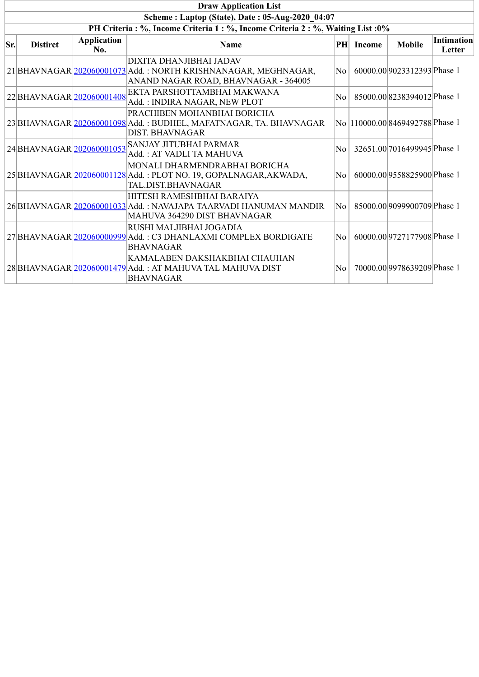|     | <b>Draw Application List</b> |                           |                                                                                                                                   |                  |        |                                  |                             |  |  |
|-----|------------------------------|---------------------------|-----------------------------------------------------------------------------------------------------------------------------------|------------------|--------|----------------------------------|-----------------------------|--|--|
|     |                              |                           | Scheme: Laptop (State), Date: 05-Aug-2020 04:07                                                                                   |                  |        |                                  |                             |  |  |
|     |                              |                           | PH Criteria: %, Income Criteria 1: %, Income Criteria 2: %, Waiting List: 0%                                                      |                  |        |                                  |                             |  |  |
| Sr. | <b>Distirct</b>              | <b>Application</b><br>No. | <b>Name</b>                                                                                                                       | PH               | Income | <b>Mobile</b>                    | <b>Intimation</b><br>Letter |  |  |
|     |                              |                           | DIXITA DHANJIBHAI JADAV<br>21 BHAVNAGAR 202060001073 Add.: NORTH KRISHNANAGAR, MEGHNAGAR,<br>ANAND NAGAR ROAD, BHAVNAGAR - 364005 | $\rm{No}$ $\mid$ |        | 60000.00 9023312393 Phase 1      |                             |  |  |
|     | 22 BHAVNAGAR 202060001408    |                           | EKTA PARSHOTTAMBHAI MAKWANA<br>Add.: INDIRA NAGAR, NEW PLOT                                                                       | No l             |        | 85000.00 8238394012 Phase 1      |                             |  |  |
|     |                              |                           | PRACHIBEN MOHANBHAI BORICHA<br>23 BHAVNAGAR 202060001098 Add. : BUDHEL, MAFATNAGAR, TA. BHAVNAGAR<br>DIST. BHAVNAGAR              |                  |        | No  110000.00 8469492788 Phase 1 |                             |  |  |
|     | 24 BHAVNAGAR 202060001053    |                           | SANJAY JITUBHAI PARMAR<br>Add.: AT VADLI TA MAHUVA                                                                                | No               |        | 32651.00 7016499945 Phase 1      |                             |  |  |
|     |                              |                           | MONALI DHARMENDRABHAI BORICHA<br>25 BHAVNAGAR 202060001128 Add.: PLOT NO. 19, GOPALNAGAR, AKWADA,<br>TAL.DIST.BHAVNAGAR           | No l             |        | 60000.00 9558825900 Phase 1      |                             |  |  |
|     |                              |                           | HITESH RAMESHBHAI BARAIYA<br>26 BHAVNAGAR 202060001033 Add. : NAVAJAPA TAARVADI HANUMAN MANDIR<br>MAHUVA 364290 DIST BHAVNAGAR    | No l             |        | 85000.00 9099900709 Phase 1      |                             |  |  |
|     |                              |                           | RUSHI MALJIBHAI JOGADIA<br>27 BHAVNAGAR 20206000999 Add.: C3 DHANLAXMI COMPLEX BORDIGATE<br><b>BHAVNAGAR</b>                      | No l             |        | 60000.00 9727177908 Phase 1      |                             |  |  |
|     |                              |                           | KAMALABEN DAKSHAKBHAI CHAUHAN<br>28 BHAVNAGAR 202060001479 Add. : AT MAHUVA TAL MAHUVA DIST<br><b>BHAVNAGAR</b>                   | No               |        | 70000.00 9978639209 Phase 1      |                             |  |  |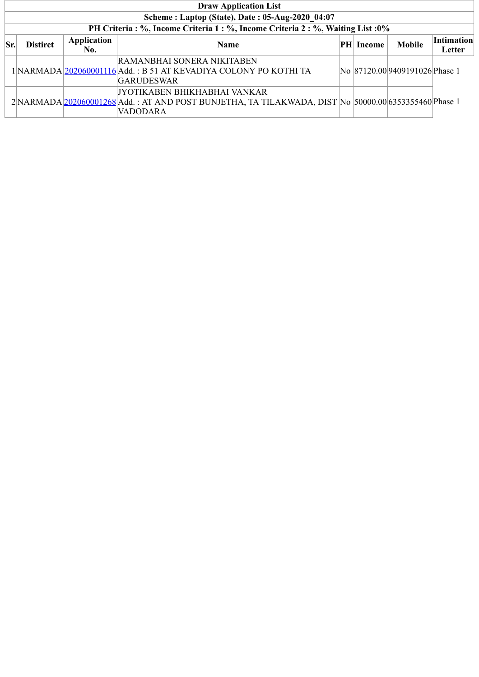|     | <b>Draw Application List</b>                    |             |                                                                                                      |  |            |                                |                   |  |  |  |  |
|-----|-------------------------------------------------|-------------|------------------------------------------------------------------------------------------------------|--|------------|--------------------------------|-------------------|--|--|--|--|
|     | Scheme: Laptop (State), Date: 05-Aug-2020 04:07 |             |                                                                                                      |  |            |                                |                   |  |  |  |  |
|     |                                                 |             | PH Criteria : %, Income Criteria 1 : %, Income Criteria 2 : %, Waiting List : 0%                     |  |            |                                |                   |  |  |  |  |
| Sr. | <b>Distirct</b>                                 | Application | <b>Name</b>                                                                                          |  | PH  Income | <b>Mobile</b>                  | <b>Intimation</b> |  |  |  |  |
|     |                                                 | No.         |                                                                                                      |  |            |                                | Letter            |  |  |  |  |
|     |                                                 |             | RAMANBHAI SONERA NIKITABEN                                                                           |  |            |                                |                   |  |  |  |  |
|     |                                                 |             | 1 NARMADA 202060001116 Add. : B 51 AT KEVADIYA COLONY PO KOTHI TA                                    |  |            | No 87120.00 9409191026 Phase 1 |                   |  |  |  |  |
|     |                                                 |             | <b>GARUDESWAR</b>                                                                                    |  |            |                                |                   |  |  |  |  |
|     |                                                 |             | JYOTIKABEN BHIKHABHAI VANKAR                                                                         |  |            |                                |                   |  |  |  |  |
|     |                                                 |             | 2 NARMADA 202060001268 Add.: AT AND POST BUNJETHA, TA TILAKWADA, DIST No 50000.00 6353355460 Phase 1 |  |            |                                |                   |  |  |  |  |
|     |                                                 |             | VADODARA                                                                                             |  |            |                                |                   |  |  |  |  |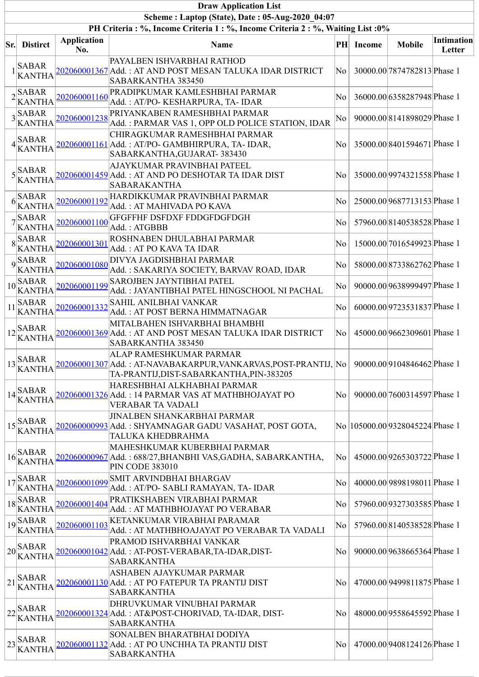|                                                 |                                                                                                                                                                                                                                                                                                                                                                                                                                                                                                                                         |                           | <b>Draw Application List</b>                                                                                                                   |    |               |                                  |                             |  |  |  |  |  |
|-------------------------------------------------|-----------------------------------------------------------------------------------------------------------------------------------------------------------------------------------------------------------------------------------------------------------------------------------------------------------------------------------------------------------------------------------------------------------------------------------------------------------------------------------------------------------------------------------------|---------------------------|------------------------------------------------------------------------------------------------------------------------------------------------|----|---------------|----------------------------------|-----------------------------|--|--|--|--|--|
| Scheme: Laptop (State), Date: 05-Aug-2020 04:07 |                                                                                                                                                                                                                                                                                                                                                                                                                                                                                                                                         |                           |                                                                                                                                                |    |               |                                  |                             |  |  |  |  |  |
|                                                 |                                                                                                                                                                                                                                                                                                                                                                                                                                                                                                                                         |                           | PH Criteria : %, Income Criteria 1 : %, Income Criteria 2 : %, Waiting List : 0%                                                               |    |               |                                  |                             |  |  |  |  |  |
|                                                 | <b>Sr.</b> Distirct                                                                                                                                                                                                                                                                                                                                                                                                                                                                                                                     | <b>Application</b><br>No. | Name                                                                                                                                           | PH | <b>Income</b> | <b>Mobile</b>                    | <b>Intimation</b><br>Letter |  |  |  |  |  |
|                                                 | <b>SABAR</b><br><b>KANTHA</b>                                                                                                                                                                                                                                                                                                                                                                                                                                                                                                           |                           | PAYALBEN ISHVARBHAI RATHOD<br>202060001367 Add. : AT AND POST MESAN TALUKA IDAR DISTRICT<br>SABARKANTHA 383450                                 | No |               | 30000.00 7874782813 Phase 1      |                             |  |  |  |  |  |
|                                                 | $2$ SABAR<br><b>KANTHA</b>                                                                                                                                                                                                                                                                                                                                                                                                                                                                                                              | 202060001160              | PRADIPKUMAR KAMLESHBHAI PARMAR<br>Add.: AT/PO-KESHARPURA, TA-IDAR                                                                              | No |               | 36000.00 6358287948 Phase 1      |                             |  |  |  |  |  |
|                                                 | $3$ SABAR<br><b>KANTHA</b>                                                                                                                                                                                                                                                                                                                                                                                                                                                                                                              | 202060001238              | PRIYANKABEN RAMESHBHAI PARMAR<br>Add.: PARMAR VAS 1, OPP OLD POLICE STATION, IDAR                                                              | No |               | 90000.008141898029Phase 1        |                             |  |  |  |  |  |
|                                                 | $4$ SABAR<br>KANTHA                                                                                                                                                                                                                                                                                                                                                                                                                                                                                                                     |                           | CHIRAGKUMAR RAMESHBHAI PARMAR<br>202060001161 Add.: AT/PO- GAMBHIRPURA, TA- IDAR,<br>SABARKANTHA, GUJARAT-383430                               | No |               | 35000.00 8401594671 Phase 1      |                             |  |  |  |  |  |
|                                                 | $5$ <sup>SABAR</sup><br><b>KANTHA</b>                                                                                                                                                                                                                                                                                                                                                                                                                                                                                                   |                           | AJAYKUMAR PRAVINBHAI PATEEL<br><u> 202060001459 </u> Add. : AT AND PO DESHOTAR TA IDAR DIST<br><b>SABARAKANTHA</b>                             | No |               | 35000.00 9974321558 Phase 1      |                             |  |  |  |  |  |
|                                                 | $6 \times \overline{\text{SABAR}}$<br><b>KANTHA</b>                                                                                                                                                                                                                                                                                                                                                                                                                                                                                     | 202060001192              | HARDIKKUMAR PRAVINBHAI PARMAR<br>Add.: AT MAHIVADA PO KAVA                                                                                     | No |               | 25000.00 9687713153 Phase 1      |                             |  |  |  |  |  |
|                                                 | $7\overline{\smash{\big)}\,{\rm SABAR}}$<br><b>KANTHA</b>                                                                                                                                                                                                                                                                                                                                                                                                                                                                               | 202060001100              | GFGFFHF DSFDXF FDDGFDGFDGH<br>Add.: ATGBBB                                                                                                     | No |               | 57960.00 8140538528 Phase 1      |                             |  |  |  |  |  |
|                                                 | $8\overline{\smash{\big)}\,$ SABAR<br><b>KANTHA</b>                                                                                                                                                                                                                                                                                                                                                                                                                                                                                     | 202060001301              | <b>ROSHNABEN DHULABHAI PARMAR</b><br>Add. : AT PO KAVA TA IDAR                                                                                 | No |               | 15000.00 7016549923 Phase 1      |                             |  |  |  |  |  |
|                                                 | $9$ <sup>SABAR</sup><br>KANTHA                                                                                                                                                                                                                                                                                                                                                                                                                                                                                                          | 202060001080              | DIVYA JAGDISHBHAI PARMAR<br>Add. : SAKARIYA SOCIETY, BARVAV ROAD, IDAR                                                                         | No |               | 58000.00 8733862762 Phase 1      |                             |  |  |  |  |  |
|                                                 | $10\overline{\smash{\big)}\text{SABAR}}$<br><b>KANTHA</b>                                                                                                                                                                                                                                                                                                                                                                                                                                                                               | 202060001199              | <b>SAROJBEN JAYNTIBHAI PATEL</b><br>Add.: JAYANTIBHAI PATEL HINGSCHOOL NI PACHAL                                                               | No |               | 90000.00 9638999497 Phase 1      |                             |  |  |  |  |  |
| 11                                              | <b>SABAR</b><br><b>KANTHA</b>                                                                                                                                                                                                                                                                                                                                                                                                                                                                                                           | 202060001332              | SAHIL ANILBHAI VANKAR<br>Add.: AT POST BERNA HIMMATNAGAR                                                                                       | No |               | 60000.00 9723531837 Phase 1      |                             |  |  |  |  |  |
|                                                 | $12\begin{vmatrix} SABAR \\ r \end{vmatrix}$<br><b>KANTHA</b>                                                                                                                                                                                                                                                                                                                                                                                                                                                                           |                           | MITALBAHEN ISHVARBHAI BHAMBHI<br><u> 202060001369 </u> Add. : AT AND POST MESAN TALUKA IDAR DISTRICT<br>SABARKANTHA 383450                     | No |               | 45000.00 9662309601 Phase 1      |                             |  |  |  |  |  |
| 13                                              | <b>SABAR</b><br><b>KANTHA</b>                                                                                                                                                                                                                                                                                                                                                                                                                                                                                                           |                           | ALAP RAMESHKUMAR PARMAR<br><u>202060001307 </u> Add. : AT-NAVABAKARPUR,VANKARVAS,POST-PRANTIJ,  No  <br>TA-PRANTIJ,DIST-SABARKANTHA,PIN-383205 |    |               | 90000.00 9104846462 Phase 1      |                             |  |  |  |  |  |
|                                                 | $14\begin{array}{l}\n\text{SABAR} \\ \text{F}\n\end{array}$<br><b>KANTHA</b>                                                                                                                                                                                                                                                                                                                                                                                                                                                            |                           | HARESHBHAI ALKHABHAI PARMAR<br>202060001326 Add.: 14 PARMAR VAS AT MATHBHOJAYAT PO<br><b>VERABAR TA VADALI</b>                                 | No |               | 90000.00 7600314597 Phase 1      |                             |  |  |  |  |  |
|                                                 | $15$ SABAR<br><b>KANTHA</b>                                                                                                                                                                                                                                                                                                                                                                                                                                                                                                             |                           | <b>JINALBEN SHANKARBHAI PARMAR</b><br><u> 202060000993 </u> Add. : SHYAMNAGAR GADU VASAHAT, POST GOTA,<br>TALUKA KHEDBRAHMA                    |    |               | No  105000.00 9328045224 Phase 1 |                             |  |  |  |  |  |
|                                                 | $16\begin{vmatrix} SABAR \\ r \end{vmatrix}$<br><b>KANTHA</b>                                                                                                                                                                                                                                                                                                                                                                                                                                                                           |                           | MAHESHKUMAR KUBERBHAI PARMAR<br>202060000967 Add.: 688/27, BHANBHI VAS, GADHA, SABARKANTHA,<br><b>PIN CODE 383010</b>                          | No |               | 45000.00 9265303722 Phase 1      |                             |  |  |  |  |  |
|                                                 | $17\frac{\text{SABAR}}{\text{A} \cdot \text{BA} \cdot \text{BA} \cdot \text{BA} \cdot \text{BA} \cdot \text{BA} \cdot \text{BA} \cdot \text{BA} \cdot \text{BA} \cdot \text{BA} \cdot \text{BA} \cdot \text{BA} \cdot \text{BA} \cdot \text{BA} \cdot \text{BA} \cdot \text{BA} \cdot \text{BA} \cdot \text{BA} \cdot \text{BA} \cdot \text{BA} \cdot \text{BA} \cdot \text{BA} \cdot \text{BA} \cdot \text{BA} \cdot \text{BA} \cdot \text{BA} \cdot \text{BA} \cdot \text{BA} \cdot \text{BA} \cdot \text{BA} \cdot$<br><b>KANTHA</b> | 202060001099              | <b>SMIT ARVINDBHAI BHARGAV</b><br>Add.: AT/PO- SABLI RAMAYAN, TA- IDAR                                                                         | No |               | 40000.00 9898198011 Phase 1      |                             |  |  |  |  |  |
|                                                 | $18\overline{\smash{\big  \text{SABAR}}\ }$<br><b>KANTHA</b>                                                                                                                                                                                                                                                                                                                                                                                                                                                                            | 202060001404              | PRATIKSHABEN VIRABHAI PARMAR<br>Add.: AT MATHBHOJAYAT PO VERABAR                                                                               | No |               | 57960.00 9327303585 Phase 1      |                             |  |  |  |  |  |
|                                                 | $19\overline{\smash{\big)}\smash{\text{SABAR}}}$<br><b>KANTHA</b>                                                                                                                                                                                                                                                                                                                                                                                                                                                                       | 202060001103              | KETANKUMAR VIRABHAI PARAMAR<br>Add. : AT MATHBHOAJAYAT PO VERABAR TA VADALI                                                                    | No |               | 57960.00 8140538528 Phase 1      |                             |  |  |  |  |  |
|                                                 | $\frac{1}{20}$ SABAR<br><b>KANTHA</b>                                                                                                                                                                                                                                                                                                                                                                                                                                                                                                   |                           | PRAMOD ISHVARBHAI VANKAR<br><u> 202060001042</u>  Add. : AT-POST-VERABAR,TA-IDAR,DIST-<br><b>SABARKANTHA</b>                                   | No |               | 90000.00 9638665364 Phase 1      |                             |  |  |  |  |  |
|                                                 | $ 21 _{\mathcal{F}}^{\mathbf{SABAR}}$<br><b>KANTHA</b>                                                                                                                                                                                                                                                                                                                                                                                                                                                                                  |                           | ASHABEN AJAYKUMAR PARMAR<br>202060001130 Add. : AT PO FATEPUR TA PRANTIJ DIST<br><b>SABARKANTHA</b>                                            | No |               | 47000.00 9499811875 Phase 1      |                             |  |  |  |  |  |
|                                                 | $22$ SABAR<br><b>KANTHA</b>                                                                                                                                                                                                                                                                                                                                                                                                                                                                                                             |                           | DHRUVKUMAR VINUBHAI PARMAR<br>202060001324 Add.: AT&POST-CHORIVAD, TA-IDAR, DIST-<br><b>SABARKANTHA</b>                                        | No |               | 48000.00 9558645592 Phase 1      |                             |  |  |  |  |  |
|                                                 | $ 23 $ SABAR<br><b>KANTHA</b>                                                                                                                                                                                                                                                                                                                                                                                                                                                                                                           |                           | SONALBEN BHARATBHAI DODIYA<br>202060001132 Add. : AT PO UNCHHA TA PRANTIJ DIST<br><b>SABARKANTHA</b>                                           | No |               | 47000.00 9408124126 Phase 1      |                             |  |  |  |  |  |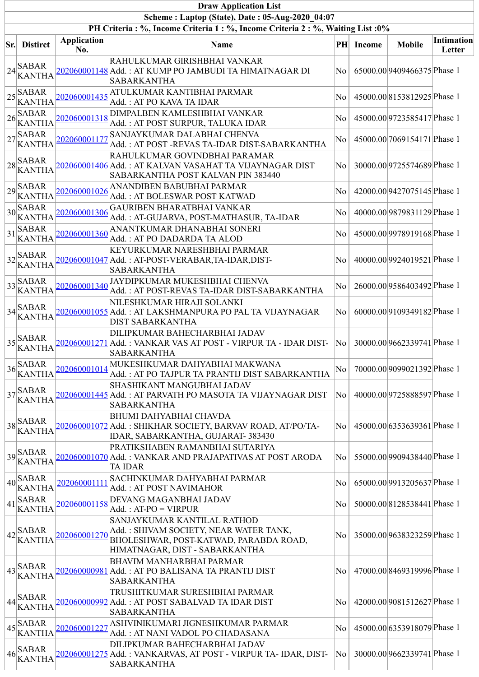|     |                                                                                                                                                                                                                                                                                                                                                                                                                                                                            |                           | <b>Draw Application List</b>                                                                                                                      |           |               |                             |                             |
|-----|----------------------------------------------------------------------------------------------------------------------------------------------------------------------------------------------------------------------------------------------------------------------------------------------------------------------------------------------------------------------------------------------------------------------------------------------------------------------------|---------------------------|---------------------------------------------------------------------------------------------------------------------------------------------------|-----------|---------------|-----------------------------|-----------------------------|
|     |                                                                                                                                                                                                                                                                                                                                                                                                                                                                            |                           | Scheme: Laptop (State), Date: 05-Aug-2020 04:07                                                                                                   |           |               |                             |                             |
|     |                                                                                                                                                                                                                                                                                                                                                                                                                                                                            |                           | PH Criteria : %, Income Criteria 1 : %, Income Criteria 2 : %, Waiting List : 0%                                                                  |           |               |                             |                             |
| Sr. | <b>Distirct</b>                                                                                                                                                                                                                                                                                                                                                                                                                                                            | <b>Application</b><br>No. | Name                                                                                                                                              | $\bf{PH}$ | <b>Income</b> | <b>Mobile</b>               | <b>Intimation</b><br>Letter |
|     | $24$ SABAR<br><b>KANTHA</b>                                                                                                                                                                                                                                                                                                                                                                                                                                                |                           | RAHULKUMAR GIRISHBHAI VANKAR<br>202060001148 Add.: AT KUMP PO JAMBUDI TA HIMATNAGAR DI<br><b>SABARKANTHA</b>                                      | No        |               | 65000.00 9409466375 Phase 1 |                             |
|     | $\frac{1}{25}$ SABAR<br><b>KANTHA</b>                                                                                                                                                                                                                                                                                                                                                                                                                                      | 202060001435              | ATULKUMAR KANTIBHAI PARMAR<br>Add.: AT PO KAVA TA IDAR                                                                                            | No        |               | 45000.00 8153812925 Phase 1 |                             |
|     | $126 \times 26$<br><b>KANTHA</b>                                                                                                                                                                                                                                                                                                                                                                                                                                           | 202060001318              | DIMPALBEN KAMLESHBHAI VANKAR<br>Add.: AT POST SURPUR, TALUKA IDAR                                                                                 | No        |               | 45000.00 9723585417 Phase 1 |                             |
|     | $27\frac{SABAR}{R}$<br><b>KANTHA</b>                                                                                                                                                                                                                                                                                                                                                                                                                                       | 202060001177              | SANJAYKUMAR DALABHAI CHENVA<br>Add.: AT POST -REVAS TA-IDAR DIST-SABARKANTHA                                                                      | No        |               | 45000.00 7069154171 Phase 1 |                             |
|     | $ 28 _{rr}$ SABAR<br><b>KANTHA</b>                                                                                                                                                                                                                                                                                                                                                                                                                                         |                           | RAHULKUMAR GOVINDBHAI PARAMAR<br>202060001406 Add. : AT KALVAN VASAHAT TA VIJAYNAGAR DIST<br>SABARKANTHA POST KALVAN PIN 383440                   | No        |               | 30000.00 9725574689 Phase 1 |                             |
|     | $\frac{1}{29}$ SABAR<br><b>KANTHA</b>                                                                                                                                                                                                                                                                                                                                                                                                                                      | 202060001026              | ANANDIBEN BABUBHAI PARMAR<br>Add.: AT BOLESWAR POST KATWAD                                                                                        | No        |               | 42000.00 9427075145 Phase 1 |                             |
|     | $30 \times 30$<br><b>KANTHA</b>                                                                                                                                                                                                                                                                                                                                                                                                                                            | 202060001306              | <b>GAURIBEN BHARATBHAI VANKAR</b><br>Add.: AT-GUJARVA, POST-MATHASUR, TA-IDAR                                                                     | No        |               | 40000.00 9879831129 Phase 1 |                             |
|     | $\left 31\right _{\infty}$ SABAR<br><b>KANTHA</b>                                                                                                                                                                                                                                                                                                                                                                                                                          | 202060001360              | ANANTKUMAR DHANABHAI SONERI<br>Add.: AT PO DADARDA TA ALOD                                                                                        | No        |               | 45000.00 9978919168 Phase 1 |                             |
|     | $32$ SABAR<br><b>KANTHA</b>                                                                                                                                                                                                                                                                                                                                                                                                                                                |                           | KEYURKUMAR NARESHBHAI PARMAR<br>202060001047 Add. : AT-POST-VERABAR,TA-IDAR,DIST-<br><b>SABARKANTHA</b>                                           | No        |               | 40000.00 9924019521 Phase 1 |                             |
|     | $\frac{1}{33}$ SABAR<br><b>KANTHA</b>                                                                                                                                                                                                                                                                                                                                                                                                                                      | 202060001340              | JAYDIPKUMAR MUKESHBHAI CHENVA<br>Add.: AT POST-REVAS TA-IDAR DIST-SABARKANTHA                                                                     | No        |               | 26000.00 9586403492 Phase 1 |                             |
|     | $34$ SABAR<br><b>KANTHA</b>                                                                                                                                                                                                                                                                                                                                                                                                                                                |                           | NILESHKUMAR HIRAJI SOLANKI<br>202060001055 Add. : AT LAKSHMANPURA PO PAL TA VIJAYNAGAR<br>DIST SABARKANTHA                                        | No        |               | 60000.00 9109349182 Phase 1 |                             |
|     | $35$ SABAR<br><b>KANTHA</b>                                                                                                                                                                                                                                                                                                                                                                                                                                                | 202060001271              | DILIPKUMAR BAHECHARBHAI JADAV<br>Add.: VANKAR VAS AT POST - VIRPUR TA - IDAR DIST-<br><b>SABARKANTHA</b>                                          | No        |               | 30000.00 9662339741 Phase 1 |                             |
|     | $36$ SABAR<br>KANTHA                                                                                                                                                                                                                                                                                                                                                                                                                                                       | 202060001014              | MUKESHKUMAR DAHYABHAI MAKWANA<br>Add.: AT PO TAJPUR TA PRANTIJ DIST SABARKANTHA                                                                   | No        |               | 70000.00 9099021392 Phase 1 |                             |
|     | $37$ SABAR<br><b>KANTHA</b>                                                                                                                                                                                                                                                                                                                                                                                                                                                |                           | SHASHIKANT MANGUBHAI JADAV<br>202060001445 Add. : AT PARVATH PO MASOTA TA VIJAYNAGAR DIST<br><b>SABARKANTHA</b>                                   | No        |               | 40000.00 9725888597 Phase 1 |                             |
|     | $38\begin{array}{l}\n\text{SABAR} \\ \text{S} \\ \text{S} \\ \text{S} \\ \text{S} \\ \text{S} \\ \text{S} \\ \text{S} \\ \text{S} \\ \text{S} \\ \text{S} \\ \text{S} \\ \text{S} \\ \text{S} \\ \text{S} \\ \text{S} \\ \text{S} \\ \text{S} \\ \text{S} \\ \text{S} \\ \text{S} \\ \text{S} \\ \text{S} \\ \text{S} \\ \text{S} \\ \text{S} \\ \text{S} \\ \text{S} \\ \text{S} \\ \text{S} \\ \text{S} \\ \text{S} \\ \text{S} \\ \text{S} \\ \text{S$<br><b>KANTHA</b> |                           | <b>BHUMI DAHYABHAI CHAVDA</b><br>202060001072 Add. : SHIKHAR SOCIETY, BARVAV ROAD, AT/PO/TA-<br>IDAR, SABARKANTHA, GUJARAT-383430                 | No        |               | 45000.00 6353639361 Phase 1 |                             |
|     | $39$ SABAR<br><b>KANTHA</b>                                                                                                                                                                                                                                                                                                                                                                                                                                                |                           | PRATIKSHABEN RAMANBHAI SUTARIYA<br>202060001070 Add. : VANKAR AND PRAJAPATIVAS AT POST ARODA<br><b>TA IDAR</b>                                    | No        |               | 55000.00 9909438440 Phase 1 |                             |
|     | $40\begin{array}{l}   \text{SABAR} \\ \text{A} \end{array}$<br><b>KANTHA</b>                                                                                                                                                                                                                                                                                                                                                                                               | 202060001111              | SACHINKUMAR DAHYABHAI PARMAR<br>Add.: AT POST NAVIMAHOR                                                                                           | No        |               | 65000.00 9913205637 Phase 1 |                             |
|     | $ 41 _{rr}$ SABAR<br><b>KANTHA</b>                                                                                                                                                                                                                                                                                                                                                                                                                                         | 202060001158              | DEVANG MAGANBHAI JADAV<br>$Add.: AT-PO = VIRPUR$                                                                                                  | No        |               | 50000.00 8128538441 Phase 1 |                             |
|     | $42$ SABAR<br><b>KANTHA</b>                                                                                                                                                                                                                                                                                                                                                                                                                                                | 202060001270              | SANJAYKUMAR KANTILAL RATHOD<br>Add.: SHIVAM SOCIETY, NEAR WATER TANK,<br>BHOLESHWAR, POST-KATWAD, PARABDA ROAD,<br>HIMATNAGAR, DIST - SABARKANTHA | No.       |               | 35000.00 9638323259 Phase 1 |                             |
|     | $43$ SABAR<br><b>KANTHA</b>                                                                                                                                                                                                                                                                                                                                                                                                                                                |                           | <b>BHAVIM MANHARBHAI PARMAR</b><br>202060000981 Add. : AT PO BALISANA TA PRANTIJ DIST<br><b>SABARKANTHA</b>                                       | No        |               | 47000.00 8469319996 Phase 1 |                             |
|     | $44$ <sup>SABAR</sup><br>KANTHA                                                                                                                                                                                                                                                                                                                                                                                                                                            |                           | TRUSHITKUMAR SURESHBHAI PARMAR<br>202060000992 Add. : AT POST SABALVAD TA IDAR DIST<br><b>SABARKANTHA</b>                                         | No        |               | 42000.00 9081512627 Phase 1 |                             |
|     | $45\overline{\smash{\big }\n\big _{\mathbf{r}}^{SABAR}}$<br><b>KANTHA</b>                                                                                                                                                                                                                                                                                                                                                                                                  | 202060001227              | ASHVINIKUMARI JIGNESHKUMAR PARMAR<br>Add.: AT NANI VADOL PO CHADASANA                                                                             | No        |               | 45000.00 6353918079 Phase 1 |                             |
|     | $46\begin{vmatrix}$ SABAR<br><b>KANTHA</b>                                                                                                                                                                                                                                                                                                                                                                                                                                 |                           | DILIPKUMAR BAHECHARBHAI JADAV<br>202060001275 Add.: VANKARVAS, AT POST - VIRPUR TA- IDAR, DIST-<br><b>SABARKANTHA</b>                             | No        |               | 30000.00 9662339741 Phase 1 |                             |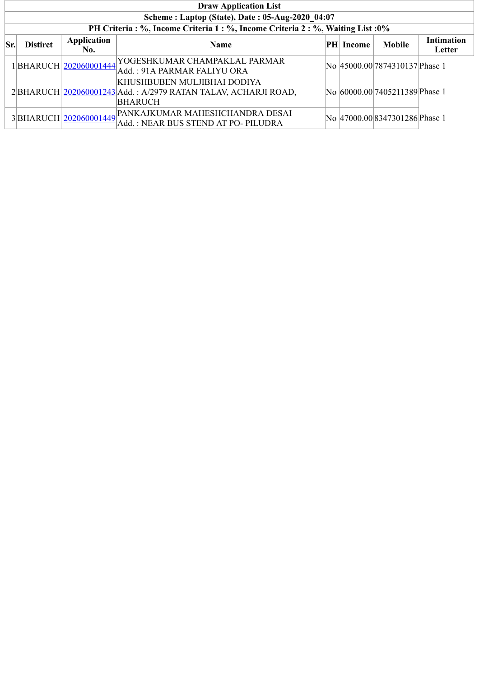|     | <b>Draw Application List</b>                    |                    |                                                                                                                                                      |  |           |                                |                             |  |  |  |  |  |
|-----|-------------------------------------------------|--------------------|------------------------------------------------------------------------------------------------------------------------------------------------------|--|-----------|--------------------------------|-----------------------------|--|--|--|--|--|
|     | Scheme: Laptop (State), Date: 05-Aug-2020 04:07 |                    |                                                                                                                                                      |  |           |                                |                             |  |  |  |  |  |
|     |                                                 |                    | PH Criteria : %, Income Criteria 1 : %, Income Criteria 2 : %, Waiting List : 0%                                                                     |  |           |                                |                             |  |  |  |  |  |
| Sr. | <b>Distirct</b>                                 | Application<br>No. | <b>Name</b>                                                                                                                                          |  | PH Income | <b>Mobile</b>                  | <b>Intimation</b><br>Letter |  |  |  |  |  |
|     |                                                 |                    | $1\Big \text{BHARUCH}\Big \frac{202060001444}{202060001444}\Big \text{YOGESHKUMAR CHAMPAKLAL PARMAR}$                                                |  |           | No 45000.00 7874310137 Phase 1 |                             |  |  |  |  |  |
|     |                                                 |                    | KHUSHBUBEN MULJIBHAI DODIYA<br>2 BHARUCH 202060001243 Add.: A/2979 RATAN TALAV, ACHARJI ROAD,<br><b>BHARUCH</b>                                      |  |           | No 60000.00 7405211389 Phase 1 |                             |  |  |  |  |  |
|     |                                                 |                    | $3\left  \text{BHARUCH} \right \underline{\text{202060001449}} \right \text{PANKAJKUMAR MAHESHCHANDRA DESAI}$<br>Add.: NEAR BUS STEND AT PO- PILUDRA |  |           | No 47000.00 8347301286 Phase 1 |                             |  |  |  |  |  |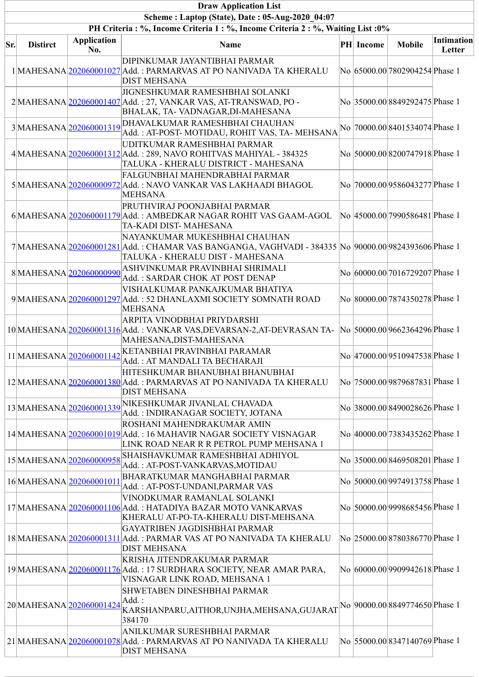|     |                 |                           | <b>Draw Application List</b>                                                                                                                                              |           |                                 |                      |
|-----|-----------------|---------------------------|---------------------------------------------------------------------------------------------------------------------------------------------------------------------------|-----------|---------------------------------|----------------------|
|     |                 |                           | Scheme: Laptop (State), Date: 05-Aug-2020 04:07                                                                                                                           |           |                                 |                      |
|     |                 |                           | PH Criteria: %, Income Criteria 1: %, Income Criteria 2: %, Waiting List: 0%                                                                                              |           |                                 |                      |
| Sr. | <b>Distirct</b> | <b>Application</b><br>No. | <b>Name</b>                                                                                                                                                               | PH Income | <b>Mobile</b>                   | Intimation<br>Letter |
|     |                 |                           | DIPINKUMAR JAYANTIBHAI PARMAR<br>1 MAHESANA 202060001027 Add.: PARMARVAS AT PO NANIVADA TA KHERALU<br><b>DIST MEHSANA</b>                                                 |           | No 65000.00 7802904254 Phase 1  |                      |
|     |                 |                           | <b>JIGNESHKUMAR RAMESHBHAI SOLANKI</b><br>2 MAHESANA 202060001407 Add.: 27, VANKAR VAS, AT-TRANSWAD, PO -<br>BHALAK, TA- VADNAGAR, DI-MAHESANA                            |           | No 35000.00 8849292475 Phase 1  |                      |
|     |                 | 3MAHESANA202060001319     | DHAVALKUMAR RAMESHBHAI CHAUHAN<br>Add.: AT-POST- MOTIDAU, ROHIT VAS, TA- MEHSANA                                                                                          |           | No 70000.00 8401534074 Phase 1  |                      |
|     |                 |                           | UDITKUMAR RAMESHBHAI PARMAR<br>4 MAHESANA 202060001312 Add.: 289, NAVO ROHITVAS MAHIYAL - 384325<br>TALUKA - KHERALU DISTRICT - MAHESANA                                  |           | No 50000.00 8200747918 Phase 1  |                      |
|     |                 |                           | FALGUNBHAI MAHENDRABHAI PARMAR<br>5 MAHESANA 202060000972 Add.: NAVO VANKAR VAS LAKHAADI BHAGOL<br><b>MEHSANA</b>                                                         |           | No 70000.00 9586043277 Phase 1  |                      |
|     |                 |                           | PRUTHVIRAJ POONJABHAI PARMAR<br>6MAHESANA 202060001179 Add.: AMBEDKAR NAGAR ROHIT VAS GAAM-AGOL<br>TA-KADI DIST- MAHESANA                                                 |           | No 45000.00 7990586481 Phase 1  |                      |
|     |                 |                           | NAYANKUMAR MUKESHBHAI CHAUHAN<br>7 MAHESANA 202060001281 Add. : CHAMAR VAS BANGANGA, VAGHVADI - 384335 No 90000.00 9824393606 Phase 1<br>TALUKA - KHERALU DIST - MAHESANA |           |                                 |                      |
|     |                 | 8MAHESANA202060000990     | ASHVINKUMAR PRAVINBHAI SHRIMALI<br>Add.: SARDAR CHOK AT POST DENAP                                                                                                        |           | No 60000.00 7016729207 Phase 1  |                      |
|     |                 |                           | VISHALKUMAR PANKAJKUMAR BHATIYA<br>9 MAHESANA 202060001297 Add.: 52 DHANLAXMI SOCIETY SOMNATH ROAD<br><b>MEHSANA</b>                                                      |           | No 80000.00 7874350278 Phase 1  |                      |
|     |                 |                           | ARPITA VINODBHAI PRIYDARSHI<br>10 MAHESANA 202060001316 Add.: VANKAR VAS, DEVARSAN-2, AT-DEVRASAN TA- No 50000.00 9662364296 Phase 1<br>MAHESANA,DIST-MAHESANA            |           |                                 |                      |
|     |                 | 11 MAHESANA 202060001142  | KETANBHAI PRAVINBHAI PARAMAR<br>Add.: AT MANDALI TA BECHARAJI                                                                                                             |           | No 47000.00 9510947538 Phase 1  |                      |
|     |                 |                           | HITESHKUMAR BHANUBHAI BHANUBHAI<br>12 MAHESANA 202060001380 Add. : PARMARVAS AT PO NANIVADA TA KHERALU<br><b>DIST MEHSANA</b>                                             |           | No  75000.00 9879687831 Phase 1 |                      |
|     |                 |                           | 13 MAHESANA 202060001339 NIKESHKUMAR JIVANLAL CHAVADA<br>Add.: INDIRANAGAR SOCIETY, JOTANA                                                                                |           | No 38000.00 8490028626 Phase 1  |                      |
|     |                 |                           | ROSHANI MAHENDRAKUMAR AMIN<br>14 MAHESANA 202060001019 Add.: 16 MAHAVIR NAGAR SOCIETY VISNAGAR<br>LINK ROAD NEAR R R PETROL PUMP MEHSANA 1                                |           | No 40000.00 7383435262 Phase 1  |                      |
|     |                 | 15 MAHESANA 202060000958  | SHAISHAVKUMAR RAMESHBHAI ADHIYOL<br>Add.: AT-POST-VANKARVAS,MOTIDAU                                                                                                       |           | No 35000.00 8469508201 Phase 1  |                      |
|     |                 | 16 MAHESANA 202060001011  | BHARATKUMAR MANGHABHAI PARMAR<br>Add.: AT-POST-UNDANI,PARMAR VAS                                                                                                          |           | No 50000.00 9974913758 Phase 1  |                      |
|     |                 |                           | VINODKUMAR RAMANLAL SOLANKI<br>17 MAHESANA 202060001106 Add.: HATADIYA BAZAR MOTO VANKARVAS<br>KHERALU AT-PO-TA-KHERALU DIST-MEHSANA                                      |           | No 50000.00 9998685456 Phase 1  |                      |
|     |                 |                           | GAYATRIBEN JAGDISHBHAI PARMAR<br>18 MAHESANA 202060001311 Add.: PARMAR VAS AT PO NANIVADA TA KHERALU<br><b>DIST MEHSANA</b>                                               |           | No 25000.00 8780386770 Phase 1  |                      |
|     |                 |                           | KRISHA JITENDRAKUMAR PARMAR<br>19 MAHESANA 202060001176 Add.: 17 SURDHARA SOCIETY, NEAR AMAR PARA,<br>VISNAGAR LINK ROAD, MEHSANA 1                                       |           | No 60000.00 9909942618 Phase 1  |                      |
|     |                 | 20 MAHESANA 202060001424  | SHWETABEN DINESHBHAI PARMAR<br>Add.:<br>KARSHANPARU, AITHOR, UNJHA, MEHSANA, GUJARAT<br>384170                                                                            |           | No  90000.00 8849774650 Phase 1 |                      |
|     |                 |                           | ANILKUMAR SURESHBHAI PARMAR<br>21 MAHESANA 202060001078 Add.: PARMARVAS AT PO NANIVADA TA KHERALU<br><b>DIST MEHSANA</b>                                                  |           | No 55000.00 8347140769 Phase 1  |                      |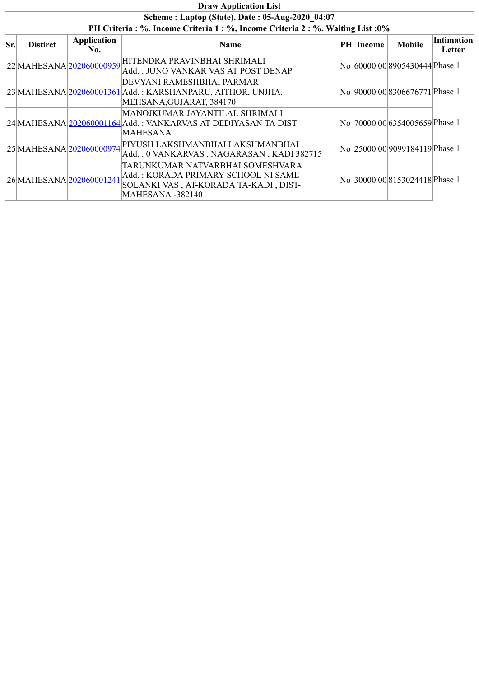|     | <b>Draw Application List</b>                                                 |                          |                                                                                                                                             |  |                  |                                 |                             |  |  |  |  |  |
|-----|------------------------------------------------------------------------------|--------------------------|---------------------------------------------------------------------------------------------------------------------------------------------|--|------------------|---------------------------------|-----------------------------|--|--|--|--|--|
|     | Scheme: Laptop (State), Date: 05-Aug-2020 04:07                              |                          |                                                                                                                                             |  |                  |                                 |                             |  |  |  |  |  |
|     | PH Criteria: %, Income Criteria 1: %, Income Criteria 2: %, Waiting List: 0% |                          |                                                                                                                                             |  |                  |                                 |                             |  |  |  |  |  |
| Sr. | <b>Distirct</b>                                                              | Application<br>No.       | <b>Name</b>                                                                                                                                 |  | <b>PH</b> Income | <b>Mobile</b>                   | <b>Intimation</b><br>Letter |  |  |  |  |  |
|     |                                                                              | 22 MAHESANA 202060000959 | HITENDRA PRAVINBHAI SHRIMALI<br>Add.: JUNO VANKAR VAS AT POST DENAP                                                                         |  |                  | No 60000.00 8905430444 Phase 1  |                             |  |  |  |  |  |
|     |                                                                              |                          | DEVYANI RAMESHBHAI PARMAR<br>23 MAHESANA 202060001361 Add.: KARSHANPARU, AITHOR, UNJHA,<br>MEHSANA, GUJARAT, 384170                         |  |                  | No 90000.00 8306676771 Phase 1  |                             |  |  |  |  |  |
|     |                                                                              |                          | MANOJKUMAR JAYANTILAL SHRIMALI<br>24 MAHESANA 202060001164 Add.: VANKARVAS AT DEDIYASAN TA DIST<br>MAHESANA                                 |  |                  | No  70000.00 6354005659 Phase 1 |                             |  |  |  |  |  |
|     |                                                                              | 25 MAHESANA 202060000974 | PIYUSH LAKSHMANBHAI LAKSHMANBHAI<br>Add.: 0 VANKARVAS, NAGARASAN, KADI 382715                                                               |  |                  | No  25000.00 9099184119 Phase 1 |                             |  |  |  |  |  |
|     | 26 MAHESANA 202060001241                                                     |                          | TARUNKUMAR NATVARBHAI SOMESHVARA<br>Add.: KORADA PRIMARY SCHOOL NI SAME<br>SOLANKI VAS, AT-KORADA TA-KADI, DIST-<br><b>MAHESANA -382140</b> |  |                  | No 30000.00 8153024418 Phase 1  |                             |  |  |  |  |  |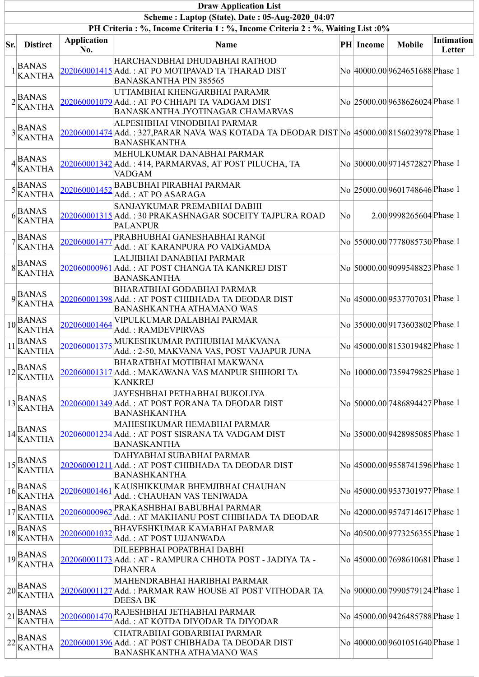|     |                                                                                              |                           | <b>Draw Application List</b>                                                                                                                       |    |           |                                 |                      |
|-----|----------------------------------------------------------------------------------------------|---------------------------|----------------------------------------------------------------------------------------------------------------------------------------------------|----|-----------|---------------------------------|----------------------|
|     |                                                                                              |                           | Scheme: Laptop (State), Date: 05-Aug-2020 04:07                                                                                                    |    |           |                                 |                      |
|     |                                                                                              |                           | PH Criteria: %, Income Criteria 1: %, Income Criteria 2: %, Waiting List: 0%                                                                       |    |           |                                 |                      |
| Sr. | <b>Distirct</b>                                                                              | <b>Application</b><br>No. | <b>Name</b>                                                                                                                                        |    | PH Income | <b>Mobile</b>                   | Intimation<br>Letter |
|     | <b>BANAS</b><br><b>KANTHA</b>                                                                |                           | HARCHANDBHAI DHUDABHAI RATHOD<br>202060001415 Add.: AT PO MOTIPAVAD TA THARAD DIST<br><b>BANASKANTHA PIN 385565</b>                                |    |           | No 40000.00 9624651688 Phase 1  |                      |
|     | $2\frac{B}{r}$ ANAS<br><b>KANTHA</b>                                                         |                           | UTTAMBHAI KHENGARBHAI PARAMR<br>202060001079 Add.: AT PO CHHAPI TA VADGAM DIST<br><b>BANASKANTHA JYOTINAGAR CHAMARVAS</b>                          |    |           | No 25000.00 9638626024 Phase 1  |                      |
|     | $3\frac{BANAS}{2}$<br><b>KANTHA</b>                                                          |                           | ALPESHBHAI VINODBHAI PARMAR<br>202060001474 Add. : 327, PARAR NAVA WAS KOTADA TA DEODAR DIST No 45000.00 8156023978 Phase 1<br><b>BANASHKANTHA</b> |    |           |                                 |                      |
|     | $4$ BANAS<br><b>KANTHA</b>                                                                   |                           | MEHULKUMAR DANABHAI PARMAR<br>202060001342 Add.: 414, PARMARVAS, AT POST PILUCHA, TA<br><b>VADGAM</b>                                              |    |           | No 30000.00 9714572827 Phase 1  |                      |
|     | $5\sqrt{\text{BANAS}}$<br><b>KANTHA</b>                                                      | 202060001452              | <b>BABUBHAI PIRABHAI PARMAR</b><br>Add.: AT PO ASARAGA                                                                                             |    |           | No 25000.00 9601748646 Phase 1  |                      |
| 61  | <b>BANAS</b><br><b>KANTHA</b>                                                                |                           | SANJAYKUMAR PREMABHAI DABHI<br>202060001315 Add.: 30 PRAKASHNAGAR SOCEITY TAJPURA ROAD<br><b>PALANPUR</b>                                          | No |           | 2.00 9998265604 Phase 1         |                      |
|     | $7\frac{\text{BANAS}}{n}$<br><b>KANTHA</b>                                                   | 202060001477              | PRABHUBHAI GANESHABHAI RANGI<br>Add.: AT KARANPURA PO VADGAMDA                                                                                     |    |           | No 55000.00 7778085730 Phase 1  |                      |
|     | $8\frac{B}{11}$<br><b>KANTHA</b>                                                             |                           | LALJIBHAI DANABHAI PARMAR<br>202060000961 Add.: AT POST CHANGA TA KANKREJ DIST<br><b>BANASKANTHA</b>                                               |    |           | No 50000.00 9099548823 Phase 1  |                      |
|     | $\mathbf{q}$ BANAS<br><b>KANTHA</b>                                                          |                           | <b>BHARATBHAI GODABHAI PARMAR</b><br>202060001398 Add.: AT POST CHIBHADA TA DEODAR DIST<br><b>BANASHKANTHA ATHAMANO WAS</b>                        |    |           | No 45000.00 9537707031 Phase 1  |                      |
|     | $10\overline{\text{BANAS}}$<br><b>KANTHA</b>                                                 | 202060001464              | VIPULKUMAR DALABHAI PARMAR<br>Add.: RAMDEVPIRVAS                                                                                                   |    |           | No 35000.00 9173603802 Phase 1  |                      |
| 11  | <b>BANAS</b><br><b>KANTHA</b>                                                                | 202060001375              | MUKESHKUMAR PATHUBHAI MAKVANA<br>Add.: 2-50, MAKVANA VAS, POST VAJAPUR JUNA                                                                        |    |           | No 45000.00 8153019482 Phase 1  |                      |
|     | $12\vert BANAS$<br><b>KANTHA</b>                                                             |                           | BHARATBHAI MOTIBHAI MAKWANA<br>202060001317 Add.: MAKAWANA VAS MANPUR SHIHORI TA<br><b>KANKREJ</b>                                                 |    |           | No  10000.00 7359479825 Phase 1 |                      |
|     | $13\frac{B}{12}$<br><b>KANTHA</b>                                                            |                           | JAYESHBHAI PETHABHAI BUKOLIYA<br>202060001349 Add.: AT POST FORANA TA DEODAR DIST<br><b>BANASHKANTHA</b>                                           |    |           | No 50000.00 7486894427 Phase 1  |                      |
|     | $14\frac{BANAS}{m}$<br><b>KANTHA</b>                                                         |                           | MAHESHKUMAR HEMABHAI PARMAR<br>202060001234 Add.: AT POST SISRANA TA VADGAM DIST<br><b>BANASKANTHA</b>                                             |    |           | No 35000.00 9428985085 Phase 1  |                      |
|     | $15\vert_{\text{Hz}}^{\text{BANAS}}$<br><b>KANTHA</b>                                        |                           | DAHYABHAI SUBABHAI PARMAR<br>202060001211 Add.: AT POST CHIBHADA TA DEODAR DIST<br><b>BANASHKANTHA</b>                                             |    |           | No  45000.00 9558741596 Phase 1 |                      |
| 16  | <b>BANAS</b><br><b>KANTHA</b>                                                                | 202060001461              | KAUSHIKKUMAR BHEMJIBHAI CHAUHAN<br>Add.: CHAUHAN VAS TENIWADA                                                                                      |    |           | No 45000.00 9537301977 Phase 1  |                      |
|     | $17\overline{\text{BANAS}}$<br><b>KANTHA</b>                                                 | 202060000962              | PRAKASHBHAI BABUBHAI PARMAR<br>Add.: AT MAKHANU POST CHIBHADA TA DEODAR                                                                            |    |           | No 42000.00 9574714617 Phase 1  |                      |
|     | $18\overline{\text{BANAS}}$<br><b>KANTHA</b>                                                 | 202060001032              | <b>BHAVESHKUMAR KAMABHAI PARMAR</b><br>Add.: AT POST UJJANWADA                                                                                     |    |           | No 40500.00 9773256355 Phase 1  |                      |
|     | $19\begin{array}{l}\n\text{BANAS} \\ \text{A} \\ \text{BANAS}\n\end{array}$<br><b>KANTHA</b> |                           | DILEEPBHAI POPATBHAI DABHI<br>202060001173 Add. : AT - RAMPURA CHHOTA POST - JADIYA TA -<br><b>DHANERA</b>                                         |    |           | No 45000.00 7698610681 Phase 1  |                      |
|     | $1_{20}$ BANAS<br><b>KANTHA</b>                                                              |                           | MAHENDRABHAI HARIBHAI PARMAR<br>202060001127 Add. : PARMAR RAW HOUSE AT POST VITHODAR TA<br><b>DEESA BK</b>                                        |    |           | No 90000.00 7990579124 Phase 1  |                      |
| 21  | <b>BANAS</b><br><b>KANTHA</b>                                                                | 202060001470              | RAJESHBHAI JETHABHAI PARMAR<br>Add.: AT KOTDA DIYODAR TA DIYODAR                                                                                   |    |           | No 45000.00 9426485788 Phase 1  |                      |
|     | $1_{22}$ BANAS<br><b>KANTHA</b>                                                              |                           | CHATRABHAI GOBARBHAI PARMAR<br>202060001396 Add.: AT POST CHIBHADA TA DEODAR DIST<br><b>BANASHKANTHA ATHAMANO WAS</b>                              |    |           | No 40000.00 9601051640 Phase 1  |                      |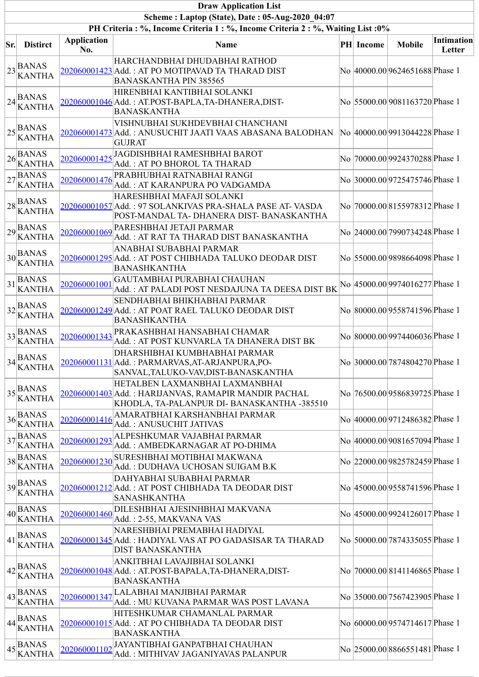|     |                                                  |                    | <b>Draw Application List</b>                                                                                                          |                  |                                 |                   |
|-----|--------------------------------------------------|--------------------|---------------------------------------------------------------------------------------------------------------------------------------|------------------|---------------------------------|-------------------|
|     |                                                  |                    | Scheme: Laptop (State), Date: 05-Aug-2020 04:07<br>PH Criteria : %, Income Criteria 1 : %, Income Criteria 2 : %, Waiting List : 0%   |                  |                                 |                   |
|     |                                                  | <b>Application</b> |                                                                                                                                       |                  |                                 | <b>Intimation</b> |
| Sr. | <b>Distirct</b>                                  | No.                | Name                                                                                                                                  | <b>PH</b> Income | <b>Mobile</b>                   | Letter            |
|     | $23\frac{B}{11}$<br><b>KANTHA</b>                |                    | HARCHANDBHAI DHUDABHAI RATHOD<br>202060001423 Add.: AT PO MOTIPAVAD TA THARAD DIST<br><b>BANASKANTHA PIN 385565</b>                   |                  | No 40000.00 9624651688 Phase 1  |                   |
|     | $24\frac{BANAS}{m}$<br><b>KANTHA</b>             |                    | HIRENBHAI KANTIBHAI SOLANKI<br>202060001046 Add.: AT.POST-BAPLA,TA-DHANERA,DIST-<br><b>BANASKANTHA</b>                                |                  | No 55000.00 9081163720 Phase 1  |                   |
|     | $25\frac{BANAS}{25}$<br><b>KANTHA</b>            |                    | VISHNUBHAI SUKHDEVBHAI CHANCHANI<br>202060001473 Add.: ANUSUCHIT JAATI VAAS ABASANA BALODHAN<br><b>GUJRAT</b>                         |                  | No 40000.00 9913044228 Phase 1  |                   |
| 26  | <b>BANAS</b><br><b>KANTHA</b>                    | 202060001425       | JAGDISHBHAI RAMESHBHAI BAROT<br>Add.: AT PO BHOROL TA THARAD                                                                          |                  | No 70000.00 9924370288 Phase 1  |                   |
| 27  | <b>BANAS</b><br><b>KANTHA</b>                    | 202060001476       | PRABHUBHAI RATNABHAI RANGI<br>Add.: AT KARANPURA PO VADGAMDA                                                                          |                  | No 30000.00 9725475746 Phase 1  |                   |
| 28  | <b>BANAS</b><br><b>KANTHA</b>                    |                    | HARESHBHAI MAFAJI SOLANKI<br>202060001057 Add.: 97 SOLANKIVAS PRA-SHALA PASE AT-VASDA<br>POST-MANDAL TA- DHANERA DIST- BANASKANTHA    |                  | No 70000.00 8155978312 Phase 1  |                   |
|     | $29$ BANAS<br><b>KANTHA</b>                      | 202060001069       | PARESHBHAI JETAJI PARMAR<br>Add.: AT RAT TA THARAD DIST BANASKANTHA                                                                   |                  | No 24000.00 7990734248 Phase 1  |                   |
| 30  | BANAS<br><b>KANTHA</b>                           |                    | ANABHAI SUBABHAI PARMAR<br>202060001295 Add.: AT POST CHIBHADA TALUKO DEODAR DIST<br><b>BANASHKANTHA</b>                              |                  | No 55000.00 9898664098 Phase 1  |                   |
| 31  | <b>BANAS</b><br><b>KANTHA</b>                    | 202060001001       | GAUTAMBHAI PURABHAI CHAUHAN<br>Add.: AT PALADI POST NESDAJUNA TA DEESA DIST BK                                                        |                  | No 45000.00 9974016277 Phase 1  |                   |
| 32  | <b>BANAS</b><br><b>KANTHA</b>                    |                    | SENDHABHAI BHIKHABHAI PARMAR<br>202060001249 Add.: AT POAT RAEL TALUKO DEODAR DIST<br><b>BANASHKANTHA</b>                             |                  | No 80000.00 9558741596 Phase 1  |                   |
|     | $33\overline{ABANAS}$<br><b>KANTHA</b>           | 202060001343       | PRAKASHBHAI HANSABHAI CHAMAR<br>Add.: AT POST KUNVARLA TA DHANERA DIST BK                                                             |                  | No 80000.00 9974406036 Phase 1  |                   |
|     | $34$ BANAS<br>KANTHA                             |                    | DHARSHIBHAI KUMBHABHAI PARMAR<br>202060001131 Add.: PARMARVAS, AT-ARJANPURA, PO-<br>SANVAL, TALUKO-VAV, DIST-BANASKANTHA              |                  | No 30000.00 7874804270 Phase 1  |                   |
|     | $35\frac{B}{11}$<br><b>KANTHA</b>                |                    | HETALBEN LAXMANBHAI LAXMANBHAI<br>202060001403 Add.: HARIJANVAS, RAMAPIR MANDIR PACHAL<br>KHODLA, TA-PALANPUR DI- BANASKANTHA -385510 |                  | No 76500.00 9586839725 Phase 1  |                   |
|     | $36\frac{B}{11}$<br><b>KANTHA</b>                | 202060001416       | AMARATBHAI KARSHANBHAI PARMAR<br>Add.: ANUSUCHIT JATIVAS                                                                              |                  | No 40000.00 9712486382 Phase 1  |                   |
|     | $37\frac{BA}{100}$<br><b>KANTHA</b>              | 202060001293       | ALPESHKUMAR VAJABHAI PARMAR<br>Add.: AMBEDKARNAGAR AT PO-DHIMA                                                                        |                  | No 40000.00 9081657094 Phase 1  |                   |
|     | $38\overline{B\overline{ANAS}}$<br><b>KANTHA</b> | 202060001230       | SURESHBHAI MOTIBHAI MAKWANA<br>Add.: DUDHAVA UCHOSAN SUIGAM B.K                                                                       |                  | No 22000.00 9825782459 Phase 1  |                   |
|     | $39\frac{BANAS}{m}$<br><b>KANTHA</b>             |                    | DAHYABHAI SUBABHAI PARMAR<br>202060001212 Add.: AT POST CHIBHADA TA DEODAR DIST<br><b>SANASHKANTHA</b>                                |                  | No 45000.00 9558741596 Phase 1  |                   |
|     | $40\frac{BA}{10}$<br><b>KANTHA</b>               | 202060001460       | DILESHBHAI AJESINHBHAI MAKVANA<br>Add.: 2-55, MAKVANA VAS                                                                             |                  | No 45000.00 9924126017 Phase 1  |                   |
| 41  | <b>BANAS</b><br><b>KANTHA</b>                    |                    | NARESHBHAI PREMABHAI HADIYAL<br>202060001345 Add.: HADIYAL VAS AT PO GADASISAR TA THARAD<br><b>DIST BANASKANTHA</b>                   |                  | No 50000.00 7874335055 Phase 1  |                   |
|     | $42\vert$ BANAS<br><b>KANTHA</b>                 |                    | ANKITBHAI LAVAJIBHAI SOLANKI<br>202060001048 Add.: AT.POST-BAPALA, TA-DHANERA, DIST-<br><b>BANASKANTHA</b>                            |                  | No  70000.00 8141146865 Phase 1 |                   |
| 43  | <b>BANAS</b><br><b>KANTHA</b>                    | 202060001347       | LALABHAI MANJIBHAI PARMAR<br>Add.: MU KUVANA PARMAR WAS POST LAVANA                                                                   |                  | No 35000.00 7567423905 Phase 1  |                   |
|     | $44\vert$ BANAS<br><b>KANTHA</b>                 |                    | HITESHKUMAR CHAMANLAL PARMAR<br>202060001015 Add.: AT PO CHIBHADA TA DEODAR DIST<br><b>BANASKANTHA</b>                                |                  | No 60000.00 9574714617 Phase 1  |                   |
|     | $45\overline{\text{BANAS}}$<br><b>KANTHA</b>     | 202060001102       | JAYANTIBHAI GANPATBHAI CHAUHAN<br>Add.: MITHIVAV JAGANIYAVAS PALANPUR                                                                 |                  | No 25000.00 8866551481 Phase 1  |                   |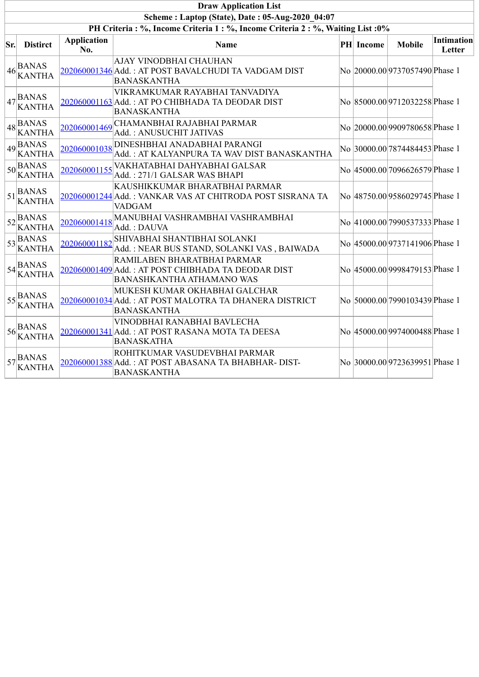|     | <b>Draw Application List</b>                                      |                           |                                                                                                                       |  |                  |                                 |                      |  |  |  |
|-----|-------------------------------------------------------------------|---------------------------|-----------------------------------------------------------------------------------------------------------------------|--|------------------|---------------------------------|----------------------|--|--|--|
|     |                                                                   |                           | Scheme: Laptop (State), Date: 05-Aug-2020 04:07                                                                       |  |                  |                                 |                      |  |  |  |
|     |                                                                   |                           | PH Criteria: %, Income Criteria 1: %, Income Criteria 2: %, Waiting List: 0%                                          |  |                  |                                 |                      |  |  |  |
| Sr. | <b>Distirct</b>                                                   | <b>Application</b><br>No. | <b>Name</b>                                                                                                           |  | <b>PH</b> Income | <b>Mobile</b>                   | Intimation<br>Letter |  |  |  |
|     | $46\frac{BANAS}{R}$<br><b>KANTHA</b>                              |                           | AJAY VINODBHAI CHAUHAN<br>202060001346 Add.: AT POST BAVALCHUDI TA VADGAM DIST<br><b>BANASKANTHA</b>                  |  |                  | No 20000.00 9737057490 Phase 1  |                      |  |  |  |
|     | $47\frac{B}{2}$ ANAS<br><b>KANTHA</b>                             |                           | VIKRAMKUMAR RAYABHAI TANVADIYA<br>202060001163 Add.: AT PO CHIBHADA TA DEODAR DIST<br><b>BANASKANTHA</b>              |  |                  | No 85000.00 9712032258 Phase 1  |                      |  |  |  |
|     | $48\overline{\text{BANAS}}$<br><b>KANTHA</b>                      | 202060001469              | CHAMANBHAI RAJABHAI PARMAR<br>Add.: ANUSUCHIT JATIVAS                                                                 |  |                  | No 20000.00 9909780658 Phase 1  |                      |  |  |  |
|     | $49\overline{\text{BANAS}}$<br><b>KANTHA</b>                      | 202060001038              | <b>DINESHBHAI ANADABHAI PARANGI</b><br>Add.: AT KALYANPURA TA WAV DIST BANASKANTHA                                    |  |                  | No 30000.00 7874484453 Phase 1  |                      |  |  |  |
|     | $50\frac{B}{100}$<br><b>KANTHA</b>                                | 202060001155              | VAKHATABHAI DAHYABHAI GALSAR<br>Add.: 271/1 GALSAR WAS BHAPI                                                          |  |                  | No  45000.00 7096626579 Phase 1 |                      |  |  |  |
|     | $151\frac{BANAS}{m}$<br><b>KANTHA</b>                             |                           | KAUSHIKKUMAR BHARATBHAI PARMAR<br>202060001244 Add.: VANKAR VAS AT CHITRODA POST SISRANA TA<br><b>VADGAM</b>          |  |                  | No 48750.00 9586029745 Phase 1  |                      |  |  |  |
|     | $52\frac{B}{100}$ 52<br><b>KANTHA</b>                             | 202060001418              | MANUBHAI VASHRAMBHAI VASHRAMBHAI<br>Add.: DAUVA                                                                       |  |                  | No 41000.00 7990537333 Phase 1  |                      |  |  |  |
|     | $53\overline{\smash{\big  \text{BANAS}}\xspace}$<br><b>KANTHA</b> |                           | 202060001182SHIVABHAI SHANTIBHAI SOLANKI<br>Add.: NEAR BUS STAND, SOLANKI VAS, BAIWADA                                |  |                  | No 45000.00 9737141906 Phase 1  |                      |  |  |  |
|     | $54$ BANAS<br><b>KANTHA</b>                                       |                           | RAMILABEN BHARATBHAI PARMAR<br>202060001409 Add.: AT POST CHIBHADA TA DEODAR DIST<br><b>BANASHKANTHA ATHAMANO WAS</b> |  |                  | No 45000.00 9998479153 Phase 1  |                      |  |  |  |
|     | $55$ <sup>BANAS</sup><br>KANTHA                                   |                           | MUKESH KUMAR OKHABHAI GALCHAR<br>202060001034 Add.: AT POST MALOTRA TA DHANERA DISTRICT<br><b>BANASKANTHA</b>         |  |                  | No 50000.00 7990103439 Phase 1  |                      |  |  |  |
|     | $56\text{BANAS}$<br>KANTHA                                        |                           | VINODBHAI RANABHAI BAVLECHA<br>202060001341 Add.: AT POST RASANA MOTA TA DEESA<br><b>BANASKATHA</b>                   |  |                  | No 45000.00 9974000488 Phase 1  |                      |  |  |  |
|     | $57\frac{BANAS}{BANAS}$<br><b>KANTHA</b>                          |                           | ROHITKUMAR VASUDEVBHAI PARMAR<br>202060001388 Add.: AT POST ABASANA TA BHABHAR-DIST-<br><b>BANASKANTHA</b>            |  |                  | No 30000.00 9723639951 Phase 1  |                      |  |  |  |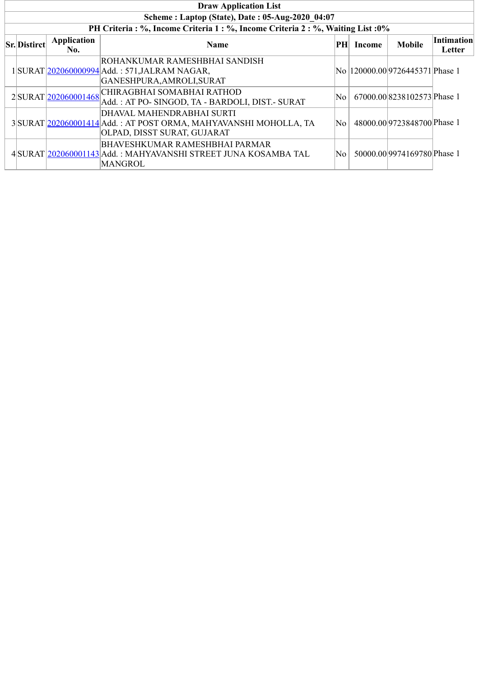| <b>Draw Application List</b>                    |                     |                                                                                                                              |    |        |                                  |                             |  |  |  |  |  |
|-------------------------------------------------|---------------------|------------------------------------------------------------------------------------------------------------------------------|----|--------|----------------------------------|-----------------------------|--|--|--|--|--|
| Scheme: Laptop (State), Date: 05-Aug-2020 04:07 |                     |                                                                                                                              |    |        |                                  |                             |  |  |  |  |  |
|                                                 |                     | PH Criteria : %, Income Criteria 1 : %, Income Criteria 2 : %, Waiting List : 0%                                             |    |        |                                  |                             |  |  |  |  |  |
| <b>Sr.</b> Distirct                             | Application<br>No.  | <b>Name</b>                                                                                                                  | PH | Income | <b>Mobile</b>                    | <b>Intimation</b><br>Letter |  |  |  |  |  |
|                                                 |                     | ROHANKUMAR RAMESHBHAI SANDISH<br>1 SURAT 202060000994 Add.: 571, JALRAM NAGAR,<br>GANESHPURA, AMROLI, SURAT                  |    |        | No  120000.00 9726445371 Phase 1 |                             |  |  |  |  |  |
|                                                 | 2SURAT 202060001468 | CHIRAGBHAI SOMABHAI RATHOD<br>Add.: AT PO- SINGOD, TA - BARDOLI, DIST.- SURAT                                                | No |        | 67000.00 8238102573 Phase 1      |                             |  |  |  |  |  |
|                                                 |                     | DHAVAL MAHENDRABHAI SURTI<br>3 SURAT 202060001414 Add.: AT POST ORMA, MAHYAVANSHI MOHOLLA, TA<br>OLPAD, DISST SURAT, GUJARAT | No |        | 48000.00 9723848700 Phase 1      |                             |  |  |  |  |  |
|                                                 |                     | <b>BHAVESHKUMAR RAMESHBHAI PARMAR</b><br>4 SURAT 202060001143 Add.: MAHYAVANSHI STREET JUNA KOSAMBA TAL<br><b>MANGROL</b>    | No |        | 50000.00 9974169780 Phase 1      |                             |  |  |  |  |  |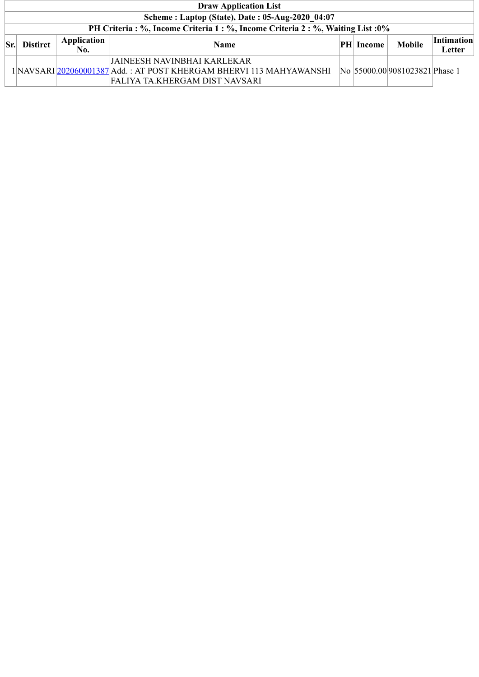|          | <b>Draw Application List</b>                                                     |                    |                                                                                                                                       |  |            |                                |                             |  |  |  |  |
|----------|----------------------------------------------------------------------------------|--------------------|---------------------------------------------------------------------------------------------------------------------------------------|--|------------|--------------------------------|-----------------------------|--|--|--|--|
|          | Scheme: Laptop (State), Date: 05-Aug-2020 04:07                                  |                    |                                                                                                                                       |  |            |                                |                             |  |  |  |  |
|          | PH Criteria : %, Income Criteria 1 : %, Income Criteria 2 : %, Waiting List : 0% |                    |                                                                                                                                       |  |            |                                |                             |  |  |  |  |
| $ S_{r}$ | <b>Distirct</b>                                                                  | Application<br>No. | <b>Name</b>                                                                                                                           |  | PH  Income | <b>Mobile</b>                  | <b>Intimation</b><br>Letter |  |  |  |  |
|          |                                                                                  |                    | JAINEESH NAVINBHAI KARLEKAR-<br>1 NAVSARI 202060001387 Add.: AT POST KHERGAM BHERVI 113 MAHYAWANSHI<br>FALIYA TA.KHERGAM DIST NAVSARI |  |            | No 55000.00 9081023821 Phase 1 |                             |  |  |  |  |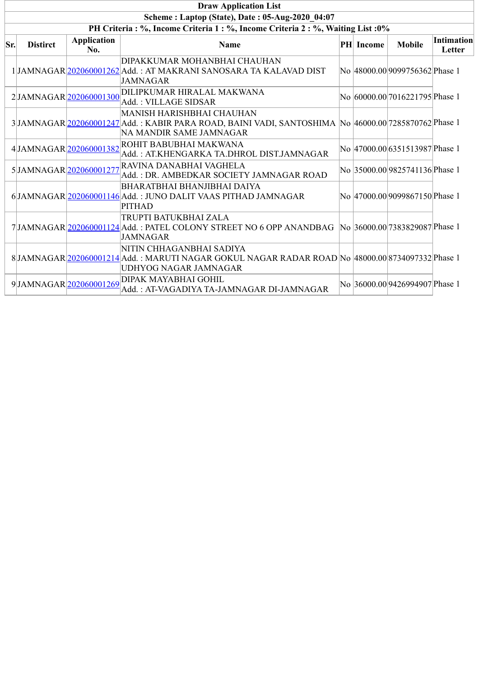|     | <b>Draw Application List</b>                                                     |                           |                                                                                                                                                                     |  |                  |                                 |                      |  |  |  |
|-----|----------------------------------------------------------------------------------|---------------------------|---------------------------------------------------------------------------------------------------------------------------------------------------------------------|--|------------------|---------------------------------|----------------------|--|--|--|
|     |                                                                                  |                           | Scheme: Laptop (State), Date: 05-Aug-2020 04:07                                                                                                                     |  |                  |                                 |                      |  |  |  |
|     | PH Criteria : %, Income Criteria 1 : %, Income Criteria 2 : %, Waiting List : 0% |                           |                                                                                                                                                                     |  |                  |                                 |                      |  |  |  |
| Sr. | <b>Distirct</b>                                                                  | <b>Application</b><br>No. | Name                                                                                                                                                                |  | <b>PH</b> Income | <b>Mobile</b>                   | Intimation<br>Letter |  |  |  |
|     |                                                                                  |                           | DIPAKKUMAR MOHANBHAI CHAUHAN<br>1 JAMNAGAR 202060001262 Add.: AT MAKRANI SANOSARA TA KALAVAD DIST<br><b>JAMNAGAR</b>                                                |  |                  | No 48000.00 9099756362 Phase 1  |                      |  |  |  |
|     |                                                                                  | 2JJAMNAGAR 202060001300   | DILIPKUMAR HIRALAL MAKWANA<br>Add.: VILLAGE SIDSAR                                                                                                                  |  |                  | No 60000.00 7016221795 Phase 1  |                      |  |  |  |
|     |                                                                                  |                           | <b>MANISH HARISHBHAI CHAUHAN</b><br>3 JAMNAGAR 202060001247 Add.: KABIR PARA ROAD, BAINI VADI, SANTOSHIMA No 46000.00 7285870762 Phase 1<br>NA MANDIR SAME JAMNAGAR |  |                  |                                 |                      |  |  |  |
|     |                                                                                  | 4JAMNAGAR 202060001382    | ROHIT BABUBHAI MAKWANA<br>Add.: AT.KHENGARKA TA.DHROL DIST.JAMNAGAR                                                                                                 |  |                  | No 47000.00 6351513987 Phase 1  |                      |  |  |  |
|     |                                                                                  | 5JAMNAGAR 202060001277    | RAVINA DANABHAI VAGHELA<br>Add.: DR. AMBEDKAR SOCIETY JAMNAGAR ROAD                                                                                                 |  |                  | No 35000.00 9825741136 Phase 1  |                      |  |  |  |
|     |                                                                                  |                           | BHARATBHAI BHANJIBHAI DAIYA<br>6JAMNAGAR 202060001146 Add.: JUNO DALIT VAAS PITHAD JAMNAGAR<br><b>PITHAD</b>                                                        |  |                  | No  47000.00 9099867150 Phase 1 |                      |  |  |  |
|     |                                                                                  |                           | TRUPTI BATUKBHAI ZALA<br>7 JAMNAGAR 202060001124 Add.: PATEL COLONY STREET NO 6 OPP ANANDBAG No 36000.00 7383829087 Phase 1<br><b>JAMNAGAR</b>                      |  |                  |                                 |                      |  |  |  |
|     |                                                                                  |                           | NITIN CHHAGANBHAI SADIYA<br>8 JAMNAGAR 202060001214 Add.: MARUTI NAGAR GOKUL NAGAR RADAR ROAD No 48000.00 8734097332 Phase 1<br>UDHYOG NAGAR JAMNAGAR               |  |                  |                                 |                      |  |  |  |
|     |                                                                                  | 9JAMNAGAR 202060001269    | DIPAK MAYABHAI GOHIL<br>Add.: AT-VAGADIYA TA-JAMNAGAR DI-JAMNAGAR                                                                                                   |  |                  | No 36000.00 9426994907 Phase 1  |                      |  |  |  |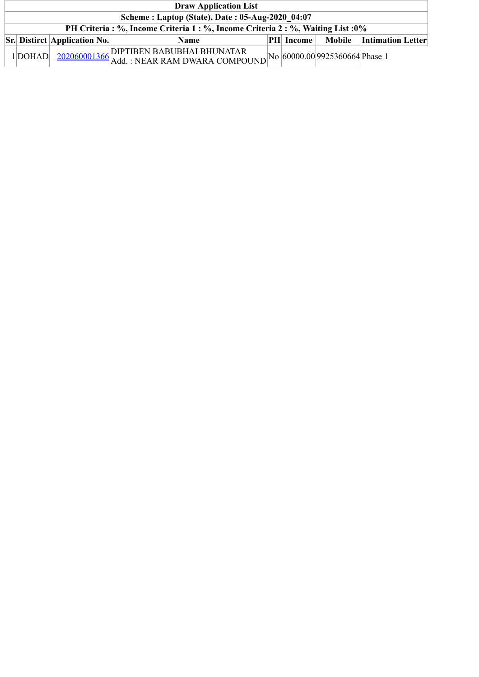| <b>Draw Application List</b>                                                     |                                     |                                                                                                             |  |                  |                                                  |                            |  |  |  |  |
|----------------------------------------------------------------------------------|-------------------------------------|-------------------------------------------------------------------------------------------------------------|--|------------------|--------------------------------------------------|----------------------------|--|--|--|--|
| Scheme: Laptop (State), Date: 05-Aug-2020 04:07                                  |                                     |                                                                                                             |  |                  |                                                  |                            |  |  |  |  |
| PH Criteria : %, Income Criteria 1 : %, Income Criteria 2 : %, Waiting List : 0% |                                     |                                                                                                             |  |                  |                                                  |                            |  |  |  |  |
|                                                                                  | <b>Sr. Distirct Application No.</b> | <b>Name</b>                                                                                                 |  | <b>PH</b> Income |                                                  | Mobile   Intimation Letter |  |  |  |  |
| 1 DOHAD                                                                          |                                     | $\left.\frac{202060001366}{\text{Add.}}\right.\left.\left.\text{NEAR RAM DWARA COMPOUND}\right]^{\text{N}}$ |  |                  | $\log_{10}$   No   60000.00  9925360664  Phase 1 |                            |  |  |  |  |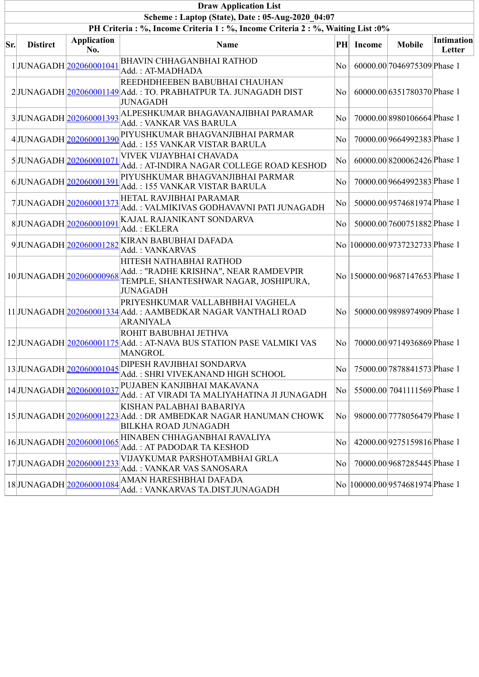|                                                 | <b>Draw Application List</b> |                           |                                                                                                                              |           |               |                                  |                             |  |  |  |  |
|-------------------------------------------------|------------------------------|---------------------------|------------------------------------------------------------------------------------------------------------------------------|-----------|---------------|----------------------------------|-----------------------------|--|--|--|--|
| Scheme: Laptop (State), Date: 05-Aug-2020 04:07 |                              |                           |                                                                                                                              |           |               |                                  |                             |  |  |  |  |
|                                                 |                              |                           | PH Criteria : %, Income Criteria 1 : %, Income Criteria 2 : %, Waiting List : 0%                                             |           |               |                                  |                             |  |  |  |  |
| Sr.                                             | <b>Distirct</b>              | <b>Application</b><br>No. | Name                                                                                                                         | $\bf{PH}$ | <b>Income</b> | <b>Mobile</b>                    | <b>Intimation</b><br>Letter |  |  |  |  |
|                                                 |                              | 1JUNAGADH 202060001041    | BHAVIN CHHAGANBHAI RATHOD<br>Add.: AT-MADHADA                                                                                | No        |               | 60000.00 7046975309 Phase 1      |                             |  |  |  |  |
|                                                 |                              |                           | REEDHDHEEBEN BABUBHAI CHAUHAN<br>2JUNAGADH 202060001149 Add.: TO. PRABHATPUR TA. JUNAGADH DIST<br><b>JUNAGADH</b>            | $\rm{No}$ |               | 60000.00 6351780370 Phase 1      |                             |  |  |  |  |
|                                                 |                              |                           | 3JUNAGADH 202060001393 ALPESHKUMAR BHAGAVANAJIBHAI PARAMAR<br>Add.: VANKAR VAS BARULA                                        | No        |               | 70000.00 8980106664 Phase 1      |                             |  |  |  |  |
|                                                 |                              | 4JUNAGADH 202060001390    | PIYUSHKUMAR BHAGVANJIBHAI PARMAR<br>Add.: 155 VANKAR VISTAR BARULA                                                           | No        |               | 70000.00 9664992383 Phase 1      |                             |  |  |  |  |
|                                                 |                              | 5JUNAGADH 202060001071    | <b>VIVEK VIJAYBHAI CHAVADA</b><br>Add.: AT-INDIRA NAGAR COLLEGE ROAD KESHOD                                                  | No        |               | 60000.008200062426Phase 1        |                             |  |  |  |  |
|                                                 |                              | 6JUNAGADH 202060001391    | PIYUSHKUMAR BHAGVANJIBHAI PARMAR<br>Add.: 155 VANKAR VISTAR BARULA                                                           | No        |               | 70000.00 9664992383 Phase 1      |                             |  |  |  |  |
|                                                 |                              | 7JUNAGADH 202060001373    | HETAL RAVJIBHAI PARAMAR<br>Add.: VALMIKIVAS GODHAVAVNI PATI JUNAGADH                                                         | $\rm{No}$ |               | 50000.00 9574681974 Phase 1      |                             |  |  |  |  |
|                                                 |                              | 8JUNAGADH 202060001091    | KAJAL RAJANIKANT SONDARVA<br>Add.: EKLERA                                                                                    | No        |               | 50000.00 7600751882 Phase 1      |                             |  |  |  |  |
|                                                 |                              | 9JUNAGADH 202060001282    | KIRAN BABUBHAI DAFADA<br>Add.: VANKARVAS                                                                                     |           |               | No  100000.00 9737232733 Phase 1 |                             |  |  |  |  |
|                                                 |                              | 10JUNAGADH202060000968    | HITESH NATHABHAI RATHOD<br>Add.: "RADHE KRISHNA", NEAR RAMDEVPIR<br>TEMPLE, SHANTESHWAR NAGAR, JOSHIPURA,<br><b>JUNAGADH</b> |           |               | No  150000.00 9687147653 Phase 1 |                             |  |  |  |  |
|                                                 |                              |                           | PRIYESHKUMAR VALLABHBHAI VAGHELA<br>11 JUNAGADH 202060001334 Add. : AAMBEDKAR NAGAR VANTHALI ROAD<br><b>ARANIYALA</b>        | No.       |               | 50000.00 9898974909 Phase 1      |                             |  |  |  |  |
|                                                 |                              |                           | ROHIT BABUBHAI JETHVA<br>12 JUNAGADH 202060001175 Add.: AT-NAVA BUS STATION PASE VALMIKI VAS<br>MANGROL                      | $\rm{No}$ |               | 70000.00 9714936869 Phase 1      |                             |  |  |  |  |
|                                                 |                              | 13JUNAGADH 202060001045   | DIPESH RAVJIBHAI SONDARVA<br>Add.: SHRI VIVEKANAND HIGH SCHOOL                                                               | No        |               | 75000.00 7878841573 Phase 1      |                             |  |  |  |  |
|                                                 |                              | 14JUNAGADH 202060001037   | PUJABEN KANJIBHAI MAKAVANA<br>Add.: AT VIRADI TA MALIYAHATINA JI JUNAGADH                                                    | No        |               | 55000.00 7041111569 Phase 1      |                             |  |  |  |  |
|                                                 |                              |                           | KISHAN PALABHAI BABARIYA<br>15 JUNAGADH 202060001223 Add.: DR AMBEDKAR NAGAR HANUMAN CHOWK<br>BILKHA ROAD JUNAGADH           | No        |               | 98000.00 7778056479 Phase 1      |                             |  |  |  |  |
|                                                 |                              | 16JUNAGADH 202060001065   | HINABEN CHHAGANBHAI RAVALIYA<br>Add.: AT PADODAR TA KESHOD                                                                   | No        |               | 42000.00 9275159816 Phase 1      |                             |  |  |  |  |
|                                                 |                              | 17JUNAGADH 202060001233   | VIJAYKUMAR PARSHOTAMBHAI GRLA<br>Add.: VANKAR VAS SANOSARA                                                                   | No        |               | 70000.00 9687285445 Phase 1      |                             |  |  |  |  |
|                                                 |                              | 18JUNAGADH 202060001084   | AMAN HARESHBHAI DAFADA<br>Add.: VANKARVAS TA.DIST.JUNAGADH                                                                   |           |               | No  100000.00 9574681974 Phase 1 |                             |  |  |  |  |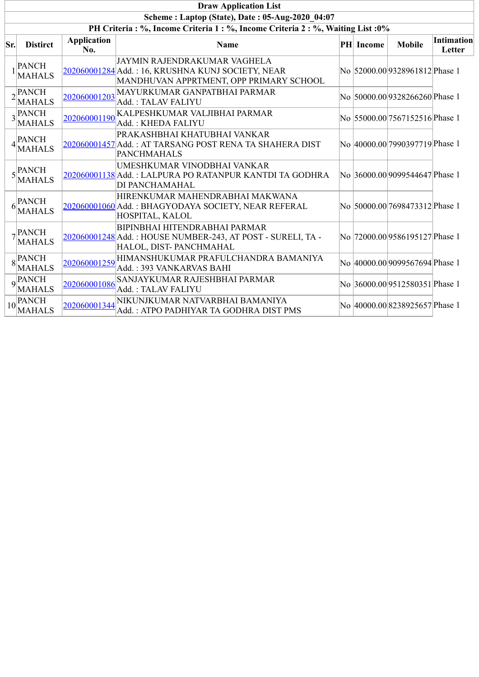|     | <b>Draw Application List</b>                                                     |                           |                                                                                                                               |  |           |                                |                             |  |  |  |  |  |
|-----|----------------------------------------------------------------------------------|---------------------------|-------------------------------------------------------------------------------------------------------------------------------|--|-----------|--------------------------------|-----------------------------|--|--|--|--|--|
|     |                                                                                  |                           | Scheme: Laptop (State), Date: 05-Aug-2020 04:07                                                                               |  |           |                                |                             |  |  |  |  |  |
|     | PH Criteria : %, Income Criteria 1 : %, Income Criteria 2 : %, Waiting List : 0% |                           |                                                                                                                               |  |           |                                |                             |  |  |  |  |  |
| Sr. | <b>Distirct</b>                                                                  | <b>Application</b><br>No. | <b>Name</b>                                                                                                                   |  | PH Income | <b>Mobile</b>                  | <b>Intimation</b><br>Letter |  |  |  |  |  |
|     | $1$ <sup>[PANCH]</sup><br><b>MAHALS</b>                                          |                           | JAYMIN RAJENDRAKUMAR VAGHELA<br>202060001284 Add.: 16, KRUSHNA KUNJ SOCIETY, NEAR<br>MANDHUVAN APPRTMENT, OPP PRIMARY SCHOOL  |  |           | No 52000.00 9328961812 Phase 1 |                             |  |  |  |  |  |
|     | $2$ <sup>PANCH</sup><br><b>MAHALS</b>                                            | 202060001203              | MAYURKUMAR GANPATBHAI PARMAR<br>Add.: TALAV FALIYU                                                                            |  |           | No 50000.00 9328266260 Phase 1 |                             |  |  |  |  |  |
|     | $3$ <sup>PANCH</sup><br><b>MAHALS</b>                                            | 202060001190              | KALPESHKUMAR VALJIBHAI PARMAR<br>Add.: KHEDA FALIYU                                                                           |  |           | No 55000.00 7567152516 Phase 1 |                             |  |  |  |  |  |
|     | $4$ <sup>PANCH</sup><br><b>MAHALS</b>                                            |                           | PRAKASHBHAI KHATUBHAI VANKAR<br>202060001457 Add.: AT TARSANG POST RENA TA SHAHERA DIST<br><b>PANCHMAHALS</b>                 |  |           | No 40000.00 7990397719 Phase 1 |                             |  |  |  |  |  |
|     | $5$ <sup>PANCH</sup><br><b>MAHALS</b>                                            |                           | UMESHKUMAR VINODBHAI VANKAR<br>202060001138 Add.: LALPURA PO RATANPUR KANTDI TA GODHRA<br><b>DI PANCHAMAHAL</b>               |  |           | No 36000.00 9099544647 Phase 1 |                             |  |  |  |  |  |
| 6   | PANCH<br><b>MAHALS</b>                                                           |                           | HIRENKUMAR MAHENDRABHAI MAKWANA<br>202060001060 Add.: BHAGYODAYA SOCIETY, NEAR REFERAL<br>HOSPITAL, KALOL                     |  |           | No 50000.00 7698473312 Phase 1 |                             |  |  |  |  |  |
|     | $7$ <sup>PANCH</sup><br><b>MAHALS</b>                                            |                           | <b>BIPINBHAI HITENDRABHAI PARMAR</b><br>202060001248 Add.: HOUSE NUMBER-243, AT POST - SURELI, TA -<br>HALOL, DIST-PANCHMAHAL |  |           | No 72000.00 9586195127 Phase 1 |                             |  |  |  |  |  |
|     | $8$ <sup>PANCH</sup><br><b>MAHALS</b>                                            | 202060001259              | HIMANSHUKUMAR PRAFULCHANDRA BAMANIYA<br>Add.: 393 VANKARVAS BAHI                                                              |  |           | No 40000.00 9099567694 Phase 1 |                             |  |  |  |  |  |
|     | $\overline{q}$ PANCH<br><b>MAHALS</b>                                            | 202060001086              | SANJAYKUMAR RAJESHBHAI PARMAR<br>Add.: TALAV FALIYU                                                                           |  |           | No 36000.00 9512580351 Phase 1 |                             |  |  |  |  |  |
|     | $10$ <sup>PANCH</sup><br><b>MAHALS</b>                                           | 202060001344              | NIKUNJKUMAR NATVARBHAI BAMANIYA<br>Add.: ATPO PADHIYAR TA GODHRA DIST PMS                                                     |  |           | No 40000.00 8238925657 Phase 1 |                             |  |  |  |  |  |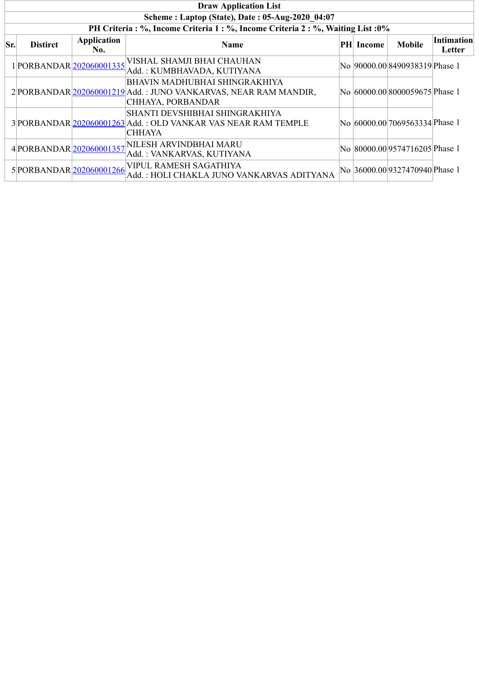|     | <b>Draw Application List</b>                    |                           |                                                                                                                              |  |           |                                 |                             |  |  |  |  |
|-----|-------------------------------------------------|---------------------------|------------------------------------------------------------------------------------------------------------------------------|--|-----------|---------------------------------|-----------------------------|--|--|--|--|
|     | Scheme: Laptop (State), Date: 05-Aug-2020 04:07 |                           |                                                                                                                              |  |           |                                 |                             |  |  |  |  |
|     |                                                 |                           | PH Criteria : %, Income Criteria 1 : %, Income Criteria 2 : %, Waiting List : 0%                                             |  |           |                                 |                             |  |  |  |  |
| Sr. | <b>Distirct</b>                                 | <b>Application</b><br>No. | Name                                                                                                                         |  | PH Income | <b>Mobile</b>                   | <b>Intimation</b><br>Letter |  |  |  |  |
|     | 1PORBANDAR 202060001335                         |                           | VISHAL SHAMJI BHAI CHAUHAN<br>Add.: KUMBHAVADA, KUTIYANA                                                                     |  |           | No  90000.00 8490938319 Phase 1 |                             |  |  |  |  |
|     |                                                 |                           | <b>BHAVIN MADHUBHAI SHINGRAKHIYA</b><br>2 PORBANDAR 202060001219 Add.: JUNO VANKARVAS, NEAR RAM MANDIR,<br>CHHAYA, PORBANDAR |  |           | No 60000.00 8000059675 Phase 1  |                             |  |  |  |  |
|     |                                                 |                           | SHANTI DEVSHIBHAI SHINGRAKHIYA<br>3 PORBANDAR 202060001263 Add.: OLD VANKAR VAS NEAR RAM TEMPLE<br><b>CHHAYA</b>             |  |           | No 60000.00 7069563334 Phase 1  |                             |  |  |  |  |
|     | 4 PORBANDAR 202060001357                        |                           | NILESH ARVINDBHAI MARU<br>Add.: VANKARVAS, KUTIYANA                                                                          |  |           | No 80000.00 9574716205 Phase 1  |                             |  |  |  |  |
|     | 5 PORBANDAR 202060001266                        |                           | VIPUL RAMESH SAGATHIYA<br>Add.: HOLI CHAKLA JUNO VANKARVAS ADITYANA                                                          |  |           | No 36000.00 9327470940 Phase 1  |                             |  |  |  |  |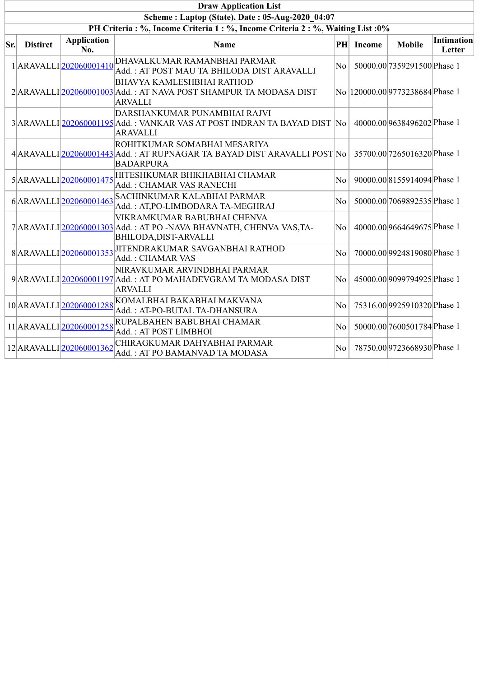|     | <b>Draw Application List</b>                                                 |                           |                                                                                                                                    |                  |               |                                  |                      |  |  |  |  |  |
|-----|------------------------------------------------------------------------------|---------------------------|------------------------------------------------------------------------------------------------------------------------------------|------------------|---------------|----------------------------------|----------------------|--|--|--|--|--|
|     | Scheme: Laptop (State), Date: 05-Aug-2020 04:07                              |                           |                                                                                                                                    |                  |               |                                  |                      |  |  |  |  |  |
|     | PH Criteria: %, Income Criteria 1: %, Income Criteria 2: %, Waiting List: 0% |                           |                                                                                                                                    |                  |               |                                  |                      |  |  |  |  |  |
| Sr. | <b>Distirct</b>                                                              | <b>Application</b><br>No. | Name                                                                                                                               | PH               | <b>Income</b> | <b>Mobile</b>                    | Intimation<br>Letter |  |  |  |  |  |
|     |                                                                              | 1ARAVALLI202060001410     | DHAVALKUMAR RAMANBHAI PARMAR<br>Add.: AT POST MAU TA BHILODA DIST ARAVALLI                                                         | $\rm{No}$        |               | 50000.00 7359291500 Phase 1      |                      |  |  |  |  |  |
|     |                                                                              |                           | <b>BHAVYA KAMLESHBHAI RATHOD</b><br>2 ARAVALLI 202060001003 Add.: AT NAVA POST SHAMPUR TA MODASA DIST<br><b>ARVALLI</b>            |                  |               | No  120000.00 9773238684 Phase 1 |                      |  |  |  |  |  |
|     |                                                                              |                           | DARSHANKUMAR PUNAMBHAI RAJVI<br>3 ARAVALLI 202060001195 Add.: VANKAR VAS AT POST INDRAN TA BAYAD DIST  No<br><b>ARAVALLI</b>       |                  |               | 40000.00 9638496202 Phase 1      |                      |  |  |  |  |  |
|     |                                                                              |                           | ROHITKUMAR SOMABHAI MESARIYA<br>4 ARAVALLI 202060001443 Add.: AT RUPNAGAR TA BAYAD DIST ARAVALLI POST No<br><b>BADARPURA</b>       |                  |               | 35700.00 7265016320 Phase 1      |                      |  |  |  |  |  |
|     |                                                                              | 5ARAVALLI202060001475     | HITESHKUMAR BHIKHABHAI CHAMAR<br>Add.: CHAMAR VAS RANECHI                                                                          | No               |               | 90000.00 8155914094 Phase 1      |                      |  |  |  |  |  |
|     |                                                                              | 6ARAVALLI202060001463     | SACHINKUMAR KALABHAI PARMAR<br>Add.: AT,PO-LIMBODARA TA-MEGHRAJ                                                                    | No               |               | 50000.00 7069892535 Phase 1      |                      |  |  |  |  |  |
|     |                                                                              |                           | VIKRAMKUMAR BABUBHAI CHENVA<br>7 ARAVALLI 202060001303 Add.: AT PO -NAVA BHAVNATH, CHENVA VAS, TA-<br><b>BHILODA, DIST-ARVALLI</b> | No               |               | 40000.00 9664649675 Phase 1      |                      |  |  |  |  |  |
|     |                                                                              | 8ARAVALLI202060001353     | JITENDRAKUMAR SAVGANBHAI RATHOD<br>Add.: CHAMAR VAS                                                                                | No               |               | 70000.00 9924819080 Phase 1      |                      |  |  |  |  |  |
|     |                                                                              |                           | NIRAVKUMAR ARVINDBHAI PARMAR<br>9 ARAVALLI 202060001197 Add.: AT PO MAHADEVGRAM TA MODASA DIST<br><b>ARVALLI</b>                   | $\rm{No}$ $\mid$ |               | 45000.00 9099794925 Phase 1      |                      |  |  |  |  |  |
|     |                                                                              | 10 ARAVALLI 202060001288  | KOMALBHAI BAKABHAI MAKVANA<br>Add.: AT-PO-BUTAL TA-DHANSURA                                                                        | No               |               | 75316.00 9925910320 Phase 1      |                      |  |  |  |  |  |
|     |                                                                              | 11 ARAVALLI 202060001258  | RUPALBAHEN BABUBHAI CHAMAR<br>Add.: AT POST LIMBHOI                                                                                | No               |               | 50000.00 7600501784 Phase 1      |                      |  |  |  |  |  |
|     |                                                                              | 12 ARAVALLI 202060001362  | CHIRAGKUMAR DAHYABHAI PARMAR<br>Add.: AT PO BAMANVAD TA MODASA                                                                     | No               |               | 78750.00 9723668930 Phase 1      |                      |  |  |  |  |  |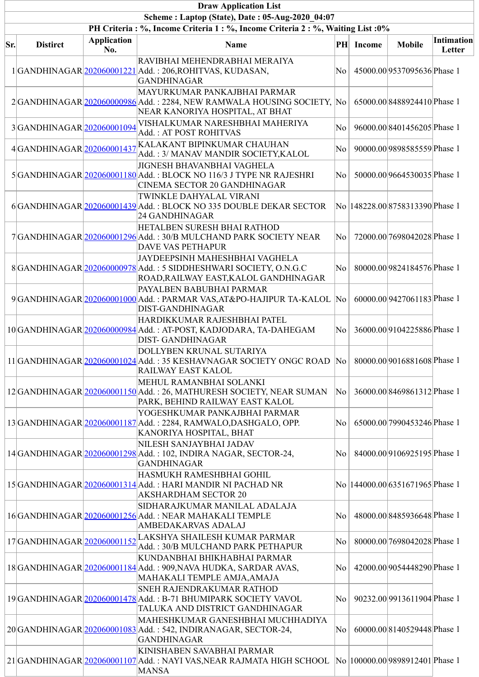|     | <b>Draw Application List</b> |                           |                                                                                                                                                               |           |           |                                  |                      |  |  |  |  |
|-----|------------------------------|---------------------------|---------------------------------------------------------------------------------------------------------------------------------------------------------------|-----------|-----------|----------------------------------|----------------------|--|--|--|--|
|     |                              |                           | Scheme: Laptop (State), Date: 05-Aug-2020 04:07                                                                                                               |           |           |                                  |                      |  |  |  |  |
|     |                              |                           | PH Criteria : %, Income Criteria 1 : %, Income Criteria 2 : %, Waiting List : 0%                                                                              |           |           |                                  |                      |  |  |  |  |
| Sr. | <b>Distirct</b>              | <b>Application</b><br>No. | <b>Name</b>                                                                                                                                                   |           | PH Income | <b>Mobile</b>                    | Intimation<br>Letter |  |  |  |  |
|     |                              |                           | RAVIBHAI MEHENDRABHAI MERAIYA<br>1 GANDHINAGAR 202060001221 Add.: 206,ROHITVAS, KUDASAN,<br><b>GANDHINAGAR</b>                                                | No        |           | 45000.00 9537095636 Phase 1      |                      |  |  |  |  |
|     |                              |                           | MAYURKUMAR PANKAJBHAI PARMAR<br>2GANDHINAGAR 202060000986 Add.: 2284, NEW RAMWALA HOUSING SOCIETY, No<br>NEAR KANORIYA HOSPITAL, AT BHAT                      |           |           | 65000.008488924410Phase 1        |                      |  |  |  |  |
|     | 3GANDHINAGAR 202060001094    |                           | VISHALKUMAR NARESHBHAI MAHERIYA<br>Add.: AT POST ROHITVAS                                                                                                     | No        |           | 96000.00 8401456205 Phase 1      |                      |  |  |  |  |
|     | 4GANDHINAGAR 202060001437    |                           | KALAKANT BIPINKUMAR CHAUHAN<br>Add.: 3/ MANAV MANDIR SOCIETY,KALOL                                                                                            | No        |           | 90000.00 9898585559 Phase 1      |                      |  |  |  |  |
|     |                              |                           | <b>JIGNESH BHAVANBHAI VAGHELA</b><br>5 GANDHINAGAR 202060001180 Add.: BLOCK NO 116/3 J TYPE NR RAJESHRI<br>CINEMA SECTOR 20 GANDHINAGAR                       | No        |           | 50000.00 9664530035 Phase 1      |                      |  |  |  |  |
|     |                              |                           | TWINKLE DAHYALAL VIRANI<br>6GANDHINAGAR 202060001439 Add.: BLOCK NO 335 DOUBLE DEKAR SECTOR<br>24 GANDHINAGAR                                                 |           |           | No  148228.00 8758313390 Phase 1 |                      |  |  |  |  |
|     |                              |                           | HETALBEN SURESH BHAI RATHOD<br>7 GANDHINAGAR 202060001296 Add.: 30/B MULCHAND PARK SOCIETY NEAR<br><b>DAVE VAS PETHAPUR</b>                                   | No        |           | 72000.00 7698042028 Phase 1      |                      |  |  |  |  |
|     |                              |                           | JAYDEEPSINH MAHESHBHAI VAGHELA<br>8GANDHINAGAR202060000978Add.: 5 SIDDHESHWARI SOCIETY, O.N.G.C<br>ROAD, RAILWAY EAST, KALOL GANDHINAGAR                      | No        |           | 80000.00 9824184576 Phase 1      |                      |  |  |  |  |
|     |                              |                           | PAYALBEN BABUBHAI PARMAR<br>9 GANDHINAGAR 202060001000 Add.: PARMAR VAS, AT&PO-HAJIPUR TA-KALOL No<br><b>DIST-GANDHINAGAR</b>                                 |           |           | 60000.00 9427061183 Phase 1      |                      |  |  |  |  |
|     |                              |                           | HARDIKKUMAR RAJESHBHAI PATEL<br>10 GANDHINAGAR 202060000984 Add.: AT-POST, KADJODARA, TA-DAHEGAM<br><b>DIST- GANDHINAGAR</b>                                  | $\rm{No}$ |           | 36000.00 9104225886 Phase 1      |                      |  |  |  |  |
|     |                              |                           | DOLLYBEN KRUNAL SUTARIYA<br>11 GANDHINAGAR 202060001024 Add.: 35 KESHAVNAGAR SOCIETY ONGC ROAD  No   80000.00 9016881608 Phase 1<br><b>RAILWAY EAST KALOL</b> |           |           |                                  |                      |  |  |  |  |
|     |                              |                           | MEHUL RAMANBHAI SOLANKI<br>12 GANDHINAGAR 202060001150 Add.: 26, MATHURESH SOCIETY, NEAR SUMAN<br>PARK, BEHIND RAILWAY EAST KALOL                             | No        |           | 36000.00 8469861312 Phase 1      |                      |  |  |  |  |
|     |                              |                           | YOGESHKUMAR PANKAJBHAI PARMAR<br>13 GANDHINAGAR 202060001187 Add.: 2284, RAMWALO, DASHGALO, OPP.<br>KANORIYA HOSPITAL, BHAT                                   | No        |           | 65000.00 7990453246 Phase 1      |                      |  |  |  |  |
|     |                              |                           | NILESH SANJAYBHAI JADAV<br>14 GANDHINAGAR 202060001298 Add.: 102, INDIRA NAGAR, SECTOR-24,<br><b>GANDHINAGAR</b>                                              | No        |           | 84000.00 9106925195 Phase 1      |                      |  |  |  |  |
|     |                              |                           | HASMUKH RAMESHBHAI GOHIL<br>15 GANDHINAGAR 202060001314 Add.: HARI MANDIR NI PACHAD NR<br><b>AKSHARDHAM SECTOR 20</b>                                         |           |           | No  144000.00 6351671965 Phase 1 |                      |  |  |  |  |
|     |                              |                           | SIDHARAJKUMAR MANILAL ADALAJA<br>16 GANDHINAGAR 202060001256 Add.: NEAR MAHAKALI TEMPLE<br>AMBEDAKARVAS ADALAJ                                                | No        |           | 48000.00 8485936648 Phase 1      |                      |  |  |  |  |
|     |                              |                           | $17\Big  \text{GANDHINAGAR} \Big  \underline{202060001152} \Big  \text{LAKSHYA SHAILESH KUMAR PARMAR}$<br>Add.: 30/B MULCHAND PARK PETHAPUR                   | No        |           | 80000.00 7698042028 Phase 1      |                      |  |  |  |  |
|     |                              |                           | KUNDANBHAI BHIKHABHAI PARMAR<br>18 GANDHINAGAR 202060001184 Add.: 909, NAVA HUDKA, SARDAR AVAS,<br>MAHAKALI TEMPLE AMJA,AMAJA                                 | No        |           | 42000.00 9054448290 Phase 1      |                      |  |  |  |  |
|     |                              |                           | <b>SNEH RAJENDRAKUMAR RATHOD</b><br>19 GANDHINAGAR 202060001478 Add.: B-71 BHUMIPARK SOCIETY VAVOL<br>TALUKA AND DISTRICT GANDHINAGAR                         | No        |           | 90232.00 9913611904 Phase 1      |                      |  |  |  |  |
|     |                              |                           | MAHESHKUMAR GANESHBHAI MUCHHADIYA<br>20 GANDHINAGAR 202060001083 Add.: 542, INDIRANAGAR, SECTOR-24,<br><b>GANDHINAGAR</b>                                     | No        |           | 60000.00 8140529448 Phase 1      |                      |  |  |  |  |
|     |                              |                           | KINISHABEN SAVABHAI PARMAR<br>21 GANDHINAGAR 202060001107 Add.: NAYI VAS, NEAR RAJMATA HIGH SCHOOL<br><b>MANSA</b>                                            |           |           | No  100000.00 9898912401 Phase 1 |                      |  |  |  |  |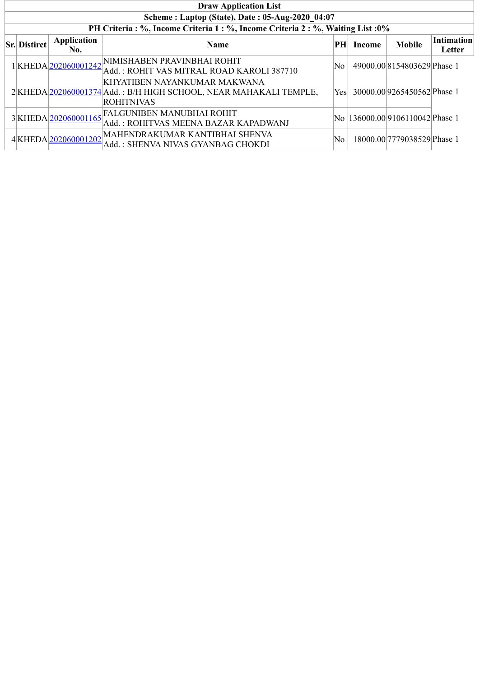| <b>Draw Application List</b>                    |                     |                                                                                                                        |     |        |                                  |                             |  |  |  |  |  |  |
|-------------------------------------------------|---------------------|------------------------------------------------------------------------------------------------------------------------|-----|--------|----------------------------------|-----------------------------|--|--|--|--|--|--|
| Scheme: Laptop (State), Date: 05-Aug-2020 04:07 |                     |                                                                                                                        |     |        |                                  |                             |  |  |  |  |  |  |
|                                                 |                     | PH Criteria : %, Income Criteria 1 : %, Income Criteria 2 : %, Waiting List : 0%                                       |     |        |                                  |                             |  |  |  |  |  |  |
| <b>Sr.</b> Distirct                             | Application<br>No.  | <b>Name</b>                                                                                                            | PH  | Income | <b>Mobile</b>                    | <b>Intimation</b><br>Letter |  |  |  |  |  |  |
|                                                 | 1KHEDA202060001242  | NIMISHABEN PRAVINBHAI ROHIT<br>Add.: ROHIT VAS MITRAL ROAD KAROLI 387710                                               | No  |        | 49000.00 8154803629 Phase 1      |                             |  |  |  |  |  |  |
|                                                 |                     | KHYATIBEN NAYANKUMAR MAKWANA<br>2 KHEDA 202060001374 Add.: B/H HIGH SCHOOL, NEAR MAHAKALI TEMPLE,<br><b>ROHITNIVAS</b> | Yes |        | 30000.00 9265450562 Phase 1      |                             |  |  |  |  |  |  |
|                                                 | 3KHEDA 202060001165 | <b>FALGUNIBEN MANUBHAI ROHIT</b><br>Add.: ROHITVAS MEENA BAZAR KAPADWANJ                                               |     |        | No  136000.00 9106110042 Phase 1 |                             |  |  |  |  |  |  |
|                                                 | 4KHEDA202060001202  | MAHENDRAKUMAR KANTIBHAI SHENVA<br>Add.: SHENVA NIVAS GYANBAG CHOKDI                                                    | No  |        | 18000.00 7779038529 Phase 1      |                             |  |  |  |  |  |  |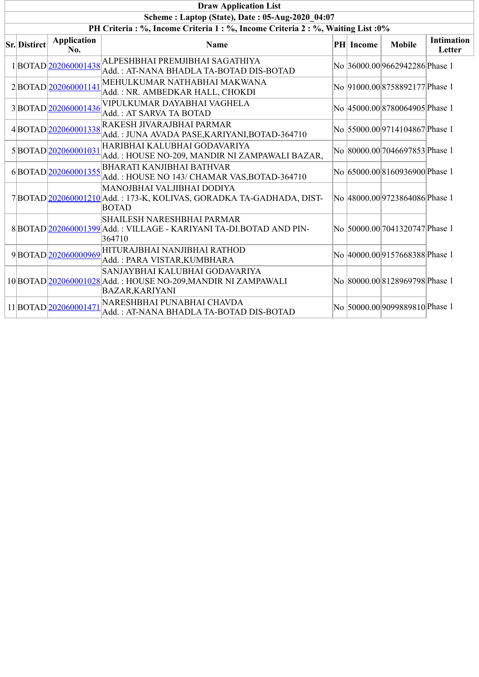| <b>Draw Application List</b>                                                     |                           |                                                                                                                                         |  |           |                                |                             |  |  |  |
|----------------------------------------------------------------------------------|---------------------------|-----------------------------------------------------------------------------------------------------------------------------------------|--|-----------|--------------------------------|-----------------------------|--|--|--|
|                                                                                  |                           | Scheme: Laptop (State), Date: 05-Aug-2020_04:07                                                                                         |  |           |                                |                             |  |  |  |
| PH Criteria : %, Income Criteria 1 : %, Income Criteria 2 : %, Waiting List : 0% |                           |                                                                                                                                         |  |           |                                |                             |  |  |  |
| <b>Sr. Distirct</b>                                                              | <b>Application</b><br>No. | <b>Name</b>                                                                                                                             |  | PH Income | <b>Mobile</b>                  | <b>Intimation</b><br>Letter |  |  |  |
|                                                                                  |                           | $1\Big \text{BOTAD}\Big \underline{202060001438}\Big \text{ALPESHBHAI PREMJIBHAI SAGATHIYA}$<br>Add.: AT-NANA BHADLA TA-BOTAD DIS-BOTAD |  |           | No 36000.00 9662942286 Phase 1 |                             |  |  |  |
|                                                                                  | 2BOTAD 202060001141       | MEHULKUMAR NATHABHAI MAKWANA<br>Add.: NR. AMBEDKAR HALL, CHOKDI                                                                         |  |           | No 91000.00 8758892177 Phase 1 |                             |  |  |  |
|                                                                                  | 3BOTAD 202060001436       | VIPULKUMAR DAYABHAI VAGHELA<br>Add.: AT SARVA TA BOTAD                                                                                  |  |           | No 45000.00 8780064905 Phase 1 |                             |  |  |  |
|                                                                                  | 4BOTAD202060001338        | RAKESH JIVARAJBHAI PARMAR<br>Add.: JUNA AVADA PASE, KARIYANI, BOTAD-364710                                                              |  |           | No 55000.00 9714104867 Phase 1 |                             |  |  |  |
|                                                                                  | 5BOTAD 202060001031       | HARIBHAI KALUBHAI GODAVARIYA<br>Add.: HOUSE NO-209, MANDIR NI ZAMPAWALI BAZAR,                                                          |  |           | No 80000.00 7046697853 Phase 1 |                             |  |  |  |
|                                                                                  | 6BOTAD 202060001355       | <b>BHARATI KANJIBHAI BATHVAR</b><br>Add.: HOUSE NO 143/ CHAMAR VAS, BOTAD-364710                                                        |  |           | No 65000.00 8160936900 Phase 1 |                             |  |  |  |
|                                                                                  |                           | MANOJBHAI VALJIBHAI DODIYA<br>7 BOTAD 202060001210 Add.: 173-K, KOLIVAS, GORADKA TA-GADHADA, DIST-<br><b>BOTAD</b>                      |  |           | No 48000.00 9723864086 Phase 1 |                             |  |  |  |
|                                                                                  |                           | <b>SHAILESH NARESHBHAI PARMAR</b><br>8 BOTAD 202060001399 Add.: VILLAGE - KARIYANI TA-DI.BOTAD AND PIN-<br>364710                       |  |           | No 50000.00 7041320747 Phase 1 |                             |  |  |  |
|                                                                                  | 9BOTAD202060000969        | HITURAJBHAI NANJIBHAI RATHOD<br>Add.: PARA VISTAR, KUMBHARA                                                                             |  |           | No 40000.00 9157668388 Phase 1 |                             |  |  |  |
|                                                                                  |                           | SANJAYBHAI KALUBHAI GODAVARIYA<br>10 BOTAD 202060001028 Add. : HOUSE NO-209,MANDIR NI ZAMPAWALI<br><b>BAZAR, KARIYANI</b>               |  |           | No 80000.008128969798 Phase 1  |                             |  |  |  |
|                                                                                  | 11BOTAD202060001471       | NARESHBHAI PUNABHAI CHAVDA<br>Add.: AT-NANA BHADLA TA-BOTAD DIS-BOTAD                                                                   |  |           | No 50000.00 9099889810 Phase 1 |                             |  |  |  |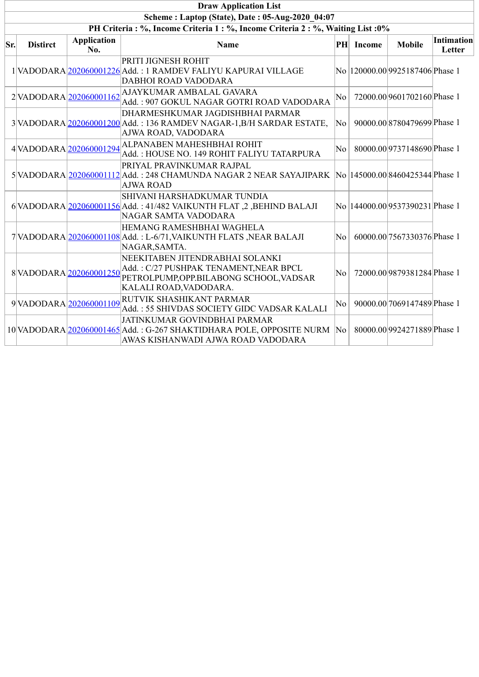|     | <b>Draw Application List</b>                                                     |                           |                                                                                                                                                     |                     |           |                                  |                      |  |  |  |  |  |
|-----|----------------------------------------------------------------------------------|---------------------------|-----------------------------------------------------------------------------------------------------------------------------------------------------|---------------------|-----------|----------------------------------|----------------------|--|--|--|--|--|
|     | Scheme: Laptop (State), Date: 05-Aug-2020 04:07                                  |                           |                                                                                                                                                     |                     |           |                                  |                      |  |  |  |  |  |
|     | PH Criteria : %, Income Criteria 1 : %, Income Criteria 2 : %, Waiting List : 0% |                           |                                                                                                                                                     |                     |           |                                  |                      |  |  |  |  |  |
| Sr. | <b>Distirct</b>                                                                  | <b>Application</b><br>No. | <b>Name</b>                                                                                                                                         |                     | PH Income | <b>Mobile</b>                    | Intimation<br>Letter |  |  |  |  |  |
|     |                                                                                  |                           | PRITI JIGNESH ROHIT<br>1 VADODARA 202060001226 Add.: 1 RAMDEV FALIYU KAPURAI VILLAGE<br>DABHOI ROAD VADODARA                                        |                     |           | No  120000.00 9925187406 Phase 1 |                      |  |  |  |  |  |
|     |                                                                                  | 2 VADODARA 202060001162   | AJAYKUMAR AMBALAL GAVARA<br>Add.: 907 GOKUL NAGAR GOTRI ROAD VADODARA                                                                               | No                  |           | 72000.00 9601702160 Phase 1      |                      |  |  |  |  |  |
|     |                                                                                  |                           | DHARMESHKUMAR JAGDISHBHAI PARMAR<br>3 VADODARA 202060001200 Add.: 136 RAMDEV NAGAR-1, B/H SARDAR ESTATE,<br>AJWA ROAD, VADODARA                     | No                  |           | 90000.00 8780479699 Phase 1      |                      |  |  |  |  |  |
|     |                                                                                  | 4VADODARA 202060001294    | ALPANABEN MAHESHBHAI ROHIT<br>Add.: HOUSE NO. 149 ROHIT FALIYU TATARPURA                                                                            | No                  |           | 80000.00 9737148690 Phase 1      |                      |  |  |  |  |  |
|     |                                                                                  |                           | PRIYAL PRAVINKUMAR RAJPAL<br>5 VADODARA 202060001112 Add.: 248 CHAMUNDA NAGAR 2 NEAR SAYAJIPARK No 145000.00 8460425344 Phase 1<br><b>AJWA ROAD</b> |                     |           |                                  |                      |  |  |  |  |  |
|     |                                                                                  |                           | SHIVANI HARSHADKUMAR TUNDIA<br>6 VADODARA 202060001156 Add.: 41/482 VAIKUNTH FLAT, 2, BEHIND BALAJI<br><b>NAGAR SAMTA VADODARA</b>                  |                     |           | No  144000.00 9537390231 Phase 1 |                      |  |  |  |  |  |
|     |                                                                                  |                           | HEMANG RAMESHBHAI WAGHELA<br>7 VADODARA 202060001108 Add.: L-6/71, VAIKUNTH FLATS, NEAR BALAJI<br>NAGAR, SAMTA.                                     | No                  |           | 60000.00 7567330376 Phase 1      |                      |  |  |  |  |  |
|     |                                                                                  | 8VADODARA 202060001250    | NEEKITABEN JITENDRABHAI SOLANKI<br>Add.: C/27 PUSHPAK TENAMENT, NEAR BPCL<br>PETROLPUMP, OPP.BILABONG SCHOOL, VADSAR<br>KALALI ROAD, VADODARA.      | No                  |           | 72000.00 9879381284 Phase 1      |                      |  |  |  |  |  |
|     |                                                                                  | 9VADODARA 202060001109    | RUTVIK SHASHIKANT PARMAR<br>Add.: 55 SHIVDAS SOCIETY GIDC VADSAR KALALI                                                                             | No                  |           | 90000.00 7069147489 Phase 1      |                      |  |  |  |  |  |
|     |                                                                                  |                           | JATINKUMAR GOVINDBHAI PARMAR<br>10 VADODARA 202060001465 Add.: G-267 SHAKTIDHARA POLE, OPPOSITE NURM<br>AWAS KISHANWADI AJWA ROAD VADODARA          | $\overline{\rm No}$ |           | 80000.00 9924271889 Phase 1      |                      |  |  |  |  |  |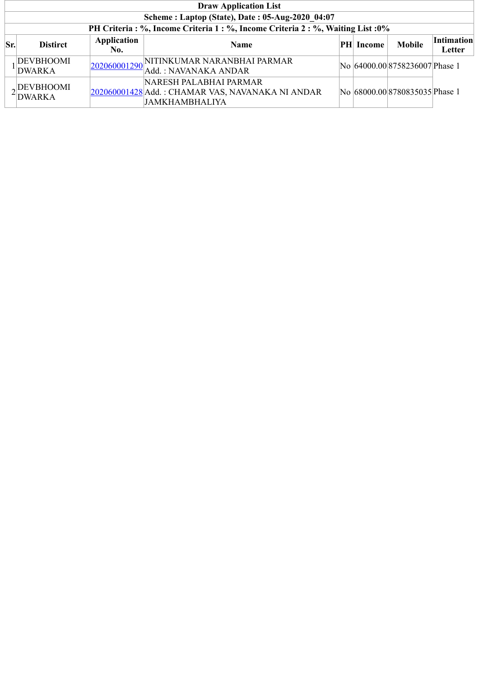|     | <b>Draw Application List</b>                    |                    |                                                                                                     |  |            |                                |                      |  |  |  |  |  |
|-----|-------------------------------------------------|--------------------|-----------------------------------------------------------------------------------------------------|--|------------|--------------------------------|----------------------|--|--|--|--|--|
|     | Scheme: Laptop (State), Date: 05-Aug-2020 04:07 |                    |                                                                                                     |  |            |                                |                      |  |  |  |  |  |
|     |                                                 |                    | PH Criteria: %, Income Criteria 1: %, Income Criteria 2: %, Waiting List: 0%                        |  |            |                                |                      |  |  |  |  |  |
| Sr. | <b>Distirct</b>                                 | Application<br>No. | <b>Name</b>                                                                                         |  | PH  Income | <b>Mobile</b>                  | Intimation<br>Letter |  |  |  |  |  |
|     | DEVBHOOMI<br>DWARKA                             |                    | 202060001290 NITINKUMAR NARANBHAI PARMAR<br>Add.: NAVANAKA ANDAR                                    |  |            | No 64000.00 8758236007 Phase 1 |                      |  |  |  |  |  |
|     | DEVBHOOMI<br><b>DWARKA</b>                      |                    | NARESH PALABHAI PARMAR<br>202060001428 Add.: CHAMAR VAS, NAVANAKA NI ANDAR<br><b>JAMKHAMBHALIYA</b> |  |            | No 68000.00 8780835035 Phase 1 |                      |  |  |  |  |  |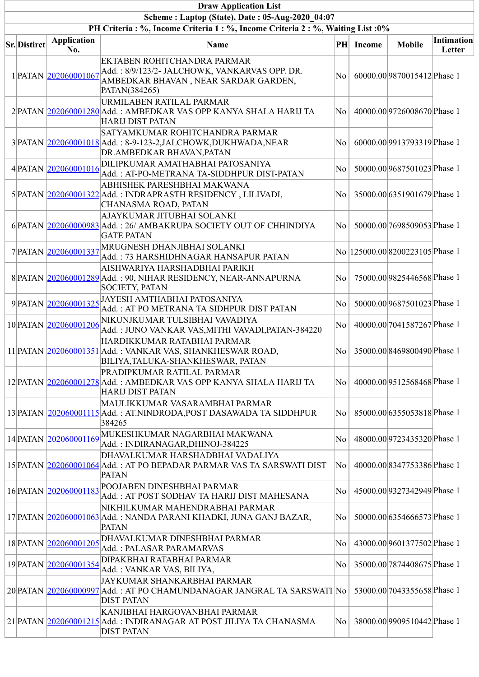| <b>Draw Application List</b>                                                                                                    |                           |                                                                                                                                       |                        |               |                                  |                      |  |  |  |  |  |  |
|---------------------------------------------------------------------------------------------------------------------------------|---------------------------|---------------------------------------------------------------------------------------------------------------------------------------|------------------------|---------------|----------------------------------|----------------------|--|--|--|--|--|--|
| Scheme: Laptop (State), Date: 05-Aug-2020 04:07<br>PH Criteria: %, Income Criteria 1: %, Income Criteria 2: %, Waiting List: 0% |                           |                                                                                                                                       |                        |               |                                  |                      |  |  |  |  |  |  |
|                                                                                                                                 |                           |                                                                                                                                       |                        |               |                                  |                      |  |  |  |  |  |  |
| <b>Sr.</b> Distirct                                                                                                             | <b>Application</b><br>No. | Name                                                                                                                                  | PH                     | <b>Income</b> | <b>Mobile</b>                    | Intimation<br>Letter |  |  |  |  |  |  |
|                                                                                                                                 | 1 PATAN 202060001067      | EKTABEN ROHITCHANDRA PARMAR<br>Add.: 8/9/123/2- JALCHOWK, VANKARVAS OPP. DR.<br>AMBEDKAR BHAVAN, NEAR SARDAR GARDEN,<br>PATAN(384265) | $\rm{No}$ $\mid$       |               | 60000.00 9870015412 Phase 1      |                      |  |  |  |  |  |  |
|                                                                                                                                 |                           | URMILABEN RATILAL PARMAR<br>2 PATAN 202060001280 Add.: AMBEDKAR VAS OPP KANYA SHALA HARIJ TA<br><b>HARIJ DIST PATAN</b>               | $ {\rm No}\> $         |               | 40000.00 9726008670 Phase 1      |                      |  |  |  |  |  |  |
|                                                                                                                                 |                           | SATYAMKUMAR ROHITCHANDRA PARMAR<br>3 PATAN 202060001018 Add.: 8-9-123-2, JALCHOWK, DUKHWADA, NEAR<br>DR.AMBEDKAR BHAVAN, PATAN        | No                     |               | 60000.00 9913793319 Phase 1      |                      |  |  |  |  |  |  |
|                                                                                                                                 | 4 PATAN 202060001016      | DILIPKUMAR AMATHABHAI PATOSANIYA<br>Add.: AT-PO-METRANA TA-SIDDHPUR DIST-PATAN                                                        | No                     |               | 50000.00 9687501023 Phase 1      |                      |  |  |  |  |  |  |
|                                                                                                                                 |                           | ABHISHEK PARESHBHAI MAKWANA<br>5 PATAN 202060001322 Add.: INDRAPRASTH RESIDENCY, LILIVADI,<br>CHANASMA ROAD, PATAN                    | No.                    |               | 35000.00 6351901679 Phase 1      |                      |  |  |  |  |  |  |
|                                                                                                                                 |                           | AJAYKUMAR JITUBHAI SOLANKI<br>6 PATAN 202060000983 Add.: 26/ AMBAKRUPA SOCIETY OUT OF CHHINDIYA<br><b>GATE PATAN</b>                  | $\rm{No}$ $\mid$       |               | 50000.00 7698509053 Phase 1      |                      |  |  |  |  |  |  |
|                                                                                                                                 | 7 PATAN 202060001337      | MRUGNESH DHANJIBHAI SOLANKI<br>Add.: 73 HARSHIDHNAGAR HANSAPUR PATAN                                                                  |                        |               | No  125000.00 8200223105 Phase 1 |                      |  |  |  |  |  |  |
|                                                                                                                                 |                           | AISHWARIYA HARSHADBHAI PARIKH<br>8 PATAN 202060001289 Add.: 90, NIHAR RESIDENCY, NEAR-ANNAPURNA<br><b>SOCIETY, PATAN</b>              | No.                    |               | 75000.00 9825446568 Phase 1      |                      |  |  |  |  |  |  |
|                                                                                                                                 |                           | 9 PATAN 202060001325 JAYESH AMTHABHAI PATOSANIYA<br>Add.: AT PO METRANA TA SIDHPUR DIST PATAN                                         | No                     |               | 50000.00 9687501023 Phase 1      |                      |  |  |  |  |  |  |
|                                                                                                                                 | 10 PATAN 202060001206     | NIKUNJKUMAR TULSIBHAI VAVADIYA<br>Add.: JUNO VANKAR VAS, MITHI VAVADI, PATAN-384220                                                   | No                     |               | 40000.00 7041587267 Phase 1      |                      |  |  |  |  |  |  |
|                                                                                                                                 |                           | HARDIKKUMAR RATABHAI PARMAR<br>11 PATAN 202060001351 Add.: VANKAR VAS, SHANKHESWAR ROAD,<br>BILIYA, TALUKA-SHANKHESWAR, PATAN         | $\rm{No}$ $\mid$       |               | 35000.008469800490Phase 1        |                      |  |  |  |  |  |  |
|                                                                                                                                 |                           | PRADIPKUMAR RATILAL PARMAR<br>12 PATAN 202060001278 Add.: AMBEDKAR VAS OPP KANYA SHALA HARIJ TA<br><b>HARIJ DIST PATAN</b>            | No                     |               | 40000.00 9512568468 Phase 1      |                      |  |  |  |  |  |  |
|                                                                                                                                 |                           | MAULIKKUMAR VASARAMBHAI PARMAR<br>13 PATAN 202060001115 Add.: AT.NINDRODA, POST DASAWADA TA SIDDHPUR<br>384265                        | $ {\rm No}\> $         |               | 85000.00 6355053818 Phase 1      |                      |  |  |  |  |  |  |
|                                                                                                                                 | 14 PATAN 202060001169     | MUKESHKUMAR NAGARBHAI MAKWANA<br>Add.: INDIRANAGAR, DHINOJ-384225                                                                     | No                     |               | 48000.00 9723435320 Phase 1      |                      |  |  |  |  |  |  |
|                                                                                                                                 |                           | DHAVALKUMAR HARSHADBHAI VADALIYA<br>15 PATAN 202060001064 Add.: AT PO BEPADAR PARMAR VAS TA SARSWATI DIST<br><b>PATAN</b>             | No                     |               | 40000.00 8347753386 Phase 1      |                      |  |  |  |  |  |  |
|                                                                                                                                 | 16 PATAN 202060001183     | POOJABEN DINESHBHAI PARMAR<br>Add.: AT POST SODHAV TA HARIJ DIST MAHESANA                                                             | $\rm{No}$ $\mid$       |               | 45000.00 9327342949 Phase 1      |                      |  |  |  |  |  |  |
|                                                                                                                                 |                           | NIKHILKUMAR MAHENDRABHAI PARMAR<br>17 PATAN 202060001063 Add.: NANDA PARANI KHADKI, JUNA GANJ BAZAR,<br><b>PATAN</b>                  | No                     |               | 50000.00 6354666573 Phase 1      |                      |  |  |  |  |  |  |
|                                                                                                                                 | 18 PATAN 202060001205     | DHAVALKUMAR DINESHBHAI PARMAR<br>Add.: PALASAR PARAMARVAS                                                                             | No                     |               | 43000.00 9601377502 Phase 1      |                      |  |  |  |  |  |  |
|                                                                                                                                 | 19 PATAN 202060001354     | DIPAKBHAI RATABHAI PARMAR<br>Add.: VANKAR VAS, BILIYA,                                                                                | No                     |               | 35000.00 7874408675 Phase 1      |                      |  |  |  |  |  |  |
|                                                                                                                                 |                           | JAYKUMAR SHANKARBHAI PARMAR<br>20 PATAN 202060000997 Add.: AT PO CHAMUNDANAGAR JANGRAL TA SARSWATI No<br><b>DIST PATAN</b>            |                        |               | 53000.00 7043355658 Phase 1      |                      |  |  |  |  |  |  |
|                                                                                                                                 |                           | KANJIBHAI HARGOVANBHAI PARMAR<br>21 PATAN  202060001215 Add.: INDIRANAGAR AT POST JILIYA TA CHANASMA<br><b>DIST PATAN</b>             | $\overline{\text{No}}$ |               | 38000.00 9909510442 Phase 1      |                      |  |  |  |  |  |  |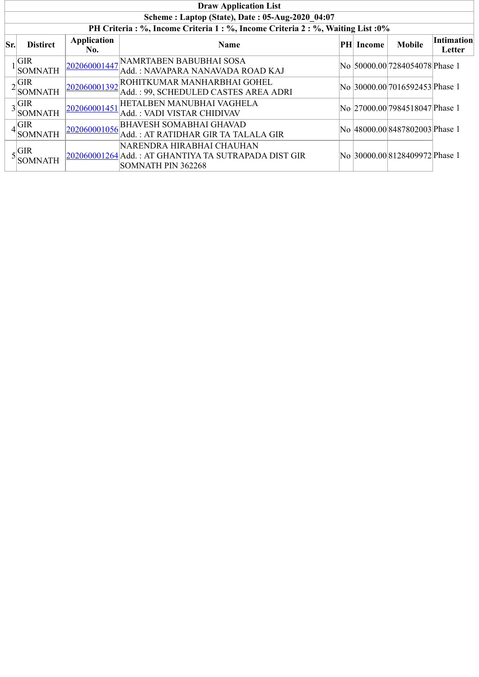| <b>Draw Application List</b> |                                                                                  |                    |                                                                                                         |  |                  |                                |                             |  |  |  |
|------------------------------|----------------------------------------------------------------------------------|--------------------|---------------------------------------------------------------------------------------------------------|--|------------------|--------------------------------|-----------------------------|--|--|--|
|                              | Scheme: Laptop (State), Date: 05-Aug-2020 04:07                                  |                    |                                                                                                         |  |                  |                                |                             |  |  |  |
|                              | PH Criteria : %, Income Criteria 1 : %, Income Criteria 2 : %, Waiting List : 0% |                    |                                                                                                         |  |                  |                                |                             |  |  |  |
| Sr.                          | <b>Distirct</b>                                                                  | Application<br>No. | <b>Name</b>                                                                                             |  | <b>PH</b> Income | <b>Mobile</b>                  | <b>Intimation</b><br>Letter |  |  |  |
|                              | <b>GIR</b><br><b>SOMNATH</b>                                                     | 202060001447       | NAMRTABEN BABUBHAI SOSA<br>Add.: NAVAPARA NANAVADA ROAD KAJ                                             |  |                  | No 50000.00 7284054078 Phase 1 |                             |  |  |  |
|                              | $2\sqrt{\frac{GIR}{2}}$<br><b>SOMNATH</b>                                        | 202060001392       | ROHITKUMAR MANHARBHAI GOHEL<br>Add.: 99, SCHEDULED CASTES AREA ADRI                                     |  |                  | No 30000.00 7016592453 Phase 1 |                             |  |  |  |
|                              | $3\frac{\text{GIR}}{\text{S}}$<br><b>SOMNATH</b>                                 | 202060001451       | HETALBEN MANUBHAI VAGHELA<br>Add.: VADI VISTAR CHIDIVAV                                                 |  |                  | No 27000.00 7984518047 Phase 1 |                             |  |  |  |
| 41                           | <b>GIR</b><br><b>SOMNATH</b>                                                     | 202060001056       | <b>BHAVESH SOMABHAI GHAVAD</b><br>Add.: AT RATIDHAR GIR TA TALALA GIR                                   |  |                  | No 48000.00 8487802003 Phase 1 |                             |  |  |  |
|                              | GIR<br>SOMNATH                                                                   |                    | NARENDRA HIRABHAI CHAUHAN<br>202060001264 Add.: AT GHANTIYA TA SUTRAPADA DIST GIR<br>SOMNATH PIN 362268 |  |                  | No 30000.00 8128409972 Phase 1 |                             |  |  |  |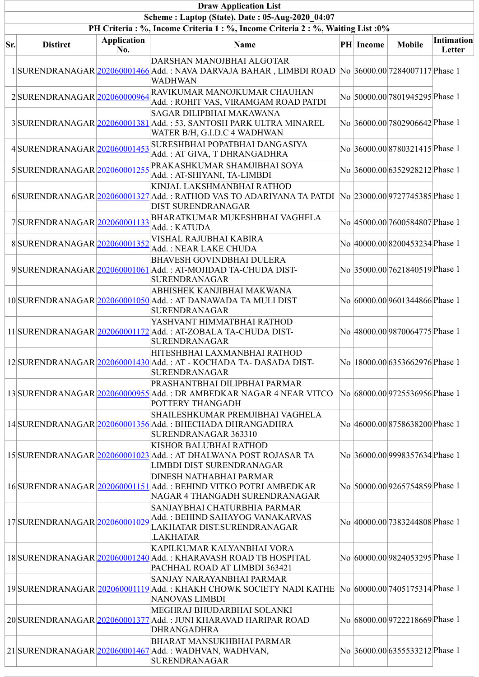| <b>Draw Application List</b>                    |                                                                                  |                           |                                                                                                                                                         |  |                  |                                 |                      |  |
|-------------------------------------------------|----------------------------------------------------------------------------------|---------------------------|---------------------------------------------------------------------------------------------------------------------------------------------------------|--|------------------|---------------------------------|----------------------|--|
| Scheme: Laptop (State), Date: 05-Aug-2020 04:07 |                                                                                  |                           |                                                                                                                                                         |  |                  |                                 |                      |  |
|                                                 | PH Criteria : %, Income Criteria 1 : %, Income Criteria 2 : %, Waiting List : 0% |                           |                                                                                                                                                         |  |                  |                                 |                      |  |
| Sr.                                             | <b>Distirct</b>                                                                  | <b>Application</b><br>No. | <b>Name</b>                                                                                                                                             |  | <b>PH</b> Income | <b>Mobile</b>                   | Intimation<br>Letter |  |
|                                                 |                                                                                  |                           | DARSHAN MANOJBHAI ALGOTAR<br>1 SURENDRANAGAR 202060001466 Add.: NAVA DARVAJA BAHAR, LIMBDI ROAD No 36000.00 7284007117 Phase 1<br><b>WADHWAN</b>        |  |                  |                                 |                      |  |
|                                                 | 2SURENDRANAGAR 202060000964                                                      |                           | RAVIKUMAR MANOJKUMAR CHAUHAN<br>Add.: ROHIT VAS, VIRAMGAM ROAD PATDI                                                                                    |  |                  | No 50000.00 7801945295 Phase 1  |                      |  |
|                                                 |                                                                                  |                           | SAGAR DILIPBHAI MAKAWANA<br>3 SURENDRANAGAR 202060001381 Add.: 53, SANTOSH PARK ULTRA MINAREL<br>WATER B/H, G.I.D.C 4 WADHWAN                           |  |                  | No 36000.00 7802906642 Phase 1  |                      |  |
|                                                 | 4SURENDRANAGAR 202060001453                                                      |                           | SURESHBHAI POPATBHAI DANGASIYA<br>Add.: AT GIVA, T DHRANGADHRA                                                                                          |  |                  | No 36000.00 8780321415 Phase 1  |                      |  |
|                                                 | 5SURENDRANAGAR 202060001255                                                      |                           | PRAKASHKUMAR SHAMJIBHAI SOYA<br>Add.: AT-SHIYANI, TA-LIMBDI                                                                                             |  |                  | No 36000.00 6352928212 Phase 1  |                      |  |
|                                                 |                                                                                  |                           | KINJAL LAKSHMANBHAI RATHOD<br>6 SURENDRANAGAR 202060001327 Add.: RATHOD VAS TO ADARIYANA TA PATDI No 23000.00 9727745385 Phase 1<br>DIST SURENDRANAGAR  |  |                  |                                 |                      |  |
|                                                 | 7SURENDRANAGAR 202060001133                                                      |                           | BHARATKUMAR MUKESHBHAI VAGHELA<br>Add.: KATUDA                                                                                                          |  |                  | No 45000.00 7600584807 Phase 1  |                      |  |
|                                                 | 8SURENDRANAGAR 202060001352                                                      |                           | VISHAL RAJUBHAI KABIRA<br>Add.: NEAR LAKE CHUDA                                                                                                         |  |                  | No 40000.00 8200453234 Phase 1  |                      |  |
|                                                 |                                                                                  |                           | <b>BHAVESH GOVINDBHAI DULERA</b><br>9 SURENDRANAGAR 202060001061 Add.: AT-MOJIDAD TA-CHUDA DIST-<br><b>SURENDRANAGAR</b>                                |  |                  | No 35000.00 7621840519 Phase 1  |                      |  |
|                                                 |                                                                                  |                           | ABHISHEK KANJIBHAI MAKWANA<br>10 SURENDRANAGAR 202060001050 Add.: AT DANAWADA TA MULI DIST<br>SURENDRANAGAR                                             |  |                  | No 60000.00 9601344866 Phase 1  |                      |  |
|                                                 |                                                                                  |                           | YASHVANT HIMMATBHAI RATHOD<br>11 SURENDRANAGAR 202060001172 Add.: AT-ZOBALA TA-CHUDA DIST-<br>SURENDRANAGAR                                             |  |                  | No 48000.00 9870064775 Phase 1  |                      |  |
|                                                 |                                                                                  |                           | HITESHBHAI LAXMANBHAI RATHOD<br>12 SURENDRANAGAR 202060001430 Add.: AT - KOCHADA TA- DASADA DIST-<br><b>SURENDRANAGAR</b>                               |  |                  | No  18000.00 6353662976 Phase 1 |                      |  |
|                                                 |                                                                                  |                           | PRASHANTBHAI DILIPBHAI PARMAR<br>13 SURENDRANAGAR 20206000955 Add.: DR AMBEDKAR NAGAR 4 NEAR VITCO<br>POTTERY THANGADH                                  |  |                  | No 68000.00 9725536956 Phase 1  |                      |  |
|                                                 |                                                                                  |                           | SHAILESHKUMAR PREMJIBHAI VAGHELA<br>14 SURENDRANAGAR 202060001356 Add.: BHECHADA DHRANGADHRA<br>SURENDRANAGAR 363310                                    |  |                  | No 46000.00 8758638200 Phase 1  |                      |  |
|                                                 |                                                                                  |                           | KISHOR BALUBHAI RATHOD<br>15 SURENDRANAGAR 202060001023 Add.: AT DHALWANA POST ROJASAR TA<br>LIMBDI DIST SURENDRANAGAR                                  |  |                  | No 36000.00 9998357634 Phase 1  |                      |  |
|                                                 |                                                                                  |                           | DINESH NATHABHAI PARMAR<br>16 SURENDRANAGAR 202060001151 Add. : BEHIND VITKO POTRI AMBEDKAR<br>NAGAR 4 THANGADH SURENDRANAGAR                           |  |                  | No 50000.00 9265754859 Phase 1  |                      |  |
|                                                 | 17SURENDRANAGAR 202060001029                                                     |                           | SANJAYBHAI CHATURBHIA PARMAR<br>Add.: BEHIND SAHAYOG VANAKARVAS<br>LAKHATAR DIST.SURENDRANAGAR<br><b>LAKHATAR</b>                                       |  |                  | No 40000.00 7383244808 Phase 1  |                      |  |
|                                                 |                                                                                  |                           | KAPILKUMAR KALYANBHAI VORA<br>18 SURENDRANAGAR 202060001240 Add.: KHARAVASH ROAD TB HOSPITAL<br>PACHHAL ROAD AT LIMBDI 363421                           |  |                  | No 60000.00 9824053295 Phase 1  |                      |  |
|                                                 |                                                                                  |                           | SANJAY NARAYANBHAI PARMAR<br>19 SURENDRANAGAR 202060001119 Add.: KHAKH CHOWK SOCIETY NADI KATHE No 60000.00 7405175314 Phase 1<br><b>NANOVAS LIMBDI</b> |  |                  |                                 |                      |  |
|                                                 |                                                                                  |                           | MEGHRAJ BHUDARBHAI SOLANKI<br>20 SURENDRANAGAR 202060001377 Add.: JUNI KHARAVAD HARIPAR ROAD<br><b>DHRANGADHRA</b>                                      |  |                  | No 68000.00 9722218669 Phase 1  |                      |  |
|                                                 |                                                                                  |                           | <b>BHARAT MANSUKHBHAI PARMAR</b><br>21 SURENDRANAGAR 202060001467 Add.: WADHVAN, WADHVAN,<br>SURENDRANAGAR                                              |  |                  | No 36000.00 6355533212 Phase 1  |                      |  |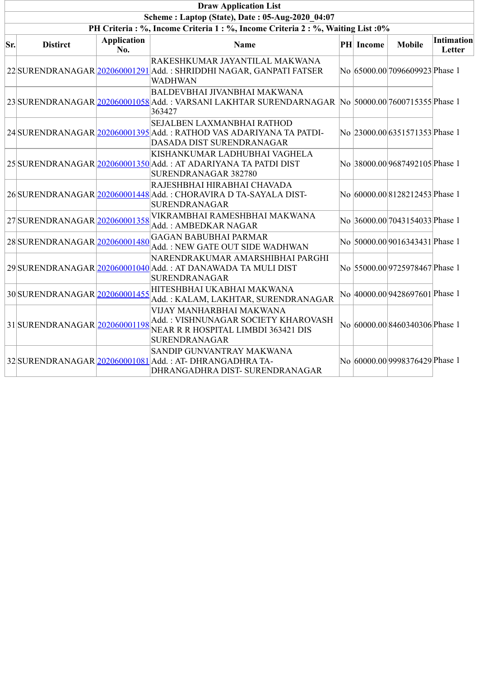| <b>Draw Application List</b>                    |                                                                                  |                           |                                                                                                                                             |  |                  |                                |                      |  |  |
|-------------------------------------------------|----------------------------------------------------------------------------------|---------------------------|---------------------------------------------------------------------------------------------------------------------------------------------|--|------------------|--------------------------------|----------------------|--|--|
| Scheme: Laptop (State), Date: 05-Aug-2020 04:07 |                                                                                  |                           |                                                                                                                                             |  |                  |                                |                      |  |  |
|                                                 | PH Criteria : %, Income Criteria 1 : %, Income Criteria 2 : %, Waiting List : 0% |                           |                                                                                                                                             |  |                  |                                |                      |  |  |
| Sr.                                             | <b>Distirct</b>                                                                  | <b>Application</b><br>No. | <b>Name</b>                                                                                                                                 |  | <b>PH</b> Income | <b>Mobile</b>                  | Intimation<br>Letter |  |  |
|                                                 |                                                                                  |                           | RAKESHKUMAR JAYANTILAL MAKWANA<br>22 SURENDRANAGAR 202060001291 Add.: SHRIDDHI NAGAR, GANPATI FATSER<br><b>WADHWAN</b>                      |  |                  | No 65000.00 7096609923 Phase 1 |                      |  |  |
|                                                 |                                                                                  |                           | BALDEVBHAI JIVANBHAI MAKWANA<br>23 SURENDRANAGAR 202060001058 Add.: VARSANI LAKHTAR SURENDARNAGAR  No 50000.00 7600715355 Phase 1<br>363427 |  |                  |                                |                      |  |  |
|                                                 |                                                                                  |                           | SEJALBEN LAXMANBHAI RATHOD<br>24 SURENDRANAGAR 202060001395 Add.: RATHOD VAS ADARIYANA TA PATDI-<br>DASADA DIST SURENDRANAGAR               |  |                  | No 23000.00 6351571353 Phase 1 |                      |  |  |
|                                                 |                                                                                  |                           | KISHANKUMAR LADHUBHAI VAGHELA<br>25 SURENDRANAGAR 202060001350 Add.: AT ADARIYANA TA PATDI DIST<br>SURENDRANAGAR 382780                     |  |                  | No 38000.00 9687492105 Phase 1 |                      |  |  |
|                                                 |                                                                                  |                           | RAJESHBHAI HIRABHAI CHAVADA<br>26 SURENDRANAGAR 202060001448 Add.: CHORAVIRA D TA-SAYALA DIST-<br><b>SURENDRANAGAR</b>                      |  |                  | No 60000.008128212453 Phase 1  |                      |  |  |
|                                                 | 27 SURENDRANAGAR 202060001358                                                    |                           | VIKRAMBHAI RAMESHBHAI MAKWANA<br>Add.: AMBEDKAR NAGAR                                                                                       |  |                  | No 36000.00 7043154033 Phase 1 |                      |  |  |
|                                                 | 28 SURENDRANAGAR 202060001480                                                    |                           | <b>GAGAN BABUBHAI PARMAR</b><br>Add.: NEW GATE OUT SIDE WADHWAN                                                                             |  |                  | No 50000.00 9016343431 Phase 1 |                      |  |  |
|                                                 |                                                                                  |                           | NARENDRAKUMAR AMARSHIBHAI PARGHI<br>29 SURENDRANAGAR 202060001040 Add.: AT DANAWADA TA MULI DIST<br><b>SURENDRANAGAR</b>                    |  |                  | No 55000.00 9725978467 Phase 1 |                      |  |  |
|                                                 | 30SURENDRANAGAR 202060001455                                                     |                           | HITESHBHAI UKABHAI MAKWANA<br>Add.: KALAM, LAKHTAR, SURENDRANAGAR                                                                           |  |                  | No 40000.00 9428697601 Phase 1 |                      |  |  |
|                                                 | 31SURENDRANAGAR 202060001198                                                     |                           | VIJAY MANHARBHAI MAKWANA<br>Add.: VISHNUNAGAR SOCIETY KHAROVASH<br>NEAR R R HOSPITAL LIMBDI 363421 DIS<br><b>SURENDRANAGAR</b>              |  |                  | No 60000.00 8460340306 Phase 1 |                      |  |  |
|                                                 |                                                                                  |                           | SANDIP GUNVANTRAY MAKWANA<br>32 SURENDRANAGAR 202060001081 Add.: AT-DHRANGADHRA TA-<br>DHRANGADHRA DIST- SURENDRANAGAR                      |  |                  | No 60000.00 9998376429 Phase 1 |                      |  |  |